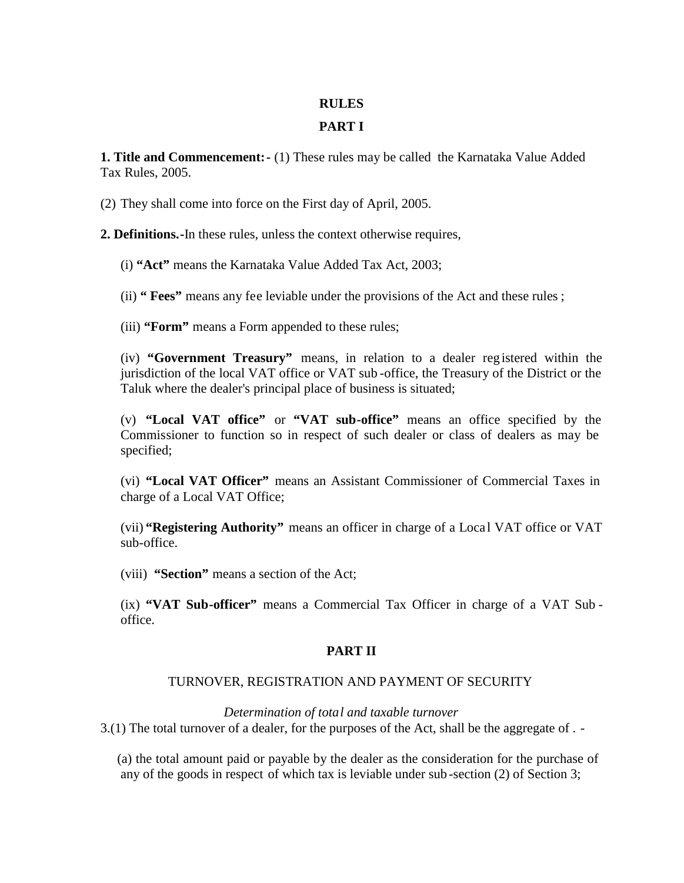#### **RULES**

# **PART I**

**1. Title and Commencement:-** (1) These rules may be called the Karnataka Value Added Tax Rules, 2005.

(2) They shall come into force on the First day of April, 2005.

**2. Definitions.-**In these rules, unless the context otherwise requires,

(i) **"Act"** means the Karnataka Value Added Tax Act, 2003;

(ii) **" Fees"** means any fee leviable under the provisions of the Act and these rules ;

(iii) **"Form"** means a Form appended to these rules;

(iv) **"Government Treasury"** means, in relation to a dealer reg istered within the jurisdiction of the local VAT office or VAT sub -office, the Treasury of the District or the Taluk where the dealer's principal place of business is situated;

(v) **"Local VAT office"** or **"VAT sub-office"** means an office specified by the Commissioner to function so in respect of such dealer or class of dealers as may be specified;

(vi) **"Local VAT Officer"** means an Assistant Commissioner of Commercial Taxes in charge of a Local VAT Office;

(vii) **"Registering Authority"** means an officer in charge of a Loca l VAT office or VAT sub-office.

(viii) **"Section"** means a section of the Act;

(ix) **"VAT Sub-officer"** means a Commercial Tax Officer in charge of a VAT Sub office.

## **PART II**

## TURNOVER, REGISTRATION AND PAYMENT OF SECURITY

*Determination of total and taxable turnover*

3.(1) The total turnover of a dealer, for the purposes of the Act, shall be the aggregate of . -

(a) the total amount paid or payable by the dealer as the consideration for the purchase of any of the goods in respect of which tax is leviable under sub -section (2) of Section 3;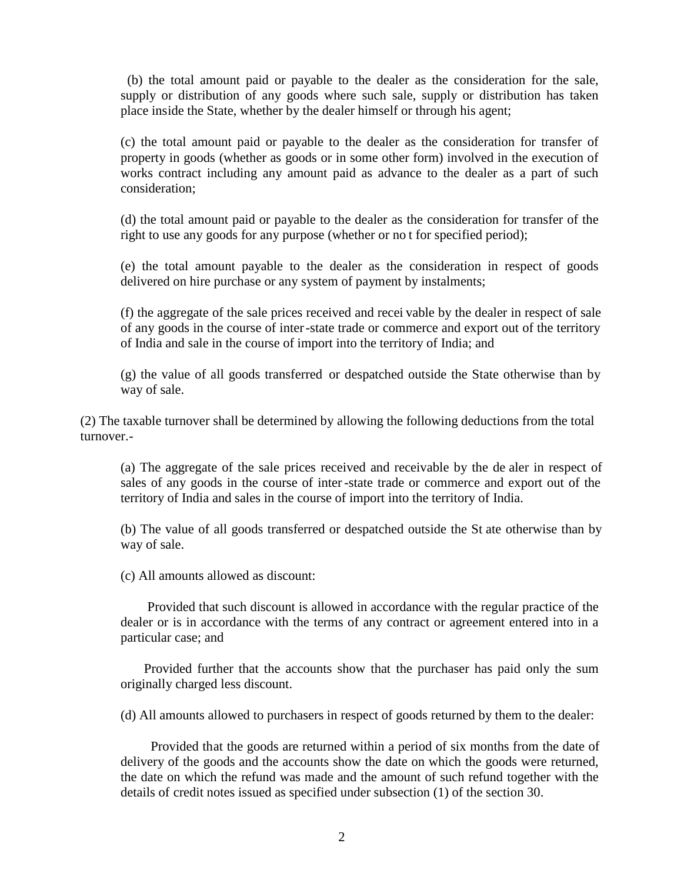(b) the total amount paid or payable to the dealer as the consideration for the sale, supply or distribution of any goods where such sale, supply or distribution has taken place inside the State, whether by the dealer himself or through his agent;

(c) the total amount paid or payable to the dealer as the consideration for transfer of property in goods (whether as goods or in some other form) involved in the execution of works contract including any amount paid as advance to the dealer as a part of such consideration;

(d) the total amount paid or payable to the dealer as the consideration for transfer of the right to use any goods for any purpose (whether or no t for specified period);

(e) the total amount payable to the dealer as the consideration in respect of goods delivered on hire purchase or any system of payment by instalments;

(f) the aggregate of the sale prices received and recei vable by the dealer in respect of sale of any goods in the course of inter-state trade or commerce and export out of the territory of India and sale in the course of import into the territory of India; and

(g) the value of all goods transferred or despatched outside the State otherwise than by way of sale.

(2) The taxable turnover shall be determined by allowing the following deductions from the total turnover.-

(a) The aggregate of the sale prices received and receivable by the de aler in respect of sales of any goods in the course of inter-state trade or commerce and export out of the territory of India and sales in the course of import into the territory of India.

(b) The value of all goods transferred or despatched outside the St ate otherwise than by way of sale.

(c) All amounts allowed as discount:

Provided that such discount is allowed in accordance with the regular practice of the dealer or is in accordance with the terms of any contract or agreement entered into in a particular case; and

Provided further that the accounts show that the purchaser has paid only the sum originally charged less discount.

(d) All amounts allowed to purchasers in respect of goods returned by them to the dealer:

Provided that the goods are returned within a period of six months from the date of delivery of the goods and the accounts show the date on which the goods were returned, the date on which the refund was made and the amount of such refund together with the details of credit notes issued as specified under subsection (1) of the section 30.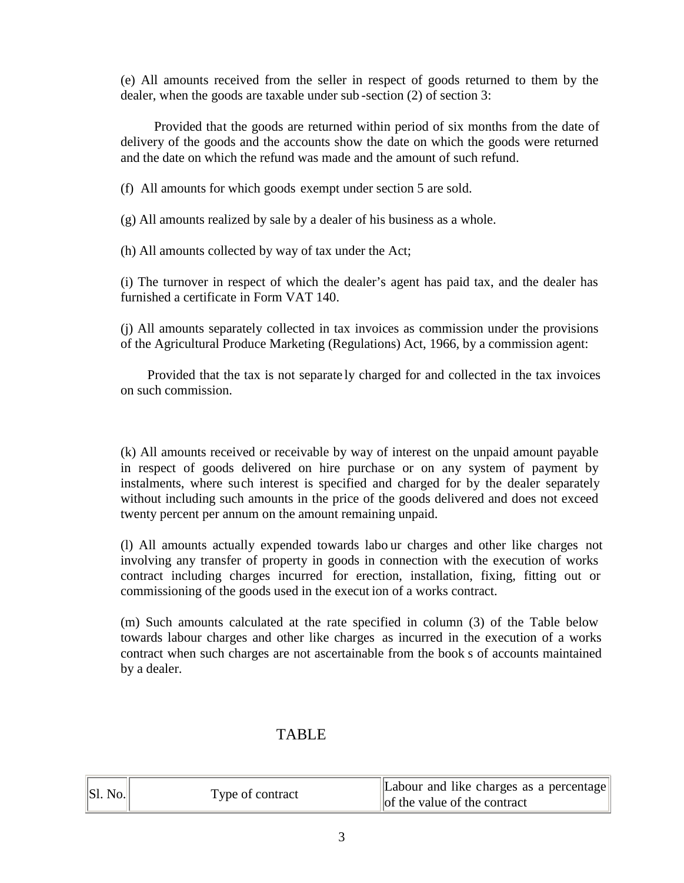(e) All amounts received from the seller in respect of goods returned to them by the dealer, when the goods are taxable under sub -section (2) of section 3:

Provided that the goods are returned within period of six months from the date of delivery of the goods and the accounts show the date on which the goods were returned and the date on which the refund was made and the amount of such refund.

(f) All amounts for which goods exempt under section 5 are sold.

(g) All amounts realized by sale by a dealer of his business as a whole.

(h) All amounts collected by way of tax under the Act;

(i) The turnover in respect of which the dealer's agent has paid tax, and the dealer has furnished a certificate in Form VAT 140.

(j) All amounts separately collected in tax invoices as commission under the provisions of the Agricultural Produce Marketing (Regulations) Act, 1966, by a commission agent:

Provided that the tax is not separate ly charged for and collected in the tax invoices on such commission.

(k) All amounts received or receivable by way of interest on the unpaid amount payable in respect of goods delivered on hire purchase or on any system of payment by instalments, where such interest is specified and charged for by the dealer separately without including such amounts in the price of the goods delivered and does not exceed twenty percent per annum on the amount remaining unpaid.

(l) All amounts actually expended towards labo ur charges and other like charges not involving any transfer of property in goods in connection with the execution of works contract including charges incurred for erection, installation, fixing, fitting out or commissioning of the goods used in the execut ion of a works contract.

(m) Such amounts calculated at the rate specified in column (3) of the Table below towards labour charges and other like charges as incurred in the execution of a works contract when such charges are not ascertainable from the book s of accounts maintained by a dealer.

# TABLE

| $\ $ Sl. No. | Type of contract | Labour and like charges as a percentage<br>of the value of the contract |
|--------------|------------------|-------------------------------------------------------------------------|
|--------------|------------------|-------------------------------------------------------------------------|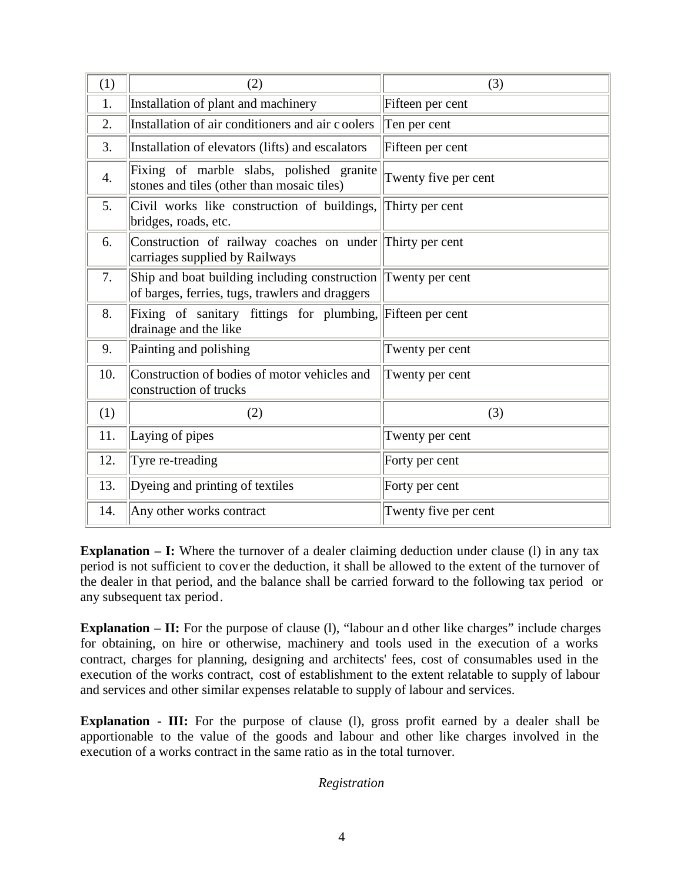| (1) | (2)                                                                                                              | (3)                  |
|-----|------------------------------------------------------------------------------------------------------------------|----------------------|
| 1.  | Installation of plant and machinery                                                                              | Fifteen per cent     |
| 2.  | Installation of air conditioners and air coolers                                                                 | Ten per cent         |
| 3.  | Installation of elevators (lifts) and escalators                                                                 | Fifteen per cent     |
| 4.  | Fixing of marble slabs, polished granite<br>stones and tiles (other than mosaic tiles)                           | Twenty five per cent |
| 5.  | Civil works like construction of buildings,<br>bridges, roads, etc.                                              | Thirty per cent      |
| 6.  | Construction of railway coaches on under Thirty per cent<br>carriages supplied by Railways                       |                      |
| 7.  | Ship and boat building including construction Twenty per cent<br>of barges, ferries, tugs, trawlers and draggers |                      |
| 8.  | Fixing of sanitary fittings for plumbing, Fifteen per cent<br>drainage and the like                              |                      |
| 9.  | Painting and polishing                                                                                           | Twenty per cent      |
| 10. | Construction of bodies of motor vehicles and<br>construction of trucks                                           | Twenty per cent      |
| (1) | (2)                                                                                                              | (3)                  |
| 11. | Laying of pipes                                                                                                  | Twenty per cent      |
| 12. | Tyre re-treading                                                                                                 | Forty per cent       |
| 13. | Dyeing and printing of textiles                                                                                  | Forty per cent       |
| 14. | Any other works contract                                                                                         | Twenty five per cent |

**Explanation – I:** Where the turnover of a dealer claiming deduction under clause (1) in any tax period is not sufficient to cover the deduction, it shall be allowed to the extent of the turnover of the dealer in that period, and the balance shall be carried forward to the following tax period or any subsequent tax period.

**Explanation – II:** For the purpose of clause (1), "labour and other like charges" include charges for obtaining, on hire or otherwise, machinery and tools used in the execution of a works contract, charges for planning, designing and architects' fees, cost of consumables used in the execution of the works contract, cost of establishment to the extent relatable to supply of labour and services and other similar expenses relatable to supply of labour and services.

**Explanation - III:** For the purpose of clause (1), gross profit earned by a dealer shall be apportionable to the value of the goods and labour and other like charges involved in the execution of a works contract in the same ratio as in the total turnover.

#### *Registration*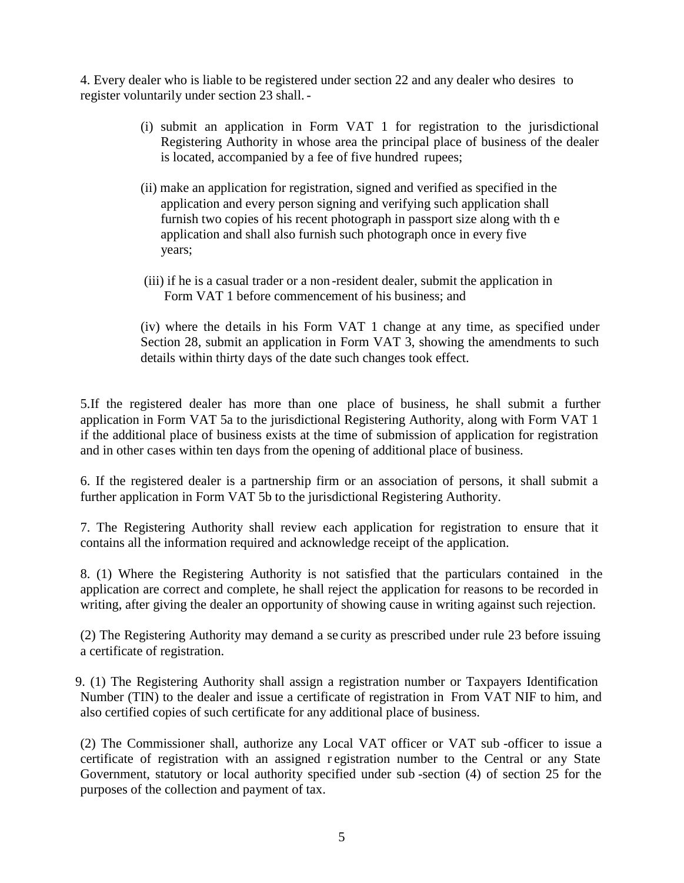4. Every dealer who is liable to be registered under section 22 and any dealer who desires to register voluntarily under section 23 shall.-

- (i) submit an application in Form VAT 1 for registration to the jurisdictional Registering Authority in whose area the principal place of business of the dealer is located, accompanied by a fee of five hundred rupees;
- (ii) make an application for registration, signed and verified as specified in the application and every person signing and verifying such application shall furnish two copies of his recent photograph in passport size along with th e application and shall also furnish such photograph once in every five years;
- (iii) if he is a casual trader or a non -resident dealer, submit the application in Form VAT 1 before commencement of his business; and

(iv) where the details in his Form VAT 1 change at any time, as specified under Section 28, submit an application in Form VAT 3, showing the amendments to such details within thirty days of the date such changes took effect.

5.If the registered dealer has more than one place of business, he shall submit a further application in Form VAT 5a to the jurisdictional Registering Authority, along with Form VAT 1 if the additional place of business exists at the time of submission of application for registration and in other cases within ten days from the opening of additional place of business.

6. If the registered dealer is a partnership firm or an association of persons, it shall submit a further application in Form VAT 5b to the jurisdictional Registering Authority.

7. The Registering Authority shall review each application for registration to ensure that it contains all the information required and acknowledge receipt of the application.

8. (1) Where the Registering Authority is not satisfied that the particulars contained in the application are correct and complete, he shall reject the application for reasons to be recorded in writing, after giving the dealer an opportunity of showing cause in writing against such rejection.

(2) The Registering Authority may demand a se curity as prescribed under rule 23 before issuing a certificate of registration.

9. (1) The Registering Authority shall assign a registration number or Taxpayers Identification Number (TIN) to the dealer and issue a certificate of registration in From VAT NIF to him, and also certified copies of such certificate for any additional place of business.

(2) The Commissioner shall, authorize any Local VAT officer or VAT sub -officer to issue a certificate of registration with an assigned r egistration number to the Central or any State Government, statutory or local authority specified under sub -section (4) of section 25 for the purposes of the collection and payment of tax.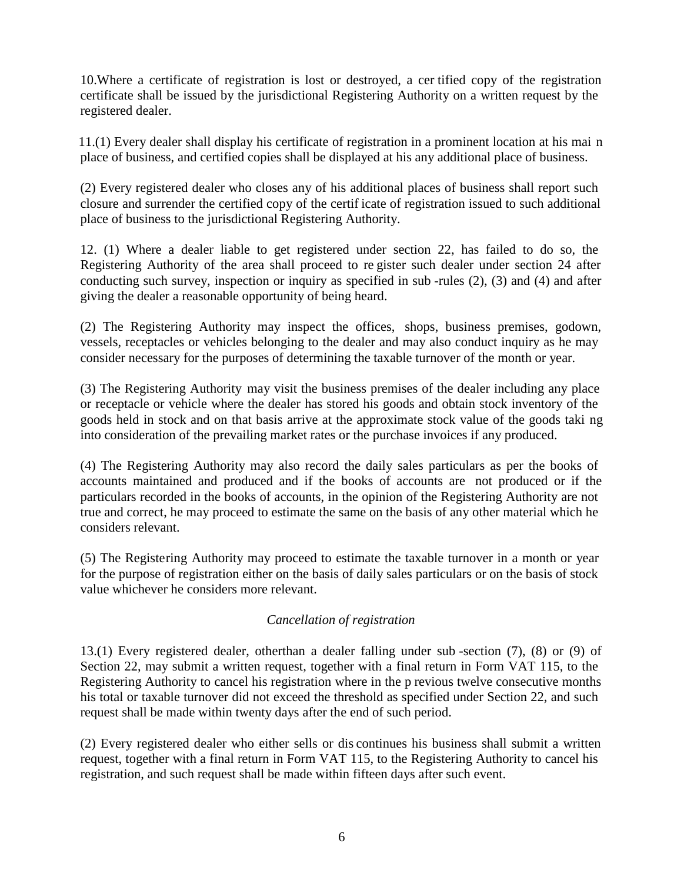10.Where a certificate of registration is lost or destroyed, a cer tified copy of the registration certificate shall be issued by the jurisdictional Registering Authority on a written request by the registered dealer.

11.(1) Every dealer shall display his certificate of registration in a prominent location at his mai n place of business, and certified copies shall be displayed at his any additional place of business.

(2) Every registered dealer who closes any of his additional places of business shall report such closure and surrender the certified copy of the certif icate of registration issued to such additional place of business to the jurisdictional Registering Authority.

12. (1) Where a dealer liable to get registered under section 22, has failed to do so, the Registering Authority of the area shall proceed to re gister such dealer under section 24 after conducting such survey, inspection or inquiry as specified in sub -rules (2), (3) and (4) and after giving the dealer a reasonable opportunity of being heard.

(2) The Registering Authority may inspect the offices, shops, business premises, godown, vessels, receptacles or vehicles belonging to the dealer and may also conduct inquiry as he may consider necessary for the purposes of determining the taxable turnover of the month or year.

(3) The Registering Authority may visit the business premises of the dealer including any place or receptacle or vehicle where the dealer has stored his goods and obtain stock inventory of the goods held in stock and on that basis arrive at the approximate stock value of the goods taki ng into consideration of the prevailing market rates or the purchase invoices if any produced.

(4) The Registering Authority may also record the daily sales particulars as per the books of accounts maintained and produced and if the books of accounts are not produced or if the particulars recorded in the books of accounts, in the opinion of the Registering Authority are not true and correct, he may proceed to estimate the same on the basis of any other material which he considers relevant.

(5) The Registering Authority may proceed to estimate the taxable turnover in a month or year for the purpose of registration either on the basis of daily sales particulars or on the basis of stock value whichever he considers more relevant.

## *Cancellation of registration*

13.(1) Every registered dealer, otherthan a dealer falling under sub -section (7), (8) or (9) of Section 22, may submit a written request, together with a final return in Form VAT 115, to the Registering Authority to cancel his registration where in the p revious twelve consecutive months his total or taxable turnover did not exceed the threshold as specified under Section 22, and such request shall be made within twenty days after the end of such period.

(2) Every registered dealer who either sells or dis continues his business shall submit a written request, together with a final return in Form VAT 115, to the Registering Authority to cancel his registration, and such request shall be made within fifteen days after such event.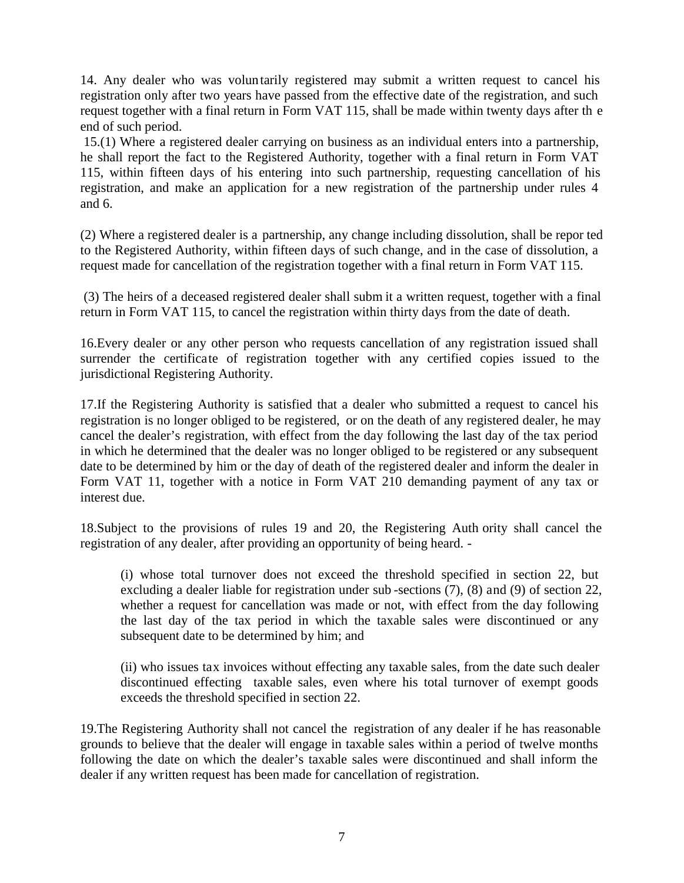14. Any dealer who was volun tarily registered may submit a written request to cancel his registration only after two years have passed from the effective date of the registration, and such request together with a final return in Form VAT 115, shall be made within twenty days after th e end of such period.

15.(1) Where a registered dealer carrying on business as an individual enters into a partnership, he shall report the fact to the Registered Authority, together with a final return in Form VAT 115, within fifteen days of his entering into such partnership, requesting cancellation of his registration, and make an application for a new registration of the partnership under rules 4 and 6.

(2) Where a registered dealer is a partnership, any change including dissolution, shall be repor ted to the Registered Authority, within fifteen days of such change, and in the case of dissolution, a request made for cancellation of the registration together with a final return in Form VAT 115.

(3) The heirs of a deceased registered dealer shall subm it a written request, together with a final return in Form VAT 115, to cancel the registration within thirty days from the date of death.

16.Every dealer or any other person who requests cancellation of any registration issued shall surrender the certificate of registration together with any certified copies issued to the jurisdictional Registering Authority.

17.If the Registering Authority is satisfied that a dealer who submitted a request to cancel his registration is no longer obliged to be registered, or on the death of any registered dealer, he may cancel the dealer's registration, with effect from the day following the last day of the tax period in which he determined that the dealer was no longer obliged to be registered or any subsequent date to be determined by him or the day of death of the registered dealer and inform the dealer in Form VAT 11, together with a notice in Form VAT 210 demanding payment of any tax or interest due.

18.Subject to the provisions of rules 19 and 20, the Registering Auth ority shall cancel the registration of any dealer, after providing an opportunity of being heard. -

(i) whose total turnover does not exceed the threshold specified in section 22, but excluding a dealer liable for registration under sub -sections (7), (8) and (9) of section 22, whether a request for cancellation was made or not, with effect from the day following the last day of the tax period in which the taxable sales were discontinued or any subsequent date to be determined by him; and

(ii) who issues tax invoices without effecting any taxable sales, from the date such dealer discontinued effecting taxable sales, even where his total turnover of exempt goods exceeds the threshold specified in section 22.

19.The Registering Authority shall not cancel the registration of any dealer if he has reasonable grounds to believe that the dealer will engage in taxable sales within a period of twelve months following the date on which the dealer's taxable sales were discontinued and shall inform the dealer if any written request has been made for cancellation of registration.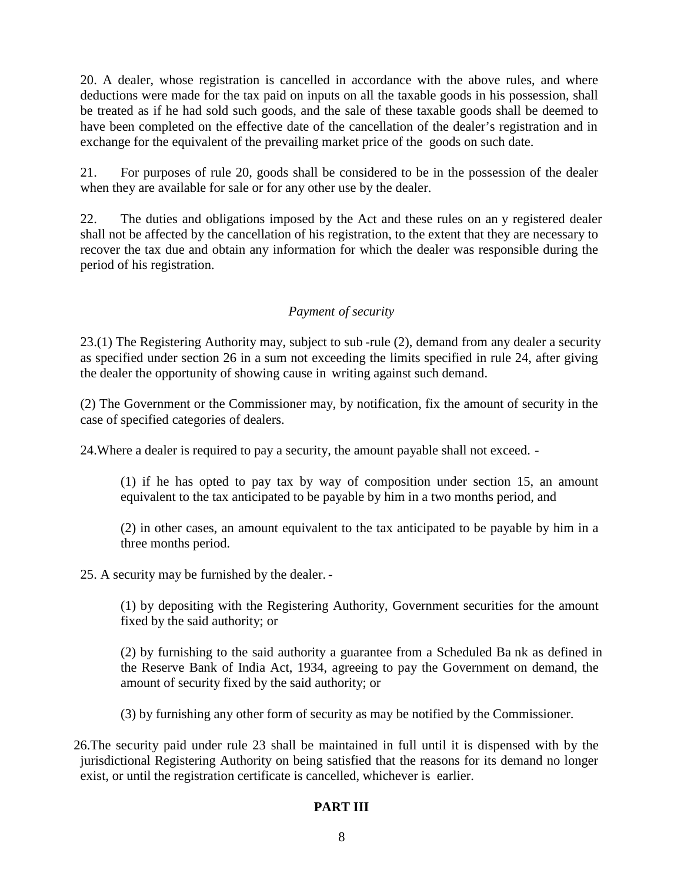20. A dealer, whose registration is cancelled in accordance with the above rules, and where deductions were made for the tax paid on inputs on all the taxable goods in his possession, shall be treated as if he had sold such goods, and the sale of these taxable goods shall be deemed to have been completed on the effective date of the cancellation of the dealer's registration and in exchange for the equivalent of the prevailing market price of the goods on such date.

21. For purposes of rule 20, goods shall be considered to be in the possession of the dealer when they are available for sale or for any other use by the dealer.

22. The duties and obligations imposed by the Act and these rules on an y registered dealer shall not be affected by the cancellation of his registration, to the extent that they are necessary to recover the tax due and obtain any information for which the dealer was responsible during the period of his registration.

## *Payment of security*

23.(1) The Registering Authority may, subject to sub -rule (2), demand from any dealer a security as specified under section 26 in a sum not exceeding the limits specified in rule 24, after giving the dealer the opportunity of showing cause in writing against such demand.

(2) The Government or the Commissioner may, by notification, fix the amount of security in the case of specified categories of dealers.

24.Where a dealer is required to pay a security, the amount payable shall not exceed. -

(1) if he has opted to pay tax by way of composition under section 15, an amount equivalent to the tax anticipated to be payable by him in a two months period, and

(2) in other cases, an amount equivalent to the tax anticipated to be payable by him in a three months period.

25. A security may be furnished by the dealer. -

(1) by depositing with the Registering Authority, Government securities for the amount fixed by the said authority; or

(2) by furnishing to the said authority a guarantee from a Scheduled Ba nk as defined in the Reserve Bank of India Act, 1934, agreeing to pay the Government on demand, the amount of security fixed by the said authority; or

(3) by furnishing any other form of security as may be notified by the Commissioner.

26.The security paid under rule 23 shall be maintained in full until it is dispensed with by the jurisdictional Registering Authority on being satisfied that the reasons for its demand no longer exist, or until the registration certificate is cancelled, whichever is earlier.

#### **PART III**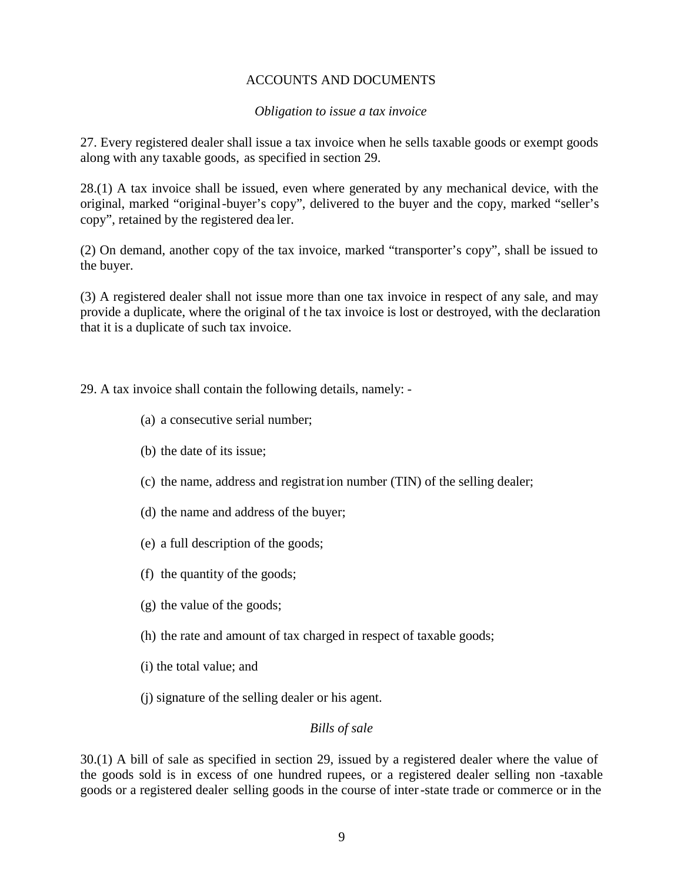## ACCOUNTS AND DOCUMENTS

#### *Obligation to issue a tax invoice*

27. Every registered dealer shall issue a tax invoice when he sells taxable goods or exempt goods along with any taxable goods, as specified in section 29.

28.(1) A tax invoice shall be issued, even where generated by any mechanical device, with the original, marked "original-buyer's copy", delivered to the buyer and the copy, marked "seller's copy", retained by the registered dea ler.

(2) On demand, another copy of the tax invoice, marked "transporter's copy", shall be issued to the buyer.

(3) A registered dealer shall not issue more than one tax invoice in respect of any sale, and may provide a duplicate, where the original of t he tax invoice is lost or destroyed, with the declaration that it is a duplicate of such tax invoice.

29. A tax invoice shall contain the following details, namely: -

- (a) a consecutive serial number;
- (b) the date of its issue;
- (c) the name, address and registration number (TIN) of the selling dealer;
- (d) the name and address of the buyer;
- (e) a full description of the goods;
- (f) the quantity of the goods;
- (g) the value of the goods;
- (h) the rate and amount of tax charged in respect of taxable goods;
- (i) the total value; and
- (j) signature of the selling dealer or his agent.

#### *Bills of sale*

30.(1) A bill of sale as specified in section 29, issued by a registered dealer where the value of the goods sold is in excess of one hundred rupees, or a registered dealer selling non -taxable goods or a registered dealer selling goods in the course of inter-state trade or commerce or in the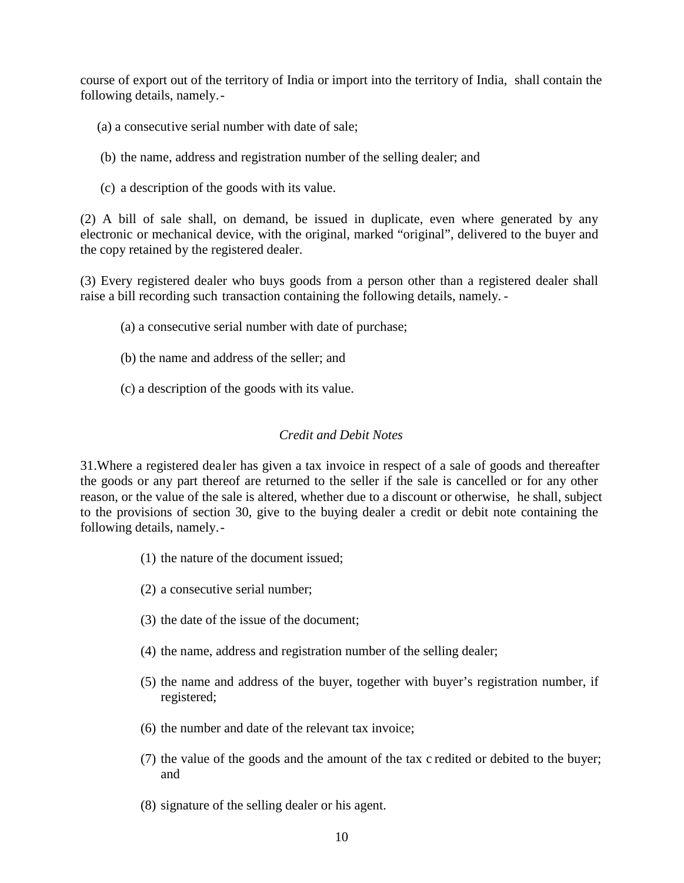course of export out of the territory of India or import into the territory of India, shall contain the following details, namely.-

- (a) a consecutive serial number with date of sale;
- (b) the name, address and registration number of the selling dealer; and
- (c) a description of the goods with its value.

(2) A bill of sale shall, on demand, be issued in duplicate, even where generated by any electronic or mechanical device, with the original, marked "original", delivered to the buyer and the copy retained by the registered dealer.

(3) Every registered dealer who buys goods from a person other than a registered dealer shall raise a bill recording such transaction containing the following details, namely. -

- (a) a consecutive serial number with date of purchase;
- (b) the name and address of the seller; and
- (c) a description of the goods with its value.

#### *Credit and Debit Notes*

31.Where a registered dealer has given a tax invoice in respect of a sale of goods and thereafter the goods or any part thereof are returned to the seller if the sale is cancelled or for any other reason, or the value of the sale is altered, whether due to a discount or otherwise, he shall, subject to the provisions of section 30, give to the buying dealer a credit or debit note containing the following details, namely.-

- (1) the nature of the document issued;
- (2) a consecutive serial number;
- (3) the date of the issue of the document;
- (4) the name, address and registration number of the selling dealer;
- (5) the name and address of the buyer, together with buyer's registration number, if registered;
- (6) the number and date of the relevant tax invoice;
- (7) the value of the goods and the amount of the tax c redited or debited to the buyer; and
- (8) signature of the selling dealer or his agent.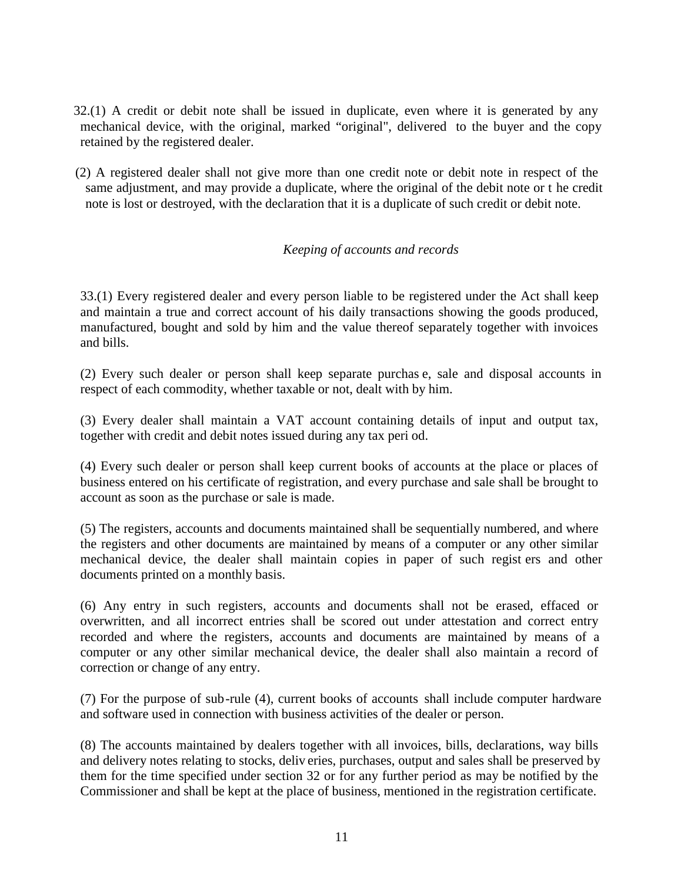- 32.(1) A credit or debit note shall be issued in duplicate, even where it is generated by any mechanical device, with the original, marked "original", delivered to the buyer and the copy retained by the registered dealer.
- (2) A registered dealer shall not give more than one credit note or debit note in respect of the same adjustment, and may provide a duplicate, where the original of the debit note or t he credit note is lost or destroyed, with the declaration that it is a duplicate of such credit or debit note.

#### *Keeping of accounts and records*

33.(1) Every registered dealer and every person liable to be registered under the Act shall keep and maintain a true and correct account of his daily transactions showing the goods produced, manufactured, bought and sold by him and the value thereof separately together with invoices and bills.

(2) Every such dealer or person shall keep separate purchas e, sale and disposal accounts in respect of each commodity, whether taxable or not, dealt with by him.

(3) Every dealer shall maintain a VAT account containing details of input and output tax, together with credit and debit notes issued during any tax peri od.

(4) Every such dealer or person shall keep current books of accounts at the place or places of business entered on his certificate of registration, and every purchase and sale shall be brought to account as soon as the purchase or sale is made.

(5) The registers, accounts and documents maintained shall be sequentially numbered, and where the registers and other documents are maintained by means of a computer or any other similar mechanical device, the dealer shall maintain copies in paper of such regist ers and other documents printed on a monthly basis.

(6) Any entry in such registers, accounts and documents shall not be erased, effaced or overwritten, and all incorrect entries shall be scored out under attestation and correct entry recorded and where the registers, accounts and documents are maintained by means of a computer or any other similar mechanical device, the dealer shall also maintain a record of correction or change of any entry.

(7) For the purpose of sub-rule (4), current books of accounts shall include computer hardware and software used in connection with business activities of the dealer or person.

(8) The accounts maintained by dealers together with all invoices, bills, declarations, way bills and delivery notes relating to stocks, deliv eries, purchases, output and sales shall be preserved by them for the time specified under section 32 or for any further period as may be notified by the Commissioner and shall be kept at the place of business, mentioned in the registration certificate.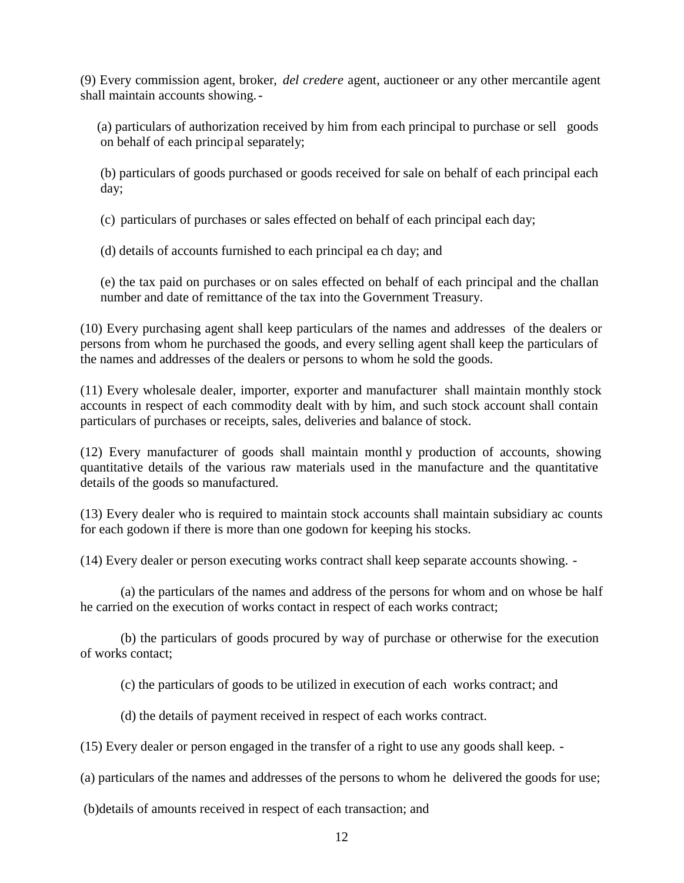(9) Every commission agent, broker, *del credere* agent, auctioneer or any other mercantile agent shall maintain accounts showing.-

(a) particulars of authorization received by him from each principal to purchase or sell goods on behalf of each principal separately;

(b) particulars of goods purchased or goods received for sale on behalf of each principal each day;

(c) particulars of purchases or sales effected on behalf of each principal each day;

(d) details of accounts furnished to each principal ea ch day; and

(e) the tax paid on purchases or on sales effected on behalf of each principal and the challan number and date of remittance of the tax into the Government Treasury.

(10) Every purchasing agent shall keep particulars of the names and addresses of the dealers or persons from whom he purchased the goods, and every selling agent shall keep the particulars of the names and addresses of the dealers or persons to whom he sold the goods.

(11) Every wholesale dealer, importer, exporter and manufacturer shall maintain monthly stock accounts in respect of each commodity dealt with by him, and such stock account shall contain particulars of purchases or receipts, sales, deliveries and balance of stock.

(12) Every manufacturer of goods shall maintain monthl y production of accounts, showing quantitative details of the various raw materials used in the manufacture and the quantitative details of the goods so manufactured.

(13) Every dealer who is required to maintain stock accounts shall maintain subsidiary ac counts for each godown if there is more than one godown for keeping his stocks.

(14) Every dealer or person executing works contract shall keep separate accounts showing. -

(a) the particulars of the names and address of the persons for whom and on whose be half he carried on the execution of works contact in respect of each works contract;

(b) the particulars of goods procured by way of purchase or otherwise for the execution of works contact;

(c) the particulars of goods to be utilized in execution of each works contract; and

(d) the details of payment received in respect of each works contract.

(15) Every dealer or person engaged in the transfer of a right to use any goods shall keep. -

(a) particulars of the names and addresses of the persons to whom he delivered the goods for use;

(b)details of amounts received in respect of each transaction; and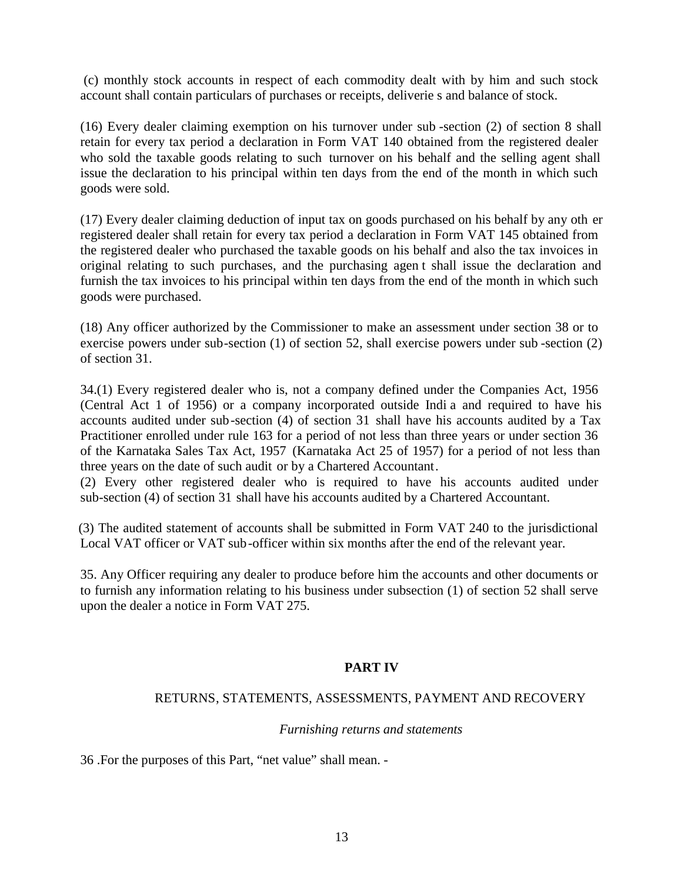(c) monthly stock accounts in respect of each commodity dealt with by him and such stock account shall contain particulars of purchases or receipts, deliverie s and balance of stock.

(16) Every dealer claiming exemption on his turnover under sub -section (2) of section 8 shall retain for every tax period a declaration in Form VAT 140 obtained from the registered dealer who sold the taxable goods relating to such turnover on his behalf and the selling agent shall issue the declaration to his principal within ten days from the end of the month in which such goods were sold.

(17) Every dealer claiming deduction of input tax on goods purchased on his behalf by any oth er registered dealer shall retain for every tax period a declaration in Form VAT 145 obtained from the registered dealer who purchased the taxable goods on his behalf and also the tax invoices in original relating to such purchases, and the purchasing agen t shall issue the declaration and furnish the tax invoices to his principal within ten days from the end of the month in which such goods were purchased.

(18) Any officer authorized by the Commissioner to make an assessment under section 38 or to exercise powers under sub-section (1) of section 52, shall exercise powers under sub -section (2) of section 31.

34.(1) Every registered dealer who is, not a company defined under the Companies Act, 1956 (Central Act 1 of 1956) or a company incorporated outside Indi a and required to have his accounts audited under sub-section (4) of section 31 shall have his accounts audited by a Tax Practitioner enrolled under rule 163 for a period of not less than three years or under section 36 of the Karnataka Sales Tax Act, 1957 (Karnataka Act 25 of 1957) for a period of not less than three years on the date of such audit or by a Chartered Accountant.

(2) Every other registered dealer who is required to have his accounts audited under sub-section (4) of section 31 shall have his accounts audited by a Chartered Accountant.

(3) The audited statement of accounts shall be submitted in Form VAT 240 to the jurisdictional Local VAT officer or VAT sub-officer within six months after the end of the relevant year.

35. Any Officer requiring any dealer to produce before him the accounts and other documents or to furnish any information relating to his business under subsection (1) of section 52 shall serve upon the dealer a notice in Form VAT 275.

## **PART IV**

#### RETURNS, STATEMENTS, ASSESSMENTS, PAYMENT AND RECOVERY

#### *Furnishing returns and statements*

36 .For the purposes of this Part, "net value" shall mean. -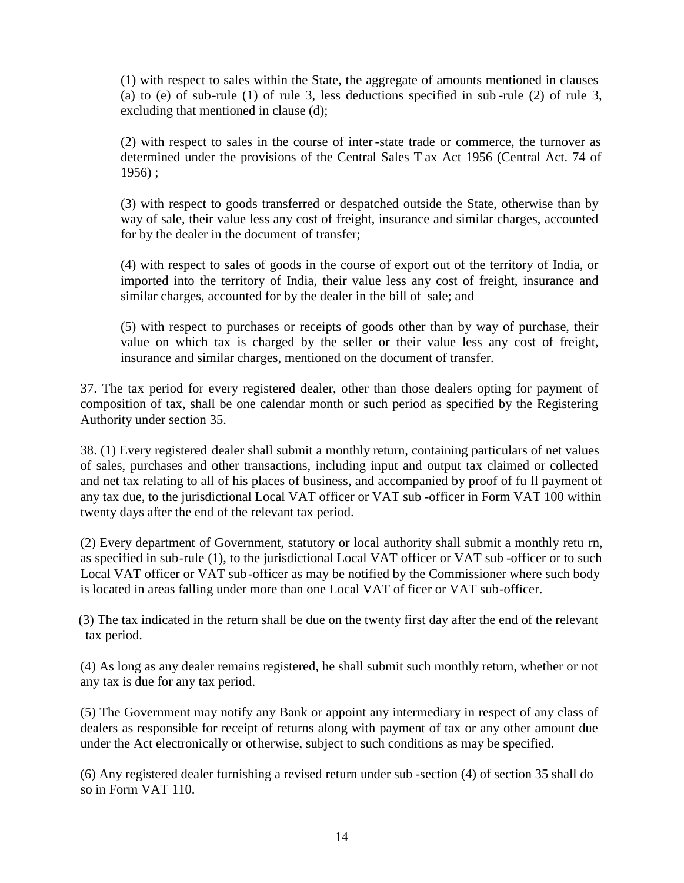(1) with respect to sales within the State, the aggregate of amounts mentioned in clauses (a) to (e) of sub-rule (1) of rule 3, less deductions specified in sub -rule (2) of rule 3, excluding that mentioned in clause (d);

(2) with respect to sales in the course of inter -state trade or commerce, the turnover as determined under the provisions of the Central Sales T ax Act 1956 (Central Act. 74 of  $1956$ ) ;

(3) with respect to goods transferred or despatched outside the State, otherwise than by way of sale, their value less any cost of freight, insurance and similar charges, accounted for by the dealer in the document of transfer;

(4) with respect to sales of goods in the course of export out of the territory of India, or imported into the territory of India, their value less any cost of freight, insurance and similar charges, accounted for by the dealer in the bill of sale; and

(5) with respect to purchases or receipts of goods other than by way of purchase, their value on which tax is charged by the seller or their value less any cost of freight, insurance and similar charges, mentioned on the document of transfer.

37. The tax period for every registered dealer, other than those dealers opting for payment of composition of tax, shall be one calendar month or such period as specified by the Registering Authority under section 35.

38. (1) Every registered dealer shall submit a monthly return, containing particulars of net values of sales, purchases and other transactions, including input and output tax claimed or collected and net tax relating to all of his places of business, and accompanied by proof of fu ll payment of any tax due, to the jurisdictional Local VAT officer or VAT sub -officer in Form VAT 100 within twenty days after the end of the relevant tax period.

(2) Every department of Government, statutory or local authority shall submit a monthly retu rn, as specified in sub-rule (1), to the jurisdictional Local VAT officer or VAT sub -officer or to such Local VAT officer or VAT sub-officer as may be notified by the Commissioner where such body is located in areas falling under more than one Local VAT of ficer or VAT sub-officer.

(3) The tax indicated in the return shall be due on the twenty first day after the end of the relevant tax period.

(4) As long as any dealer remains registered, he shall submit such monthly return, whether or not any tax is due for any tax period.

(5) The Government may notify any Bank or appoint any intermediary in respect of any class of dealers as responsible for receipt of returns along with payment of tax or any other amount due under the Act electronically or otherwise, subject to such conditions as may be specified.

(6) Any registered dealer furnishing a revised return under sub -section (4) of section 35 shall do so in Form VAT 110.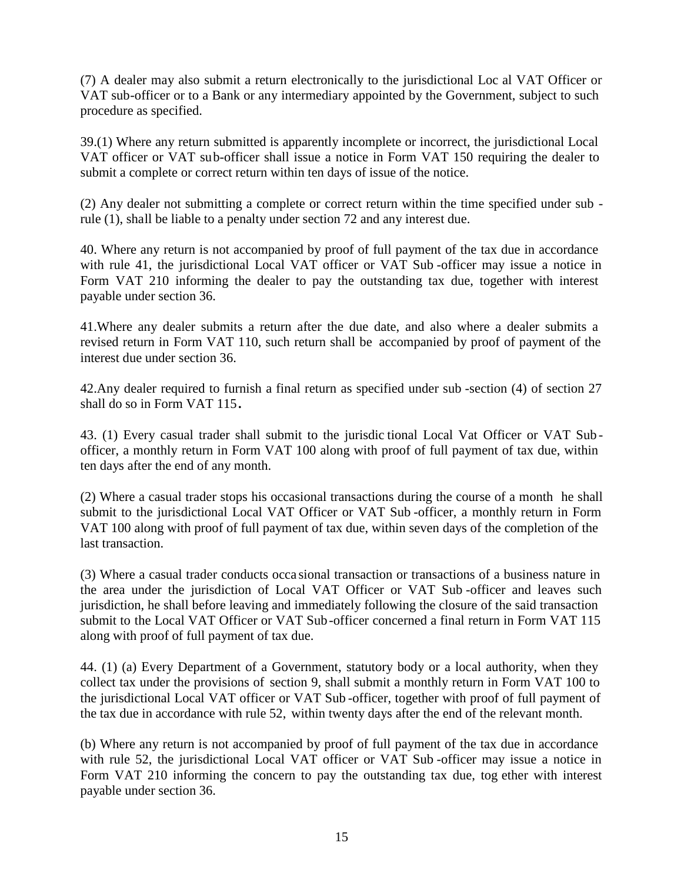(7) A dealer may also submit a return electronically to the jurisdictional Loc al VAT Officer or VAT sub-officer or to a Bank or any intermediary appointed by the Government, subject to such procedure as specified.

39.(1) Where any return submitted is apparently incomplete or incorrect, the jurisdictional Local VAT officer or VAT sub-officer shall issue a notice in Form VAT 150 requiring the dealer to submit a complete or correct return within ten days of issue of the notice.

(2) Any dealer not submitting a complete or correct return within the time specified under sub rule (1), shall be liable to a penalty under section 72 and any interest due.

40. Where any return is not accompanied by proof of full payment of the tax due in accordance with rule 41, the jurisdictional Local VAT officer or VAT Sub -officer may issue a notice in Form VAT 210 informing the dealer to pay the outstanding tax due, together with interest payable under section 36.

41.Where any dealer submits a return after the due date, and also where a dealer submits a revised return in Form VAT 110, such return shall be accompanied by proof of payment of the interest due under section 36.

42.Any dealer required to furnish a final return as specified under sub -section (4) of section 27 shall do so in Form VAT 115**.**

43. (1) Every casual trader shall submit to the jurisdic tional Local Vat Officer or VAT Sub officer, a monthly return in Form VAT 100 along with proof of full payment of tax due, within ten days after the end of any month.

(2) Where a casual trader stops his occasional transactions during the course of a month he shall submit to the jurisdictional Local VAT Officer or VAT Sub -officer, a monthly return in Form VAT 100 along with proof of full payment of tax due, within seven days of the completion of the last transaction.

(3) Where a casual trader conducts occa sional transaction or transactions of a business nature in the area under the jurisdiction of Local VAT Officer or VAT Sub -officer and leaves such jurisdiction, he shall before leaving and immediately following the closure of the said transaction submit to the Local VAT Officer or VAT Sub-officer concerned a final return in Form VAT 115 along with proof of full payment of tax due.

44. (1) (a) Every Department of a Government, statutory body or a local authority, when they collect tax under the provisions of section 9, shall submit a monthly return in Form VAT 100 to the jurisdictional Local VAT officer or VAT Sub -officer, together with proof of full payment of the tax due in accordance with rule 52, within twenty days after the end of the relevant month.

(b) Where any return is not accompanied by proof of full payment of the tax due in accordance with rule 52, the jurisdictional Local VAT officer or VAT Sub-officer may issue a notice in Form VAT 210 informing the concern to pay the outstanding tax due, tog ether with interest payable under section 36.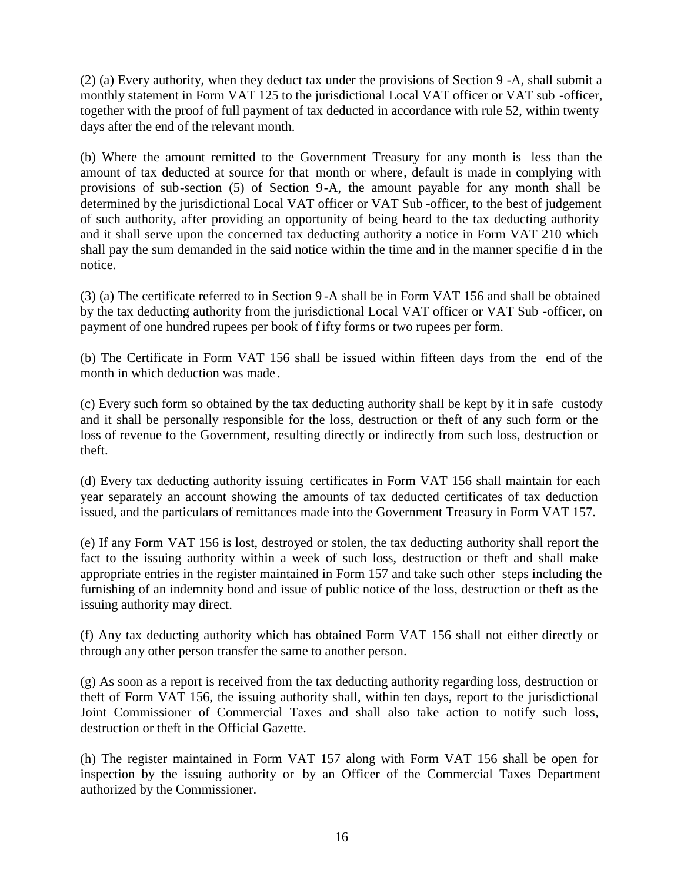(2) (a) Every authority, when they deduct tax under the provisions of Section 9 -A, shall submit a monthly statement in Form VAT 125 to the jurisdictional Local VAT officer or VAT sub -officer, together with the proof of full payment of tax deducted in accordance with rule 52, within twenty days after the end of the relevant month.

(b) Where the amount remitted to the Government Treasury for any month is less than the amount of tax deducted at source for that month or where, default is made in complying with provisions of sub-section (5) of Section 9-A, the amount payable for any month shall be determined by the jurisdictional Local VAT officer or VAT Sub -officer, to the best of judgement of such authority, after providing an opportunity of being heard to the tax deducting authority and it shall serve upon the concerned tax deducting authority a notice in Form VAT 210 which shall pay the sum demanded in the said notice within the time and in the manner specifie d in the notice.

(3) (a) The certificate referred to in Section 9 -A shall be in Form VAT 156 and shall be obtained by the tax deducting authority from the jurisdictional Local VAT officer or VAT Sub -officer, on payment of one hundred rupees per book of f ifty forms or two rupees per form.

(b) The Certificate in Form VAT 156 shall be issued within fifteen days from the end of the month in which deduction was made .

(c) Every such form so obtained by the tax deducting authority shall be kept by it in safe custody and it shall be personally responsible for the loss, destruction or theft of any such form or the loss of revenue to the Government, resulting directly or indirectly from such loss, destruction or theft.

(d) Every tax deducting authority issuing certificates in Form VAT 156 shall maintain for each year separately an account showing the amounts of tax deducted certificates of tax deduction issued, and the particulars of remittances made into the Government Treasury in Form VAT 157.

(e) If any Form VAT 156 is lost, destroyed or stolen, the tax deducting authority shall report the fact to the issuing authority within a week of such loss, destruction or theft and shall make appropriate entries in the register maintained in Form 157 and take such other steps including the furnishing of an indemnity bond and issue of public notice of the loss, destruction or theft as the issuing authority may direct.

(f) Any tax deducting authority which has obtained Form VAT 156 shall not either directly or through any other person transfer the same to another person.

(g) As soon as a report is received from the tax deducting authority regarding loss, destruction or theft of Form VAT 156, the issuing authority shall, within ten days, report to the jurisdictional Joint Commissioner of Commercial Taxes and shall also take action to notify such loss, destruction or theft in the Official Gazette.

(h) The register maintained in Form VAT 157 along with Form VAT 156 shall be open for inspection by the issuing authority or by an Officer of the Commercial Taxes Department authorized by the Commissioner.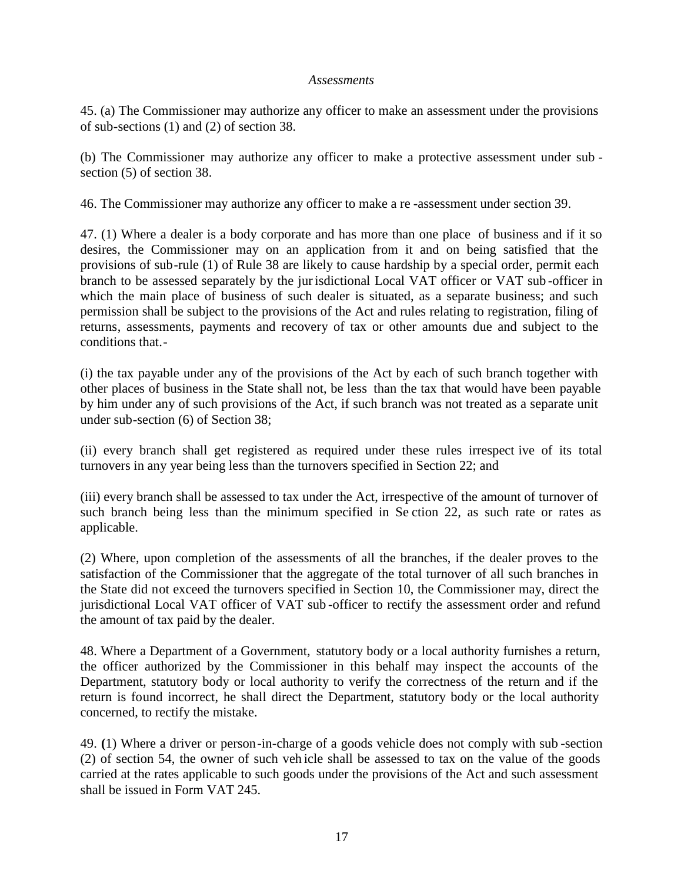#### *Assessments*

45. (a) The Commissioner may authorize any officer to make an assessment under the provisions of sub-sections (1) and (2) of section 38.

(b) The Commissioner may authorize any officer to make a protective assessment under sub section (5) of section 38.

46. The Commissioner may authorize any officer to make a re -assessment under section 39.

47. (1) Where a dealer is a body corporate and has more than one place of business and if it so desires, the Commissioner may on an application from it and on being satisfied that the provisions of sub-rule (1) of Rule 38 are likely to cause hardship by a special order, permit each branch to be assessed separately by the jurisdictional Local VAT officer or VAT sub -officer in which the main place of business of such dealer is situated, as a separate business; and such permission shall be subject to the provisions of the Act and rules relating to registration, filing of returns, assessments, payments and recovery of tax or other amounts due and subject to the conditions that.-

(i) the tax payable under any of the provisions of the Act by each of such branch together with other places of business in the State shall not, be less than the tax that would have been payable by him under any of such provisions of the Act, if such branch was not treated as a separate unit under sub-section (6) of Section 38;

(ii) every branch shall get registered as required under these rules irrespect ive of its total turnovers in any year being less than the turnovers specified in Section 22; and

(iii) every branch shall be assessed to tax under the Act, irrespective of the amount of turnover of such branch being less than the minimum specified in Se ction 22, as such rate or rates as applicable.

(2) Where, upon completion of the assessments of all the branches, if the dealer proves to the satisfaction of the Commissioner that the aggregate of the total turnover of all such branches in the State did not exceed the turnovers specified in Section 10, the Commissioner may, direct the jurisdictional Local VAT officer of VAT sub -officer to rectify the assessment order and refund the amount of tax paid by the dealer.

48. Where a Department of a Government, statutory body or a local authority furnishes a return, the officer authorized by the Commissioner in this behalf may inspect the accounts of the Department, statutory body or local authority to verify the correctness of the return and if the return is found incorrect, he shall direct the Department, statutory body or the local authority concerned, to rectify the mistake.

49. **(**1) Where a driver or person-in-charge of a goods vehicle does not comply with sub -section (2) of section 54, the owner of such veh icle shall be assessed to tax on the value of the goods carried at the rates applicable to such goods under the provisions of the Act and such assessment shall be issued in Form VAT 245.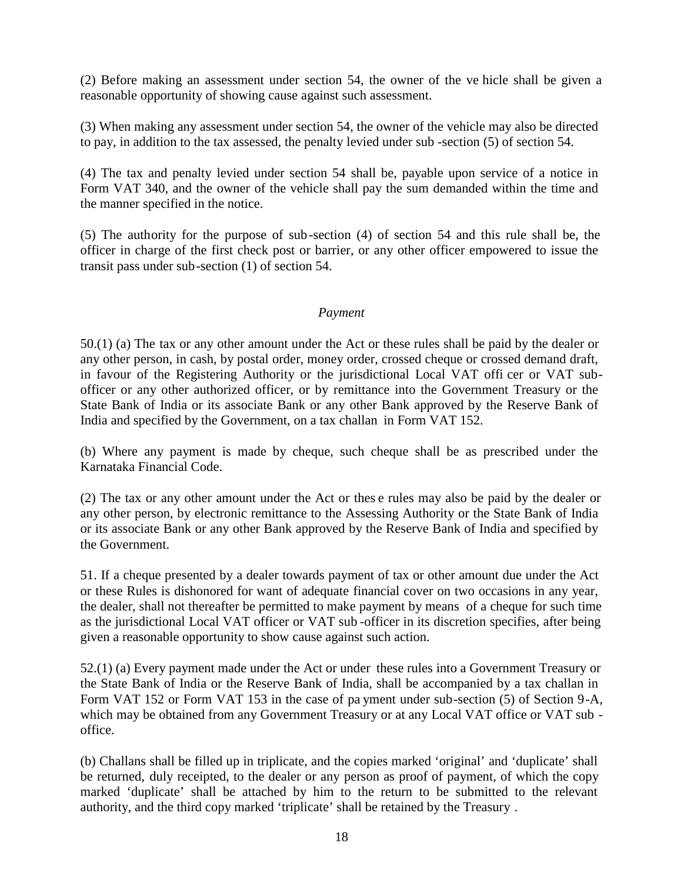(2) Before making an assessment under section 54, the owner of the ve hicle shall be given a reasonable opportunity of showing cause against such assessment.

(3) When making any assessment under section 54, the owner of the vehicle may also be directed to pay, in addition to the tax assessed, the penalty levied under sub -section (5) of section 54.

(4) The tax and penalty levied under section 54 shall be, payable upon service of a notice in Form VAT 340, and the owner of the vehicle shall pay the sum demanded within the time and the manner specified in the notice.

(5) The authority for the purpose of sub-section (4) of section 54 and this rule shall be, the officer in charge of the first check post or barrier, or any other officer empowered to issue the transit pass under sub-section (1) of section 54.

#### *Payment*

50.(1) (a) The tax or any other amount under the Act or these rules shall be paid by the dealer or any other person, in cash, by postal order, money order, crossed cheque or crossed demand draft, in favour of the Registering Authority or the jurisdictional Local VAT offi cer or VAT subofficer or any other authorized officer, or by remittance into the Government Treasury or the State Bank of India or its associate Bank or any other Bank approved by the Reserve Bank of India and specified by the Government, on a tax challan in Form VAT 152.

(b) Where any payment is made by cheque, such cheque shall be as prescribed under the Karnataka Financial Code.

(2) The tax or any other amount under the Act or thes e rules may also be paid by the dealer or any other person, by electronic remittance to the Assessing Authority or the State Bank of India or its associate Bank or any other Bank approved by the Reserve Bank of India and specified by the Government.

51. If a cheque presented by a dealer towards payment of tax or other amount due under the Act or these Rules is dishonored for want of adequate financial cover on two occasions in any year, the dealer, shall not thereafter be permitted to make payment by means of a cheque for such time as the jurisdictional Local VAT officer or VAT sub -officer in its discretion specifies, after being given a reasonable opportunity to show cause against such action.

52.(1) (a) Every payment made under the Act or under these rules into a Government Treasury or the State Bank of India or the Reserve Bank of India, shall be accompanied by a tax challan in Form VAT 152 or Form VAT 153 in the case of pa yment under sub-section (5) of Section 9-A, which may be obtained from any Government Treasury or at any Local VAT office or VAT sub office.

(b) Challans shall be filled up in triplicate, and the copies marked 'original' and 'duplicate' shall be returned, duly receipted, to the dealer or any person as proof of payment, of which the copy marked 'duplicate' shall be attached by him to the return to be submitted to the relevant authority, and the third copy marked 'triplicate' shall be retained by the Treasury .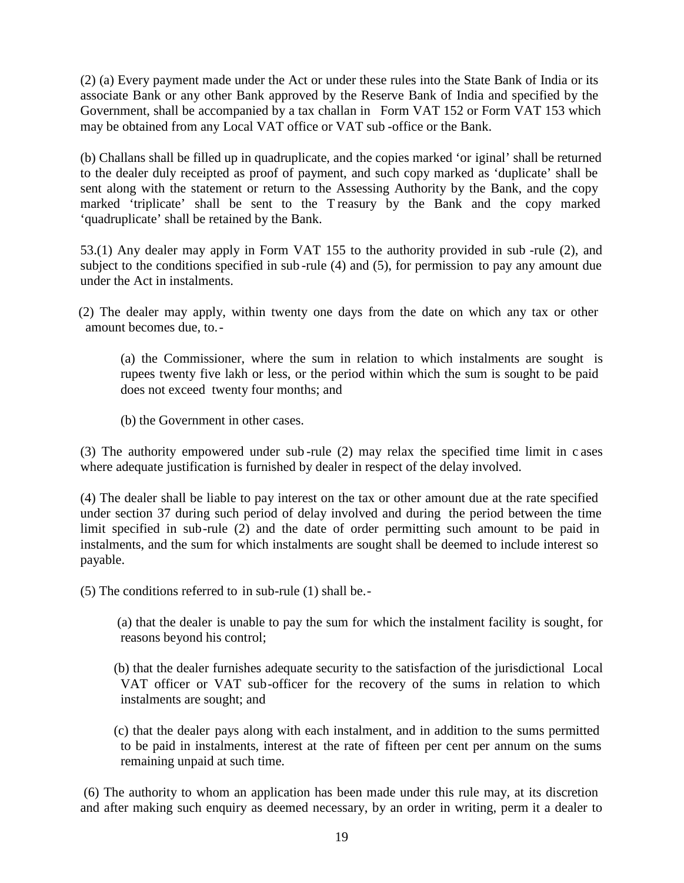(2) (a) Every payment made under the Act or under these rules into the State Bank of India or its associate Bank or any other Bank approved by the Reserve Bank of India and specified by the Government, shall be accompanied by a tax challan in Form VAT 152 or Form VAT 153 which may be obtained from any Local VAT office or VAT sub -office or the Bank.

(b) Challans shall be filled up in quadruplicate, and the copies marked 'or iginal' shall be returned to the dealer duly receipted as proof of payment, and such copy marked as 'duplicate' shall be sent along with the statement or return to the Assessing Authority by the Bank, and the copy marked 'triplicate' shall be sent to the T reasury by the Bank and the copy marked 'quadruplicate' shall be retained by the Bank.

53.(1) Any dealer may apply in Form VAT 155 to the authority provided in sub -rule (2), and subject to the conditions specified in sub -rule (4) and (5), for permission to pay any amount due under the Act in instalments.

(2) The dealer may apply, within twenty one days from the date on which any tax or other amount becomes due, to.-

(a) the Commissioner, where the sum in relation to which instalments are sought is rupees twenty five lakh or less, or the period within which the sum is sought to be paid does not exceed twenty four months; and

(b) the Government in other cases.

(3) The authority empowered under sub -rule (2) may relax the specified time limit in c ases where adequate justification is furnished by dealer in respect of the delay involved.

(4) The dealer shall be liable to pay interest on the tax or other amount due at the rate specified under section 37 during such period of delay involved and during the period between the time limit specified in sub-rule (2) and the date of order permitting such amount to be paid in instalments, and the sum for which instalments are sought shall be deemed to include interest so payable.

(5) The conditions referred to in sub-rule (1) shall be.-

(a) that the dealer is unable to pay the sum for which the instalment facility is sought, for reasons beyond his control;

- (b) that the dealer furnishes adequate security to the satisfaction of the jurisdictional Local VAT officer or VAT sub-officer for the recovery of the sums in relation to which instalments are sought; and
- (c) that the dealer pays along with each instalment, and in addition to the sums permitted to be paid in instalments, interest at the rate of fifteen per cent per annum on the sums remaining unpaid at such time.

(6) The authority to whom an application has been made under this rule may, at its discretion and after making such enquiry as deemed necessary, by an order in writing, perm it a dealer to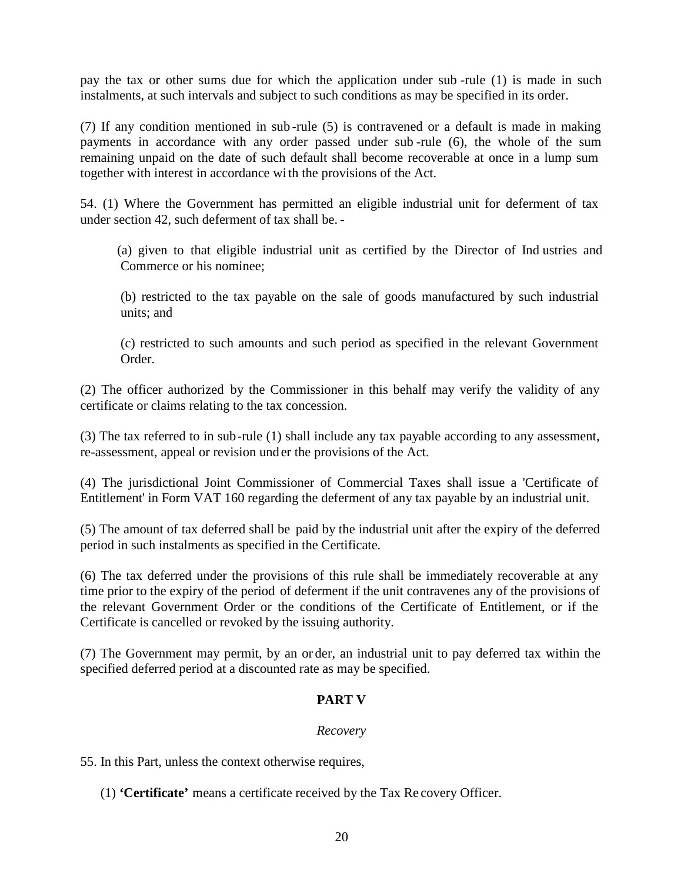pay the tax or other sums due for which the application under sub -rule (1) is made in such instalments, at such intervals and subject to such conditions as may be specified in its order.

(7) If any condition mentioned in sub -rule (5) is contravened or a default is made in making payments in accordance with any order passed under sub -rule (6), the whole of the sum remaining unpaid on the date of such default shall become recoverable at once in a lump sum together with interest in accordance wi th the provisions of the Act.

54. (1) Where the Government has permitted an eligible industrial unit for deferment of tax under section 42, such deferment of tax shall be. -

(a) given to that eligible industrial unit as certified by the Director of Ind ustries and Commerce or his nominee;

(b) restricted to the tax payable on the sale of goods manufactured by such industrial units; and

(c) restricted to such amounts and such period as specified in the relevant Government Order.

(2) The officer authorized by the Commissioner in this behalf may verify the validity of any certificate or claims relating to the tax concession.

(3) The tax referred to in sub-rule (1) shall include any tax payable according to any assessment, re-assessment, appeal or revision und er the provisions of the Act.

(4) The jurisdictional Joint Commissioner of Commercial Taxes shall issue a 'Certificate of Entitlement' in Form VAT 160 regarding the deferment of any tax payable by an industrial unit.

(5) The amount of tax deferred shall be paid by the industrial unit after the expiry of the deferred period in such instalments as specified in the Certificate.

(6) The tax deferred under the provisions of this rule shall be immediately recoverable at any time prior to the expiry of the period of deferment if the unit contravenes any of the provisions of the relevant Government Order or the conditions of the Certificate of Entitlement, or if the Certificate is cancelled or revoked by the issuing authority.

(7) The Government may permit, by an or der, an industrial unit to pay deferred tax within the specified deferred period at a discounted rate as may be specified.

## **PART V**

## *Recovery*

55. In this Part, unless the context otherwise requires,

(1) **'Certificate'** means a certificate received by the Tax Re covery Officer.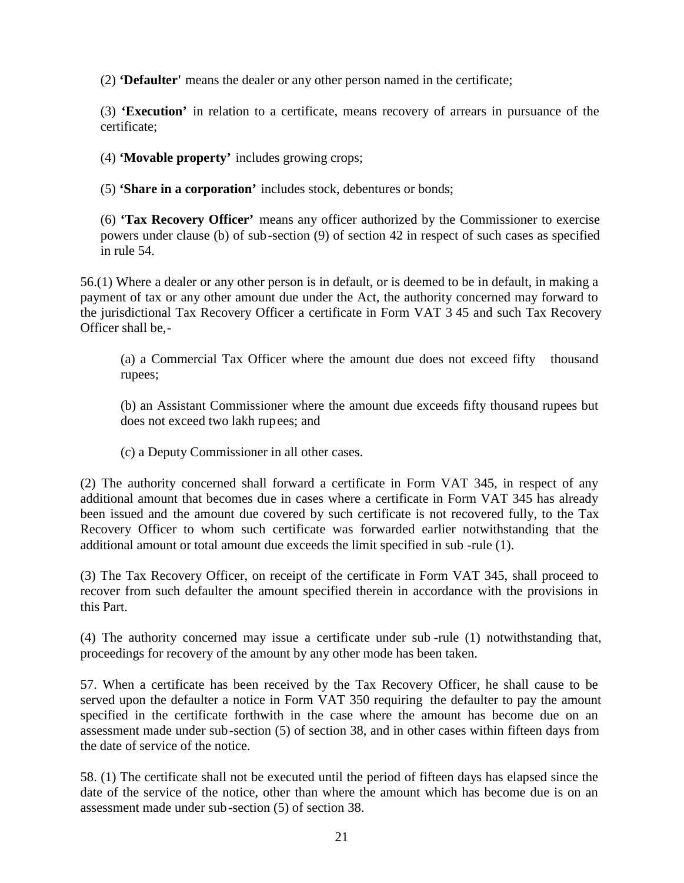(2) **'Defaulter'** means the dealer or any other person named in the certificate;

(3) **'Execution'** in relation to a certificate, means recovery of arrears in pursuance of the certificate;

(4) **'Movable property'** includes growing crops;

(5) **'Share in a corporation'** includes stock, debentures or bonds;

(6) **'Tax Recovery Officer'** means any officer authorized by the Commissioner to exercise powers under clause (b) of sub-section (9) of section 42 in respect of such cases as specified in rule 54.

56.(1) Where a dealer or any other person is in default, or is deemed to be in default, in making a payment of tax or any other amount due under the Act, the authority concerned may forward to the jurisdictional Tax Recovery Officer a certificate in Form VAT 3 45 and such Tax Recovery Officer shall be,-

(a) a Commercial Tax Officer where the amount due does not exceed fifty thousand rupees;

(b) an Assistant Commissioner where the amount due exceeds fifty thousand rupees but does not exceed two lakh rupees; and

(c) a Deputy Commissioner in all other cases.

(2) The authority concerned shall forward a certificate in Form VAT 345, in respect of any additional amount that becomes due in cases where a certificate in Form VAT 345 has already been issued and the amount due covered by such certificate is not recovered fully, to the Tax Recovery Officer to whom such certificate was forwarded earlier notwithstanding that the additional amount or total amount due exceeds the limit specified in sub -rule (1).

(3) The Tax Recovery Officer, on receipt of the certificate in Form VAT 345, shall proceed to recover from such defaulter the amount specified therein in accordance with the provisions in this Part.

(4) The authority concerned may issue a certificate under sub -rule (1) notwithstanding that, proceedings for recovery of the amount by any other mode has been taken.

57. When a certificate has been received by the Tax Recovery Officer, he shall cause to be served upon the defaulter a notice in Form VAT 350 requiring the defaulter to pay the amount specified in the certificate forthwith in the case where the amount has become due on an assessment made under sub-section (5) of section 38, and in other cases within fifteen days from the date of service of the notice.

58. (1) The certificate shall not be executed until the period of fifteen days has elapsed since the date of the service of the notice, other than where the amount which has become due is on an assessment made under sub-section (5) of section 38.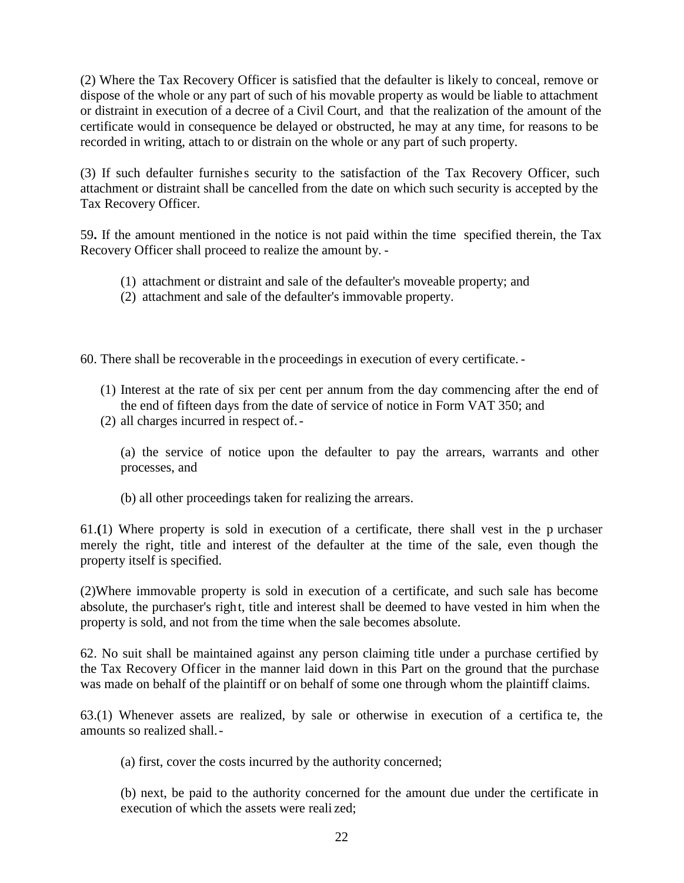(2) Where the Tax Recovery Officer is satisfied that the defaulter is likely to conceal, remove or dispose of the whole or any part of such of his movable property as would be liable to attachment or distraint in execution of a decree of a Civil Court, and that the realization of the amount of the certificate would in consequence be delayed or obstructed, he may at any time, for reasons to be recorded in writing, attach to or distrain on the whole or any part of such property.

(3) If such defaulter furnishes security to the satisfaction of the Tax Recovery Officer, such attachment or distraint shall be cancelled from the date on which such security is accepted by the Tax Recovery Officer.

59**.** If the amount mentioned in the notice is not paid within the time specified therein, the Tax Recovery Officer shall proceed to realize the amount by. -

- (1) attachment or distraint and sale of the defaulter's moveable property; and
- (2) attachment and sale of the defaulter's immovable property.

60. There shall be recoverable in the proceedings in execution of every certificate. -

- (1) Interest at the rate of six per cent per annum from the day commencing after the end of the end of fifteen days from the date of service of notice in Form VAT 350; and
- (2) all charges incurred in respect of.-

(a) the service of notice upon the defaulter to pay the arrears, warrants and other processes, and

(b) all other proceedings taken for realizing the arrears.

61.**(**1) Where property is sold in execution of a certificate, there shall vest in the p urchaser merely the right, title and interest of the defaulter at the time of the sale, even though the property itself is specified.

(2)Where immovable property is sold in execution of a certificate, and such sale has become absolute, the purchaser's right, title and interest shall be deemed to have vested in him when the property is sold, and not from the time when the sale becomes absolute.

62. No suit shall be maintained against any person claiming title under a purchase certified by the Tax Recovery Officer in the manner laid down in this Part on the ground that the purchase was made on behalf of the plaintiff or on behalf of some one through whom the plaintiff claims.

63.(1) Whenever assets are realized, by sale or otherwise in execution of a certifica te, the amounts so realized shall.-

(a) first, cover the costs incurred by the authority concerned;

(b) next, be paid to the authority concerned for the amount due under the certificate in execution of which the assets were reali zed;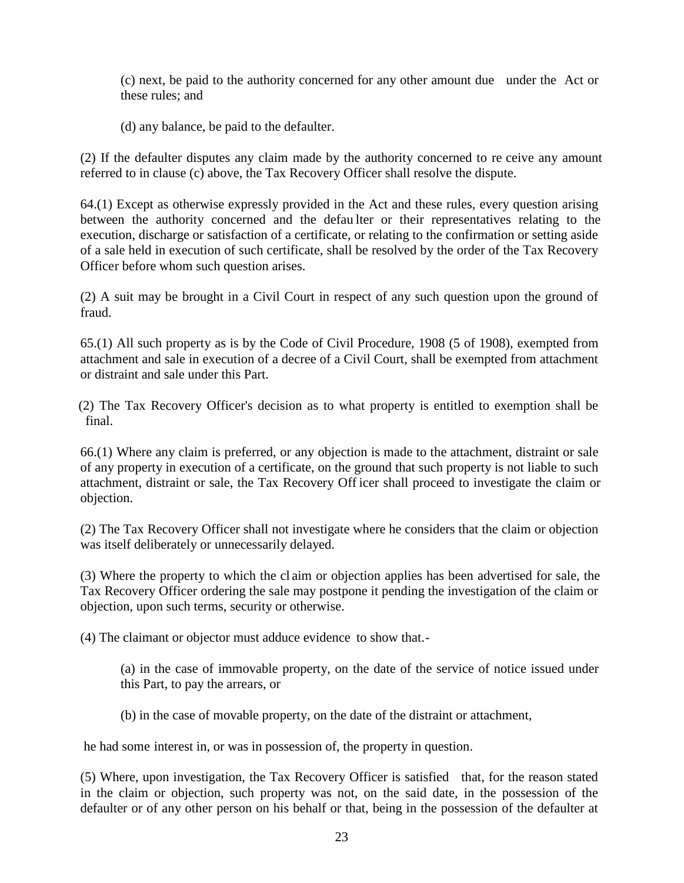(c) next, be paid to the authority concerned for any other amount due under the Act or these rules; and

(d) any balance, be paid to the defaulter.

(2) If the defaulter disputes any claim made by the authority concerned to re ceive any amount referred to in clause (c) above, the Tax Recovery Officer shall resolve the dispute.

64.(1) Except as otherwise expressly provided in the Act and these rules, every question arising between the authority concerned and the defaulter or their representatives relating to the execution, discharge or satisfaction of a certificate, or relating to the confirmation or setting aside of a sale held in execution of such certificate, shall be resolved by the order of the Tax Recovery Officer before whom such question arises.

(2) A suit may be brought in a Civil Court in respect of any such question upon the ground of fraud.

65.(1) All such property as is by the Code of Civil Procedure, 1908 (5 of 1908), exempted from attachment and sale in execution of a decree of a Civil Court, shall be exempted from attachment or distraint and sale under this Part.

(2) The Tax Recovery Officer's decision as to what property is entitled to exemption shall be final.

66.(1) Where any claim is preferred, or any objection is made to the attachment, distraint or sale of any property in execution of a certificate, on the ground that such property is not liable to such attachment, distraint or sale, the Tax Recovery Off icer shall proceed to investigate the claim or objection.

(2) The Tax Recovery Officer shall not investigate where he considers that the claim or objection was itself deliberately or unnecessarily delayed.

(3) Where the property to which the cl aim or objection applies has been advertised for sale, the Tax Recovery Officer ordering the sale may postpone it pending the investigation of the claim or objection, upon such terms, security or otherwise.

(4) The claimant or objector must adduce evidence to show that.-

(a) in the case of immovable property, on the date of the service of notice issued under this Part, to pay the arrears, or

(b) in the case of movable property, on the date of the distraint or attachment,

he had some interest in, or was in possession of, the property in question.

(5) Where, upon investigation, the Tax Recovery Officer is satisfied that, for the reason stated in the claim or objection, such property was not, on the said date, in the possession of the defaulter or of any other person on his behalf or that, being in the possession of the defaulter at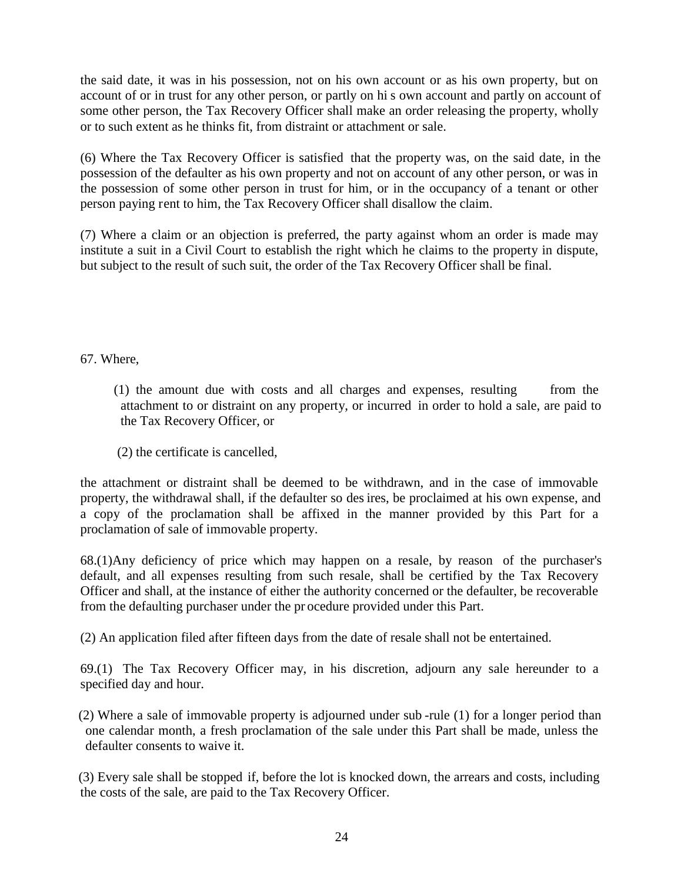the said date, it was in his possession, not on his own account or as his own property, but on account of or in trust for any other person, or partly on hi s own account and partly on account of some other person, the Tax Recovery Officer shall make an order releasing the property, wholly or to such extent as he thinks fit, from distraint or attachment or sale.

(6) Where the Tax Recovery Officer is satisfied that the property was, on the said date, in the possession of the defaulter as his own property and not on account of any other person, or was in the possession of some other person in trust for him, or in the occupancy of a tenant or other person paying rent to him, the Tax Recovery Officer shall disallow the claim.

(7) Where a claim or an objection is preferred, the party against whom an order is made may institute a suit in a Civil Court to establish the right which he claims to the property in dispute, but subject to the result of such suit, the order of the Tax Recovery Officer shall be final.

67. Where,

- (1) the amount due with costs and all charges and expenses, resulting from the attachment to or distraint on any property, or incurred in order to hold a sale, are paid to the Tax Recovery Officer, or
- (2) the certificate is cancelled,

the attachment or distraint shall be deemed to be withdrawn, and in the case of immovable property, the withdrawal shall, if the defaulter so des ires, be proclaimed at his own expense, and a copy of the proclamation shall be affixed in the manner provided by this Part for a proclamation of sale of immovable property.

68.(1)Any deficiency of price which may happen on a resale, by reason of the purchaser's default, and all expenses resulting from such resale, shall be certified by the Tax Recovery Officer and shall, at the instance of either the authority concerned or the defaulter, be recoverable from the defaulting purchaser under the pr ocedure provided under this Part.

(2) An application filed after fifteen days from the date of resale shall not be entertained.

69.(1) The Tax Recovery Officer may, in his discretion, adjourn any sale hereunder to a specified day and hour.

(2) Where a sale of immovable property is adjourned under sub -rule (1) for a longer period than one calendar month, a fresh proclamation of the sale under this Part shall be made, unless the defaulter consents to waive it.

(3) Every sale shall be stopped if, before the lot is knocked down, the arrears and costs, including the costs of the sale, are paid to the Tax Recovery Officer.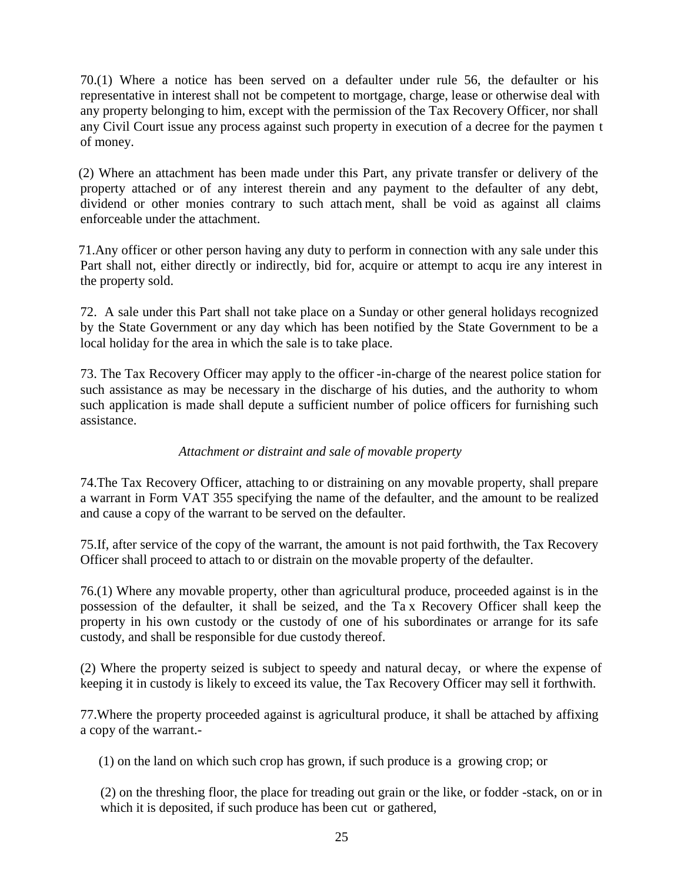70.(1) Where a notice has been served on a defaulter under rule 56, the defaulter or his representative in interest shall not be competent to mortgage, charge, lease or otherwise deal with any property belonging to him, except with the permission of the Tax Recovery Officer, nor shall any Civil Court issue any process against such property in execution of a decree for the paymen t of money.

(2) Where an attachment has been made under this Part, any private transfer or delivery of the property attached or of any interest therein and any payment to the defaulter of any debt, dividend or other monies contrary to such attach ment, shall be void as against all claims enforceable under the attachment.

71.Any officer or other person having any duty to perform in connection with any sale under this Part shall not, either directly or indirectly, bid for, acquire or attempt to acqu ire any interest in the property sold.

72. A sale under this Part shall not take place on a Sunday or other general holidays recognized by the State Government or any day which has been notified by the State Government to be a local holiday for the area in which the sale is to take place.

73. The Tax Recovery Officer may apply to the officer -in-charge of the nearest police station for such assistance as may be necessary in the discharge of his duties, and the authority to whom such application is made shall depute a sufficient number of police officers for furnishing such assistance.

## *Attachment or distraint and sale of movable property*

74.The Tax Recovery Officer, attaching to or distraining on any movable property, shall prepare a warrant in Form VAT 355 specifying the name of the defaulter, and the amount to be realized and cause a copy of the warrant to be served on the defaulter.

75.If, after service of the copy of the warrant, the amount is not paid forthwith, the Tax Recovery Officer shall proceed to attach to or distrain on the movable property of the defaulter.

76.(1) Where any movable property, other than agricultural produce, proceeded against is in the possession of the defaulter, it shall be seized, and the Ta x Recovery Officer shall keep the property in his own custody or the custody of one of his subordinates or arrange for its safe custody, and shall be responsible for due custody thereof.

(2) Where the property seized is subject to speedy and natural decay, or where the expense of keeping it in custody is likely to exceed its value, the Tax Recovery Officer may sell it forthwith.

77.Where the property proceeded against is agricultural produce, it shall be attached by affixing a copy of the warrant.-

(1) on the land on which such crop has grown, if such produce is a growing crop; or

(2) on the threshing floor, the place for treading out grain or the like, or fodder -stack, on or in which it is deposited, if such produce has been cut or gathered,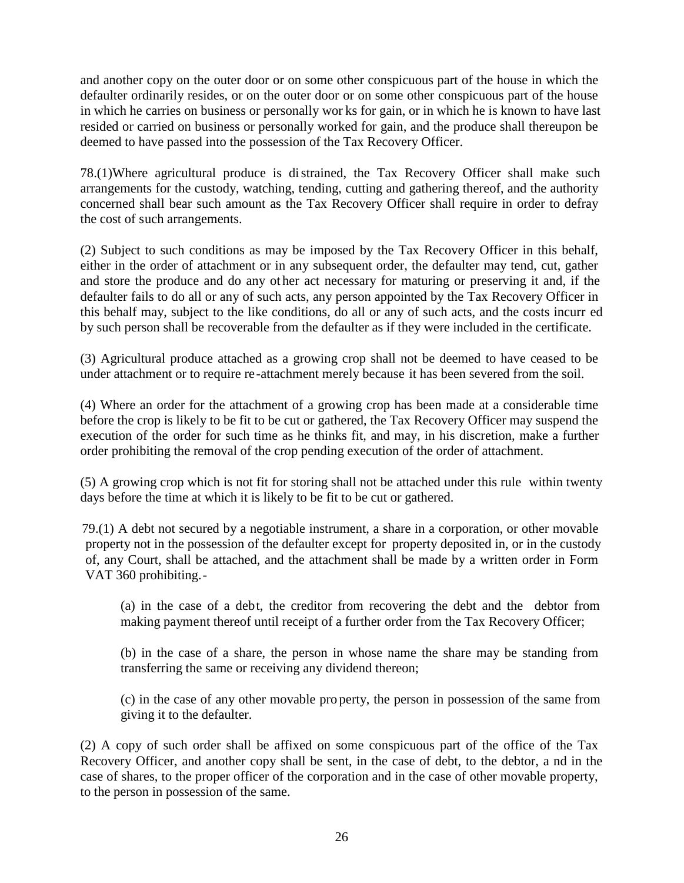and another copy on the outer door or on some other conspicuous part of the house in which the defaulter ordinarily resides, or on the outer door or on some other conspicuous part of the house in which he carries on business or personally wor ks for gain, or in which he is known to have last resided or carried on business or personally worked for gain, and the produce shall thereupon be deemed to have passed into the possession of the Tax Recovery Officer.

78.(1)Where agricultural produce is distrained, the Tax Recovery Officer shall make such arrangements for the custody, watching, tending, cutting and gathering thereof, and the authority concerned shall bear such amount as the Tax Recovery Officer shall require in order to defray the cost of such arrangements.

(2) Subject to such conditions as may be imposed by the Tax Recovery Officer in this behalf, either in the order of attachment or in any subsequent order, the defaulter may tend, cut, gather and store the produce and do any ot her act necessary for maturing or preserving it and, if the defaulter fails to do all or any of such acts, any person appointed by the Tax Recovery Officer in this behalf may, subject to the like conditions, do all or any of such acts, and the costs incurr ed by such person shall be recoverable from the defaulter as if they were included in the certificate.

(3) Agricultural produce attached as a growing crop shall not be deemed to have ceased to be under attachment or to require re -attachment merely because it has been severed from the soil.

(4) Where an order for the attachment of a growing crop has been made at a considerable time before the crop is likely to be fit to be cut or gathered, the Tax Recovery Officer may suspend the execution of the order for such time as he thinks fit, and may, in his discretion, make a further order prohibiting the removal of the crop pending execution of the order of attachment.

(5) A growing crop which is not fit for storing shall not be attached under this rule within twenty days before the time at which it is likely to be fit to be cut or gathered.

79.(1) A debt not secured by a negotiable instrument, a share in a corporation, or other movable property not in the possession of the defaulter except for property deposited in, or in the custody of, any Court, shall be attached, and the attachment shall be made by a written order in Form VAT 360 prohibiting.-

(a) in the case of a debt, the creditor from recovering the debt and the debtor from making payment thereof until receipt of a further order from the Tax Recovery Officer;

(b) in the case of a share, the person in whose name the share may be standing from transferring the same or receiving any dividend thereon;

(c) in the case of any other movable pro perty, the person in possession of the same from giving it to the defaulter.

(2) A copy of such order shall be affixed on some conspicuous part of the office of the Tax Recovery Officer, and another copy shall be sent, in the case of debt, to the debtor, a nd in the case of shares, to the proper officer of the corporation and in the case of other movable property, to the person in possession of the same.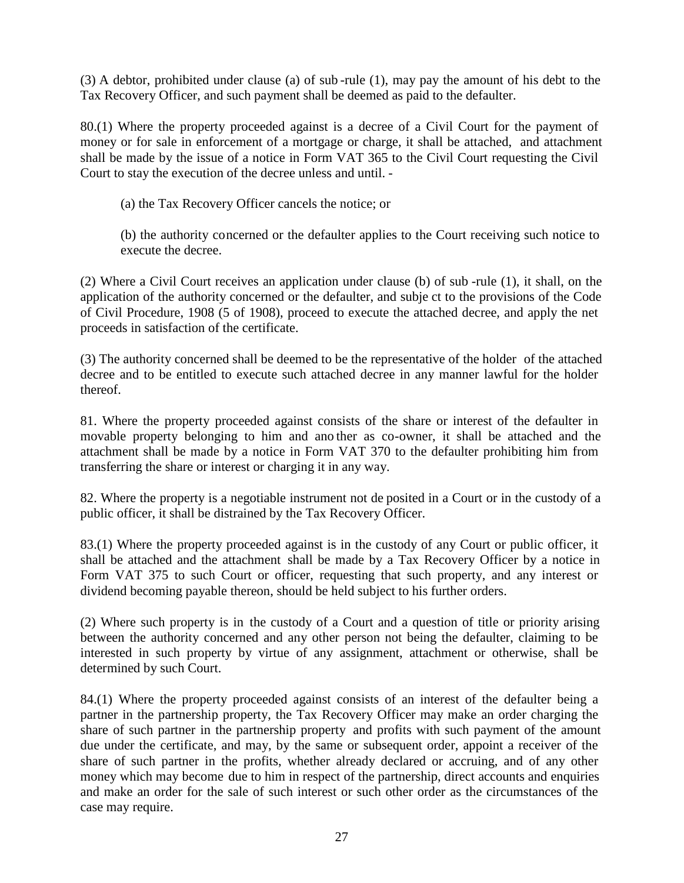(3) A debtor, prohibited under clause (a) of sub -rule (1), may pay the amount of his debt to the Tax Recovery Officer, and such payment shall be deemed as paid to the defaulter.

80.(1) Where the property proceeded against is a decree of a Civil Court for the payment of money or for sale in enforcement of a mortgage or charge, it shall be attached, and attachment shall be made by the issue of a notice in Form VAT 365 to the Civil Court requesting the Civil Court to stay the execution of the decree unless and until. -

(a) the Tax Recovery Officer cancels the notice; or

(b) the authority concerned or the defaulter applies to the Court receiving such notice to execute the decree.

(2) Where a Civil Court receives an application under clause (b) of sub -rule (1), it shall, on the application of the authority concerned or the defaulter, and subje ct to the provisions of the Code of Civil Procedure, 1908 (5 of 1908), proceed to execute the attached decree, and apply the net proceeds in satisfaction of the certificate.

(3) The authority concerned shall be deemed to be the representative of the holder of the attached decree and to be entitled to execute such attached decree in any manner lawful for the holder thereof.

81. Where the property proceeded against consists of the share or interest of the defaulter in movable property belonging to him and ano ther as co-owner, it shall be attached and the attachment shall be made by a notice in Form VAT 370 to the defaulter prohibiting him from transferring the share or interest or charging it in any way.

82. Where the property is a negotiable instrument not de posited in a Court or in the custody of a public officer, it shall be distrained by the Tax Recovery Officer.

83.(1) Where the property proceeded against is in the custody of any Court or public officer, it shall be attached and the attachment shall be made by a Tax Recovery Officer by a notice in Form VAT 375 to such Court or officer, requesting that such property, and any interest or dividend becoming payable thereon, should be held subject to his further orders.

(2) Where such property is in the custody of a Court and a question of title or priority arising between the authority concerned and any other person not being the defaulter, claiming to be interested in such property by virtue of any assignment, attachment or otherwise, shall be determined by such Court.

84.(1) Where the property proceeded against consists of an interest of the defaulter being a partner in the partnership property, the Tax Recovery Officer may make an order charging the share of such partner in the partnership property and profits with such payment of the amount due under the certificate, and may, by the same or subsequent order, appoint a receiver of the share of such partner in the profits, whether already declared or accruing, and of any other money which may become due to him in respect of the partnership, direct accounts and enquiries and make an order for the sale of such interest or such other order as the circumstances of the case may require.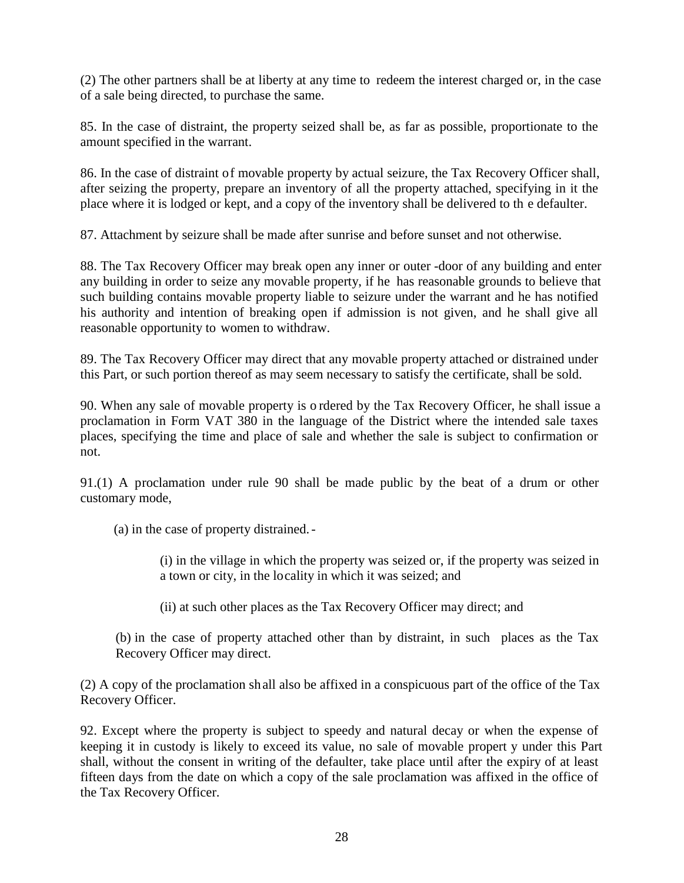(2) The other partners shall be at liberty at any time to redeem the interest charged or, in the case of a sale being directed, to purchase the same.

85. In the case of distraint, the property seized shall be, as far as possible, proportionate to the amount specified in the warrant.

86. In the case of distraint of movable property by actual seizure, the Tax Recovery Officer shall, after seizing the property, prepare an inventory of all the property attached, specifying in it the place where it is lodged or kept, and a copy of the inventory shall be delivered to th e defaulter.

87. Attachment by seizure shall be made after sunrise and before sunset and not otherwise.

88. The Tax Recovery Officer may break open any inner or outer -door of any building and enter any building in order to seize any movable property, if he has reasonable grounds to believe that such building contains movable property liable to seizure under the warrant and he has notified his authority and intention of breaking open if admission is not given, and he shall give all reasonable opportunity to women to withdraw.

89. The Tax Recovery Officer may direct that any movable property attached or distrained under this Part, or such portion thereof as may seem necessary to satisfy the certificate, shall be sold.

90. When any sale of movable property is o rdered by the Tax Recovery Officer, he shall issue a proclamation in Form VAT 380 in the language of the District where the intended sale taxes places, specifying the time and place of sale and whether the sale is subject to confirmation or not.

91.(1) A proclamation under rule 90 shall be made public by the beat of a drum or other customary mode,

(a) in the case of property distrained.-

(i) in the village in which the property was seized or, if the property was seized in a town or city, in the locality in which it was seized; and

(ii) at such other places as the Tax Recovery Officer may direct; and

(b) in the case of property attached other than by distraint, in such places as the Tax Recovery Officer may direct.

(2) A copy of the proclamation sh all also be affixed in a conspicuous part of the office of the Tax Recovery Officer.

92. Except where the property is subject to speedy and natural decay or when the expense of keeping it in custody is likely to exceed its value, no sale of movable propert y under this Part shall, without the consent in writing of the defaulter, take place until after the expiry of at least fifteen days from the date on which a copy of the sale proclamation was affixed in the office of the Tax Recovery Officer.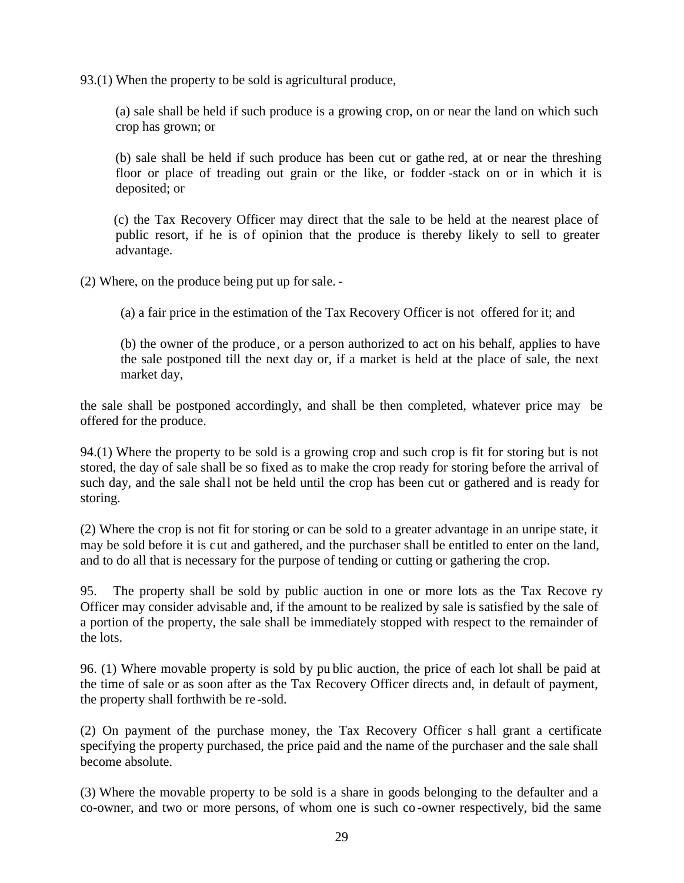93.(1) When the property to be sold is agricultural produce,

(a) sale shall be held if such produce is a growing crop, on or near the land on which such crop has grown; or

(b) sale shall be held if such produce has been cut or gathe red, at or near the threshing floor or place of treading out grain or the like, or fodder -stack on or in which it is deposited; or

(c) the Tax Recovery Officer may direct that the sale to be held at the nearest place of public resort, if he is of opinion that the produce is thereby likely to sell to greater advantage.

(2) Where, on the produce being put up for sale. -

(a) a fair price in the estimation of the Tax Recovery Officer is not offered for it; and

(b) the owner of the produce, or a person authorized to act on his behalf, applies to have the sale postponed till the next day or, if a market is held at the place of sale, the next market day,

the sale shall be postponed accordingly, and shall be then completed, whatever price may be offered for the produce.

94.(1) Where the property to be sold is a growing crop and such crop is fit for storing but is not stored, the day of sale shall be so fixed as to make the crop ready for storing before the arrival of such day, and the sale shall not be held until the crop has been cut or gathered and is ready for storing.

(2) Where the crop is not fit for storing or can be sold to a greater advantage in an unripe state, it may be sold before it is cut and gathered, and the purchaser shall be entitled to enter on the land, and to do all that is necessary for the purpose of tending or cutting or gathering the crop.

95. The property shall be sold by public auction in one or more lots as the Tax Recove ry Officer may consider advisable and, if the amount to be realized by sale is satisfied by the sale of a portion of the property, the sale shall be immediately stopped with respect to the remainder of the lots.

96. (1) Where movable property is sold by pu blic auction, the price of each lot shall be paid at the time of sale or as soon after as the Tax Recovery Officer directs and, in default of payment, the property shall forthwith be re -sold.

(2) On payment of the purchase money, the Tax Recovery Officer s hall grant a certificate specifying the property purchased, the price paid and the name of the purchaser and the sale shall become absolute.

(3) Where the movable property to be sold is a share in goods belonging to the defaulter and a co-owner, and two or more persons, of whom one is such co -owner respectively, bid the same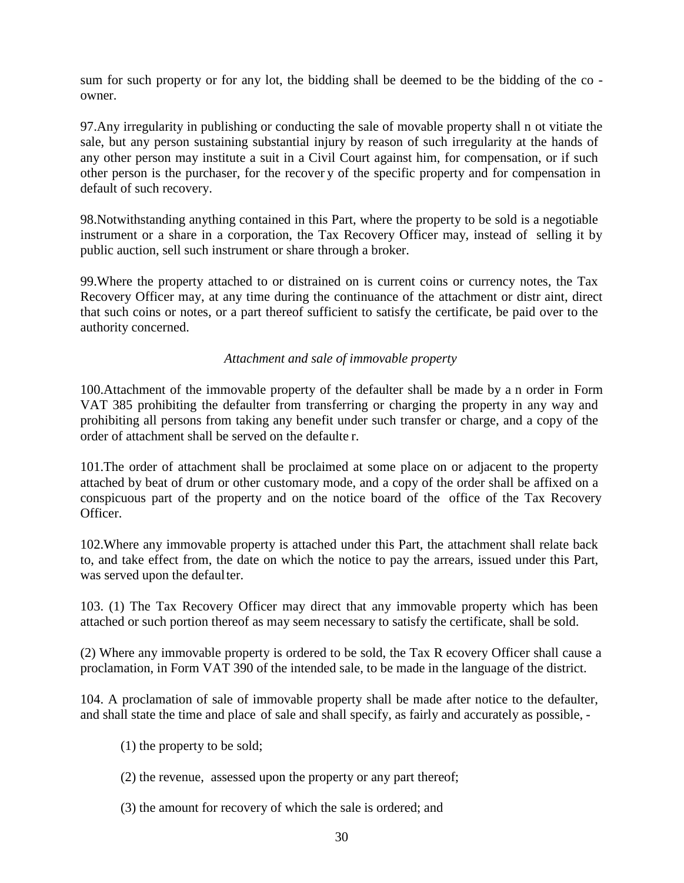sum for such property or for any lot, the bidding shall be deemed to be the bidding of the co owner.

97.Any irregularity in publishing or conducting the sale of movable property shall n ot vitiate the sale, but any person sustaining substantial injury by reason of such irregularity at the hands of any other person may institute a suit in a Civil Court against him, for compensation, or if such other person is the purchaser, for the recover y of the specific property and for compensation in default of such recovery.

98.Notwithstanding anything contained in this Part, where the property to be sold is a negotiable instrument or a share in a corporation, the Tax Recovery Officer may, instead of selling it by public auction, sell such instrument or share through a broker.

99.Where the property attached to or distrained on is current coins or currency notes, the Tax Recovery Officer may, at any time during the continuance of the attachment or distr aint, direct that such coins or notes, or a part thereof sufficient to satisfy the certificate, be paid over to the authority concerned.

## *Attachment and sale of immovable property*

100.Attachment of the immovable property of the defaulter shall be made by a n order in Form VAT 385 prohibiting the defaulter from transferring or charging the property in any way and prohibiting all persons from taking any benefit under such transfer or charge, and a copy of the order of attachment shall be served on the defaulte r.

101.The order of attachment shall be proclaimed at some place on or adjacent to the property attached by beat of drum or other customary mode, and a copy of the order shall be affixed on a conspicuous part of the property and on the notice board of the office of the Tax Recovery Officer.

102.Where any immovable property is attached under this Part, the attachment shall relate back to, and take effect from, the date on which the notice to pay the arrears, issued under this Part, was served upon the defaulter.

103. (1) The Tax Recovery Officer may direct that any immovable property which has been attached or such portion thereof as may seem necessary to satisfy the certificate, shall be sold.

(2) Where any immovable property is ordered to be sold, the Tax R ecovery Officer shall cause a proclamation, in Form VAT 390 of the intended sale, to be made in the language of the district.

104. A proclamation of sale of immovable property shall be made after notice to the defaulter, and shall state the time and place of sale and shall specify, as fairly and accurately as possible, -

- (1) the property to be sold;
- (2) the revenue, assessed upon the property or any part thereof;
- (3) the amount for recovery of which the sale is ordered; and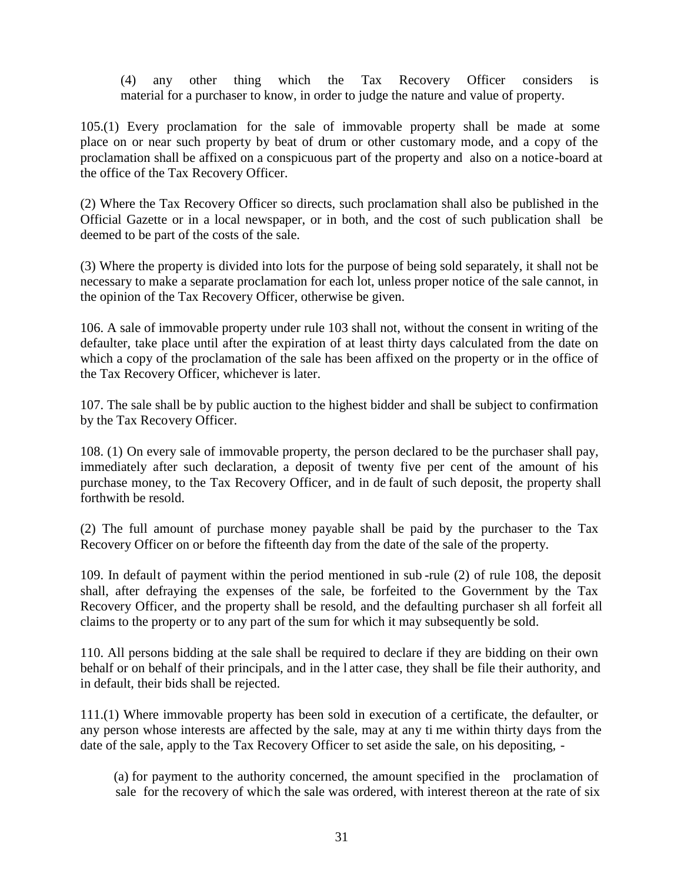(4) any other thing which the Tax Recovery Officer considers is material for a purchaser to know, in order to judge the nature and value of property.

105.(1) Every proclamation for the sale of immovable property shall be made at some place on or near such property by beat of drum or other customary mode, and a copy of the proclamation shall be affixed on a conspicuous part of the property and also on a notice-board at the office of the Tax Recovery Officer.

(2) Where the Tax Recovery Officer so directs, such proclamation shall also be published in the Official Gazette or in a local newspaper, or in both, and the cost of such publication shall be deemed to be part of the costs of the sale.

(3) Where the property is divided into lots for the purpose of being sold separately, it shall not be necessary to make a separate proclamation for each lot, unless proper notice of the sale cannot, in the opinion of the Tax Recovery Officer, otherwise be given.

106. A sale of immovable property under rule 103 shall not, without the consent in writing of the defaulter, take place until after the expiration of at least thirty days calculated from the date on which a copy of the proclamation of the sale has been affixed on the property or in the office of the Tax Recovery Officer, whichever is later.

107. The sale shall be by public auction to the highest bidder and shall be subject to confirmation by the Tax Recovery Officer.

108. (1) On every sale of immovable property, the person declared to be the purchaser shall pay, immediately after such declaration, a deposit of twenty five per cent of the amount of his purchase money, to the Tax Recovery Officer, and in de fault of such deposit, the property shall forthwith be resold.

(2) The full amount of purchase money payable shall be paid by the purchaser to the Tax Recovery Officer on or before the fifteenth day from the date of the sale of the property.

109. In default of payment within the period mentioned in sub -rule (2) of rule 108, the deposit shall, after defraying the expenses of the sale, be forfeited to the Government by the Tax Recovery Officer, and the property shall be resold, and the defaulting purchaser sh all forfeit all claims to the property or to any part of the sum for which it may subsequently be sold.

110. All persons bidding at the sale shall be required to declare if they are bidding on their own behalf or on behalf of their principals, and in the l atter case, they shall be file their authority, and in default, their bids shall be rejected.

111.(1) Where immovable property has been sold in execution of a certificate, the defaulter, or any person whose interests are affected by the sale, may at any ti me within thirty days from the date of the sale, apply to the Tax Recovery Officer to set aside the sale, on his depositing, -

(a) for payment to the authority concerned, the amount specified in the proclamation of sale for the recovery of which the sale was ordered, with interest thereon at the rate of six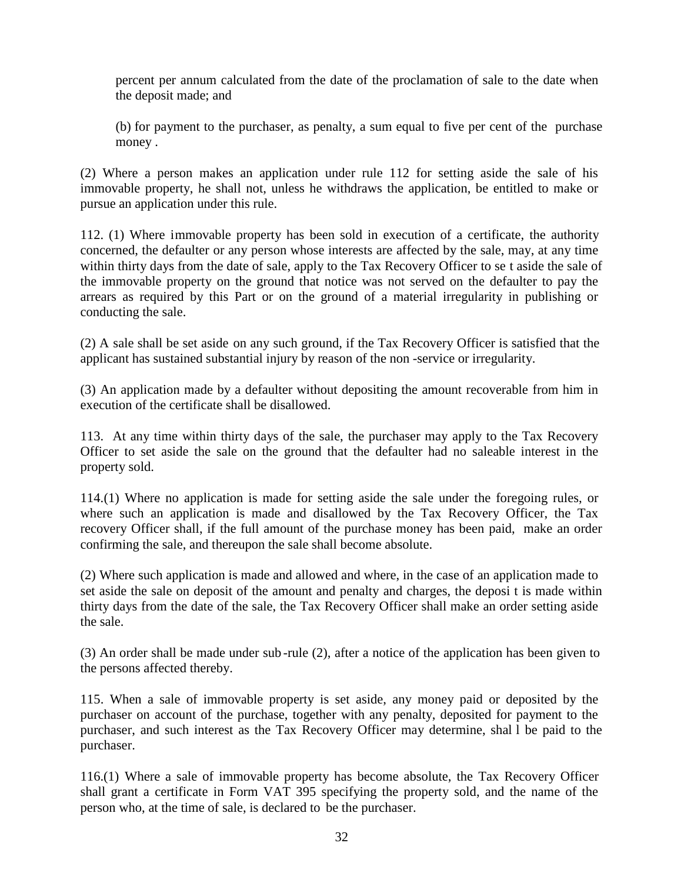percent per annum calculated from the date of the proclamation of sale to the date when the deposit made; and

(b) for payment to the purchaser, as penalty, a sum equal to five per cent of the purchase money .

(2) Where a person makes an application under rule 112 for setting aside the sale of his immovable property, he shall not, unless he withdraws the application, be entitled to make or pursue an application under this rule.

112. (1) Where immovable property has been sold in execution of a certificate, the authority concerned, the defaulter or any person whose interests are affected by the sale, may, at any time within thirty days from the date of sale, apply to the Tax Recovery Officer to se t aside the sale of the immovable property on the ground that notice was not served on the defaulter to pay the arrears as required by this Part or on the ground of a material irregularity in publishing or conducting the sale.

(2) A sale shall be set aside on any such ground, if the Tax Recovery Officer is satisfied that the applicant has sustained substantial injury by reason of the non -service or irregularity.

(3) An application made by a defaulter without depositing the amount recoverable from him in execution of the certificate shall be disallowed.

113. At any time within thirty days of the sale, the purchaser may apply to the Tax Recovery Officer to set aside the sale on the ground that the defaulter had no saleable interest in the property sold.

114.(1) Where no application is made for setting aside the sale under the foregoing rules, or where such an application is made and disallowed by the Tax Recovery Officer, the Tax recovery Officer shall, if the full amount of the purchase money has been paid, make an order confirming the sale, and thereupon the sale shall become absolute.

(2) Where such application is made and allowed and where, in the case of an application made to set aside the sale on deposit of the amount and penalty and charges, the deposi t is made within thirty days from the date of the sale, the Tax Recovery Officer shall make an order setting aside the sale.

(3) An order shall be made under sub -rule (2), after a notice of the application has been given to the persons affected thereby.

115. When a sale of immovable property is set aside, any money paid or deposited by the purchaser on account of the purchase, together with any penalty, deposited for payment to the purchaser, and such interest as the Tax Recovery Officer may determine, shal l be paid to the purchaser.

116.(1) Where a sale of immovable property has become absolute, the Tax Recovery Officer shall grant a certificate in Form VAT 395 specifying the property sold, and the name of the person who, at the time of sale, is declared to be the purchaser.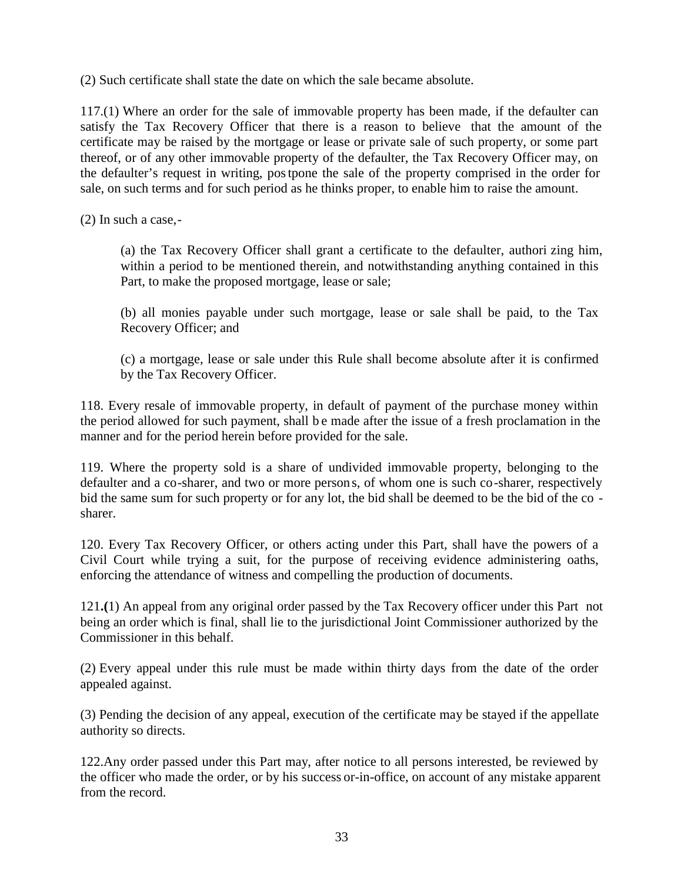(2) Such certificate shall state the date on which the sale became absolute.

117.(1) Where an order for the sale of immovable property has been made, if the defaulter can satisfy the Tax Recovery Officer that there is a reason to believe that the amount of the certificate may be raised by the mortgage or lease or private sale of such property, or some part thereof, or of any other immovable property of the defaulter, the Tax Recovery Officer may, on the defaulter's request in writing, postpone the sale of the property comprised in the order for sale, on such terms and for such period as he thinks proper, to enable him to raise the amount.

(2) In such a case,-

(a) the Tax Recovery Officer shall grant a certificate to the defaulter, authori zing him, within a period to be mentioned therein, and notwithstanding anything contained in this Part, to make the proposed mortgage, lease or sale;

(b) all monies payable under such mortgage, lease or sale shall be paid, to the Tax Recovery Officer; and

(c) a mortgage, lease or sale under this Rule shall become absolute after it is confirmed by the Tax Recovery Officer.

118. Every resale of immovable property, in default of payment of the purchase money within the period allowed for such payment, shall b e made after the issue of a fresh proclamation in the manner and for the period herein before provided for the sale.

119. Where the property sold is a share of undivided immovable property, belonging to the defaulter and a co-sharer, and two or more person s, of whom one is such co-sharer, respectively bid the same sum for such property or for any lot, the bid shall be deemed to be the bid of the co sharer.

120. Every Tax Recovery Officer, or others acting under this Part, shall have the powers of a Civil Court while trying a suit, for the purpose of receiving evidence administering oaths, enforcing the attendance of witness and compelling the production of documents.

121**.(**1) An appeal from any original order passed by the Tax Recovery officer under this Part not being an order which is final, shall lie to the jurisdictional Joint Commissioner authorized by the Commissioner in this behalf.

(2) Every appeal under this rule must be made within thirty days from the date of the order appealed against.

(3) Pending the decision of any appeal, execution of the certificate may be stayed if the appellate authority so directs.

122.Any order passed under this Part may, after notice to all persons interested, be reviewed by the officer who made the order, or by his success or-in-office, on account of any mistake apparent from the record.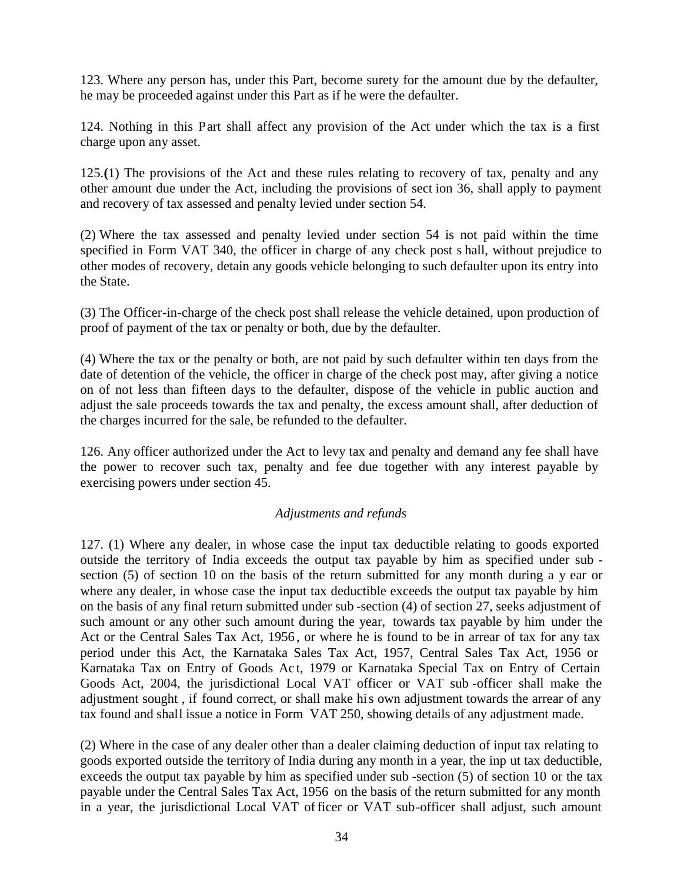123. Where any person has, under this Part, become surety for the amount due by the defaulter, he may be proceeded against under this Part as if he were the defaulter.

124. Nothing in this Part shall affect any provision of the Act under which the tax is a first charge upon any asset.

125.**(**1) The provisions of the Act and these rules relating to recovery of tax, penalty and any other amount due under the Act, including the provisions of sect ion 36, shall apply to payment and recovery of tax assessed and penalty levied under section 54.

(2) Where the tax assessed and penalty levied under section 54 is not paid within the time specified in Form VAT 340, the officer in charge of any check post s hall, without prejudice to other modes of recovery, detain any goods vehicle belonging to such defaulter upon its entry into the State.

(3) The Officer-in-charge of the check post shall release the vehicle detained, upon production of proof of payment of the tax or penalty or both, due by the defaulter.

(4) Where the tax or the penalty or both, are not paid by such defaulter within ten days from the date of detention of the vehicle, the officer in charge of the check post may, after giving a notice on of not less than fifteen days to the defaulter, dispose of the vehicle in public auction and adjust the sale proceeds towards the tax and penalty, the excess amount shall, after deduction of the charges incurred for the sale, be refunded to the defaulter.

126. Any officer authorized under the Act to levy tax and penalty and demand any fee shall have the power to recover such tax, penalty and fee due together with any interest payable by exercising powers under section 45.

#### *Adjustments and refunds*

127. (1) Where any dealer, in whose case the input tax deductible relating to goods exported outside the territory of India exceeds the output tax payable by him as specified under sub section (5) of section 10 on the basis of the return submitted for any month during a y ear or where any dealer, in whose case the input tax deductible exceeds the output tax payable by him on the basis of any final return submitted under sub -section (4) of section 27, seeks adjustment of such amount or any other such amount during the year, towards tax payable by him under the Act or the Central Sales Tax Act, 1956 , or where he is found to be in arrear of tax for any tax period under this Act, the Karnataka Sales Tax Act, 1957, Central Sales Tax Act, 1956 or Karnataka Tax on Entry of Goods Ac t, 1979 or Karnataka Special Tax on Entry of Certain Goods Act, 2004, the jurisdictional Local VAT officer or VAT sub -officer shall make the adjustment sought , if found correct, or shall make his own adjustment towards the arrear of any tax found and shall issue a notice in Form VAT 250, showing details of any adjustment made.

(2) Where in the case of any dealer other than a dealer claiming deduction of input tax relating to goods exported outside the territory of India during any month in a year, the inp ut tax deductible, exceeds the output tax payable by him as specified under sub -section (5) of section 10 or the tax payable under the Central Sales Tax Act, 1956 on the basis of the return submitted for any month in a year, the jurisdictional Local VAT officer or VAT sub-officer shall adjust, such amount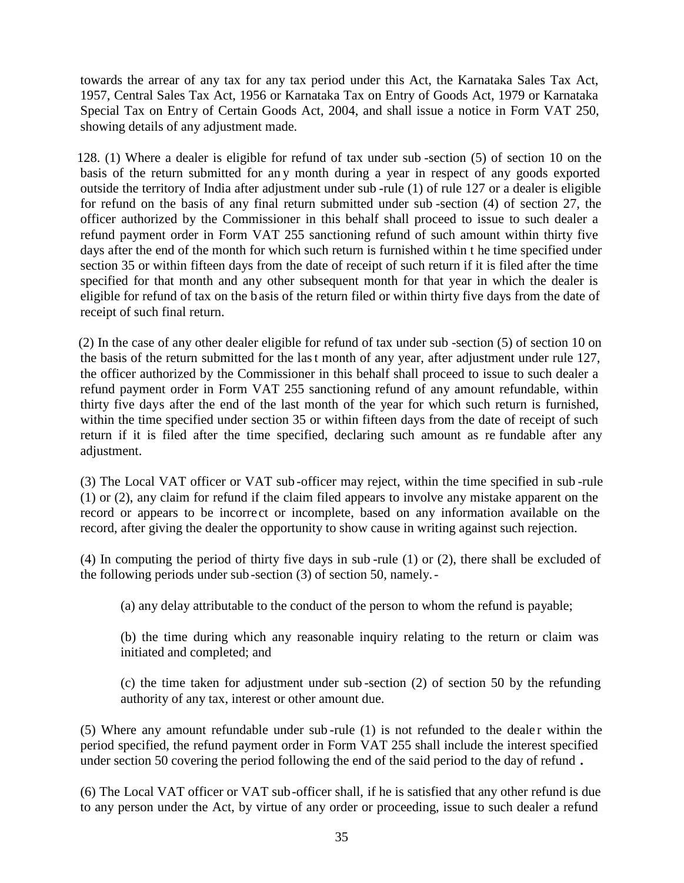towards the arrear of any tax for any tax period under this Act, the Karnataka Sales Tax Act, 1957, Central Sales Tax Act, 1956 or Karnataka Tax on Entry of Goods Act, 1979 or Karnataka Special Tax on Entry of Certain Goods Act, 2004, and shall issue a notice in Form VAT 250, showing details of any adjustment made.

128. (1) Where a dealer is eligible for refund of tax under sub -section (5) of section 10 on the basis of the return submitted for an y month during a year in respect of any goods exported outside the territory of India after adjustment under sub -rule (1) of rule 127 or a dealer is eligible for refund on the basis of any final return submitted under sub -section (4) of section 27, the officer authorized by the Commissioner in this behalf shall proceed to issue to such dealer a refund payment order in Form VAT 255 sanctioning refund of such amount within thirty five days after the end of the month for which such return is furnished within t he time specified under section 35 or within fifteen days from the date of receipt of such return if it is filed after the time specified for that month and any other subsequent month for that year in which the dealer is eligible for refund of tax on the basis of the return filed or within thirty five days from the date of receipt of such final return.

(2) In the case of any other dealer eligible for refund of tax under sub -section (5) of section 10 on the basis of the return submitted for the last month of any year, after adjustment under rule 127, the officer authorized by the Commissioner in this behalf shall proceed to issue to such dealer a refund payment order in Form VAT 255 sanctioning refund of any amount refundable, within thirty five days after the end of the last month of the year for which such return is furnished, within the time specified under section 35 or within fifteen days from the date of receipt of such return if it is filed after the time specified, declaring such amount as re fundable after any adjustment.

(3) The Local VAT officer or VAT sub -officer may reject, within the time specified in sub -rule (1) or (2), any claim for refund if the claim filed appears to involve any mistake apparent on the record or appears to be incorre ct or incomplete, based on any information available on the record, after giving the dealer the opportunity to show cause in writing against such rejection.

(4) In computing the period of thirty five days in sub -rule (1) or (2), there shall be excluded of the following periods under sub-section (3) of section 50, namely.-

(a) any delay attributable to the conduct of the person to whom the refund is payable;

(b) the time during which any reasonable inquiry relating to the return or claim was initiated and completed; and

(c) the time taken for adjustment under sub -section (2) of section 50 by the refunding authority of any tax, interest or other amount due.

(5) Where any amount refundable under sub-rule  $(1)$  is not refunded to the dealer within the period specified, the refund payment order in Form VAT 255 shall include the interest specified under section 50 covering the period following the end of the said period to the day of refund **.**

(6) The Local VAT officer or VAT sub-officer shall, if he is satisfied that any other refund is due to any person under the Act, by virtue of any order or proceeding, issue to such dealer a refund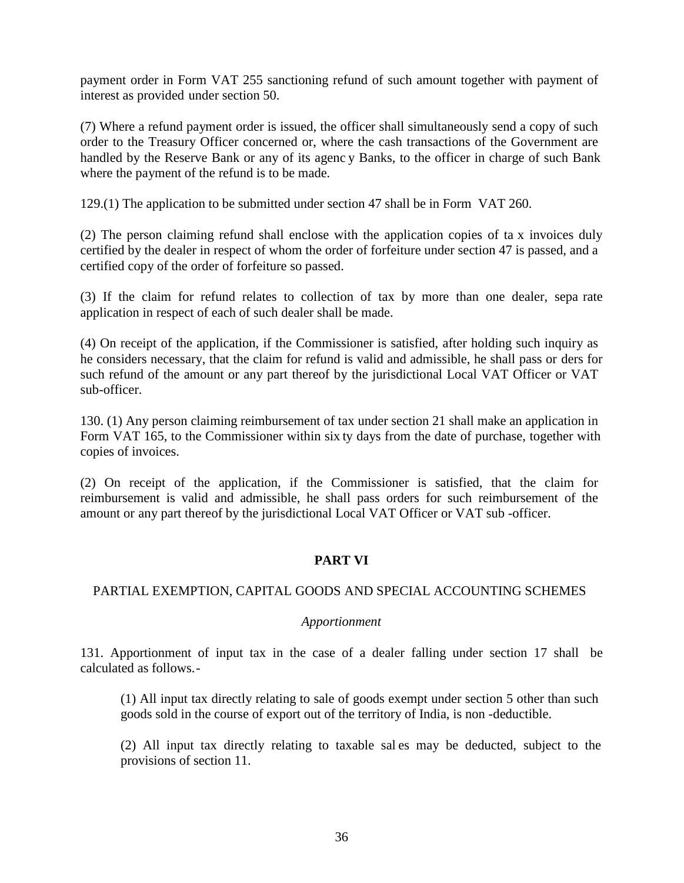payment order in Form VAT 255 sanctioning refund of such amount together with payment of interest as provided under section 50.

(7) Where a refund payment order is issued, the officer shall simultaneously send a copy of such order to the Treasury Officer concerned or, where the cash transactions of the Government are handled by the Reserve Bank or any of its agenc y Banks, to the officer in charge of such Bank where the payment of the refund is to be made.

129.(1) The application to be submitted under section 47 shall be in Form VAT 260.

(2) The person claiming refund shall enclose with the application copies of ta x invoices duly certified by the dealer in respect of whom the order of forfeiture under section 47 is passed, and a certified copy of the order of forfeiture so passed.

(3) If the claim for refund relates to collection of tax by more than one dealer, sepa rate application in respect of each of such dealer shall be made.

(4) On receipt of the application, if the Commissioner is satisfied, after holding such inquiry as he considers necessary, that the claim for refund is valid and admissible, he shall pass or ders for such refund of the amount or any part thereof by the jurisdictional Local VAT Officer or VAT sub-officer.

130. (1) Any person claiming reimbursement of tax under section 21 shall make an application in Form VAT 165, to the Commissioner within six ty days from the date of purchase, together with copies of invoices.

(2) On receipt of the application, if the Commissioner is satisfied, that the claim for reimbursement is valid and admissible, he shall pass orders for such reimbursement of the amount or any part thereof by the jurisdictional Local VAT Officer or VAT sub -officer.

## **PART VI**

## PARTIAL EXEMPTION, CAPITAL GOODS AND SPECIAL ACCOUNTING SCHEMES

#### *Apportionment*

131. Apportionment of input tax in the case of a dealer falling under section 17 shall be calculated as follows.-

(1) All input tax directly relating to sale of goods exempt under section 5 other than such goods sold in the course of export out of the territory of India, is non -deductible.

(2) All input tax directly relating to taxable sal es may be deducted, subject to the provisions of section 11.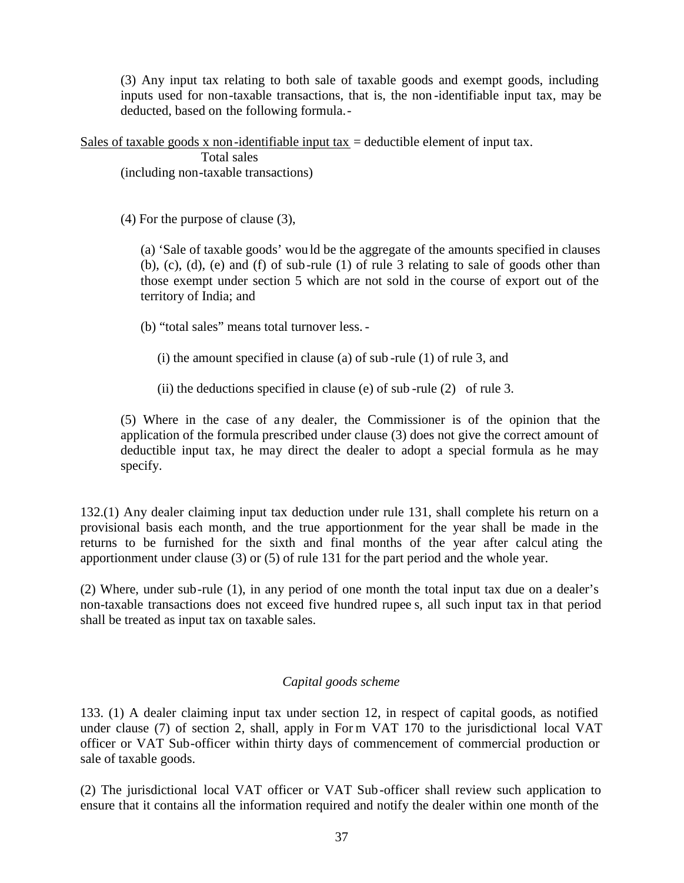(3) Any input tax relating to both sale of taxable goods and exempt goods, including inputs used for non-taxable transactions, that is, the non -identifiable input tax, may be deducted, based on the following formula.-

Sales of taxable goods x non-identifiable input tax = deductible element of input tax.

Total sales (including non-taxable transactions)

(4) For the purpose of clause (3),

(a) 'Sale of taxable goods' would be the aggregate of the amounts specified in clauses (b), (c), (d), (e) and (f) of sub-rule (1) of rule 3 relating to sale of goods other than those exempt under section 5 which are not sold in the course of export out of the territory of India; and

(b) "total sales" means total turnover less. -

(i) the amount specified in clause (a) of sub -rule (1) of rule 3, and

(ii) the deductions specified in clause (e) of sub-rule  $(2)$  of rule 3.

(5) Where in the case of any dealer, the Commissioner is of the opinion that the application of the formula prescribed under clause (3) does not give the correct amount of deductible input tax, he may direct the dealer to adopt a special formula as he may specify.

132.(1) Any dealer claiming input tax deduction under rule 131, shall complete his return on a provisional basis each month, and the true apportionment for the year shall be made in the returns to be furnished for the sixth and final months of the year after calcul ating the apportionment under clause (3) or (5) of rule 131 for the part period and the whole year.

(2) Where, under sub-rule (1), in any period of one month the total input tax due on a dealer's non-taxable transactions does not exceed five hundred rupee s, all such input tax in that period shall be treated as input tax on taxable sales.

#### *Capital goods scheme*

133. (1) A dealer claiming input tax under section 12, in respect of capital goods, as notified under clause (7) of section 2, shall, apply in For m VAT 170 to the jurisdictional local VAT officer or VAT Sub-officer within thirty days of commencement of commercial production or sale of taxable goods.

(2) The jurisdictional local VAT officer or VAT Sub-officer shall review such application to ensure that it contains all the information required and notify the dealer within one month of the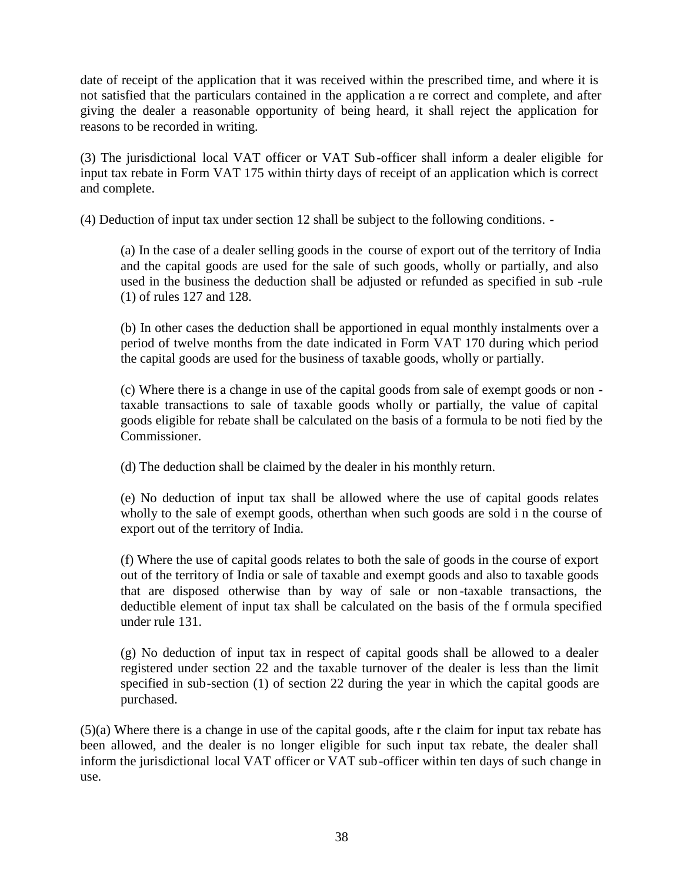date of receipt of the application that it was received within the prescribed time, and where it is not satisfied that the particulars contained in the application a re correct and complete, and after giving the dealer a reasonable opportunity of being heard, it shall reject the application for reasons to be recorded in writing.

(3) The jurisdictional local VAT officer or VAT Sub-officer shall inform a dealer eligible for input tax rebate in Form VAT 175 within thirty days of receipt of an application which is correct and complete.

(4) Deduction of input tax under section 12 shall be subject to the following conditions. -

(a) In the case of a dealer selling goods in the course of export out of the territory of India and the capital goods are used for the sale of such goods, wholly or partially, and also used in the business the deduction shall be adjusted or refunded as specified in sub -rule (1) of rules 127 and 128.

(b) In other cases the deduction shall be apportioned in equal monthly instalments over a period of twelve months from the date indicated in Form VAT 170 during which period the capital goods are used for the business of taxable goods, wholly or partially.

(c) Where there is a change in use of the capital goods from sale of exempt goods or non taxable transactions to sale of taxable goods wholly or partially, the value of capital goods eligible for rebate shall be calculated on the basis of a formula to be noti fied by the Commissioner.

(d) The deduction shall be claimed by the dealer in his monthly return.

(e) No deduction of input tax shall be allowed where the use of capital goods relates wholly to the sale of exempt goods, otherthan when such goods are sold i n the course of export out of the territory of India.

(f) Where the use of capital goods relates to both the sale of goods in the course of export out of the territory of India or sale of taxable and exempt goods and also to taxable goods that are disposed otherwise than by way of sale or non -taxable transactions, the deductible element of input tax shall be calculated on the basis of the f ormula specified under rule 131.

(g) No deduction of input tax in respect of capital goods shall be allowed to a dealer registered under section 22 and the taxable turnover of the dealer is less than the limit specified in sub-section (1) of section 22 during the year in which the capital goods are purchased.

(5)(a) Where there is a change in use of the capital goods, afte r the claim for input tax rebate has been allowed, and the dealer is no longer eligible for such input tax rebate, the dealer shall inform the jurisdictional local VAT officer or VAT sub-officer within ten days of such change in use.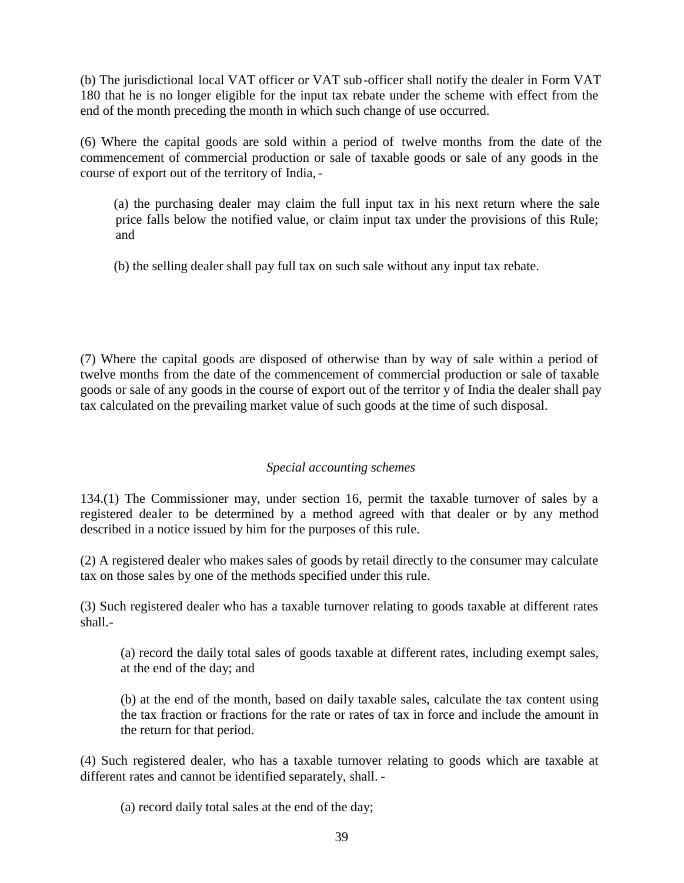(b) The jurisdictional local VAT officer or VAT sub-officer shall notify the dealer in Form VAT 180 that he is no longer eligible for the input tax rebate under the scheme with effect from the end of the month preceding the month in which such change of use occurred.

(6) Where the capital goods are sold within a period of twelve months from the date of the commencement of commercial production or sale of taxable goods or sale of any goods in the course of export out of the territory of India,-

(a) the purchasing dealer may claim the full input tax in his next return where the sale price falls below the notified value, or claim input tax under the provisions of this Rule; and

(b) the selling dealer shall pay full tax on such sale without any input tax rebate.

(7) Where the capital goods are disposed of otherwise than by way of sale within a period of twelve months from the date of the commencement of commercial production or sale of taxable goods or sale of any goods in the course of export out of the territor y of India the dealer shall pay tax calculated on the prevailing market value of such goods at the time of such disposal.

## *Special accounting schemes*

134.(1) The Commissioner may, under section 16, permit the taxable turnover of sales by a registered dealer to be determined by a method agreed with that dealer or by any method described in a notice issued by him for the purposes of this rule.

(2) A registered dealer who makes sales of goods by retail directly to the consumer may calculate tax on those sales by one of the methods specified under this rule.

(3) Such registered dealer who has a taxable turnover relating to goods taxable at different rates shall.-

(a) record the daily total sales of goods taxable at different rates, including exempt sales, at the end of the day; and

(b) at the end of the month, based on daily taxable sales, calculate the tax content using the tax fraction or fractions for the rate or rates of tax in force and include the amount in the return for that period.

(4) Such registered dealer, who has a taxable turnover relating to goods which are taxable at different rates and cannot be identified separately, shall. -

(a) record daily total sales at the end of the day;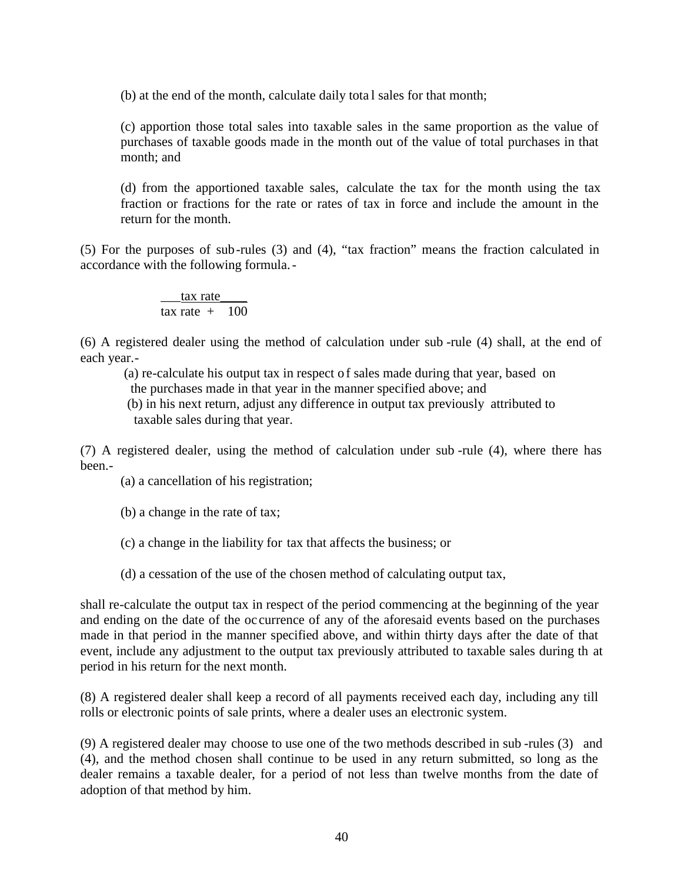(b) at the end of the month, calculate daily tota l sales for that month;

(c) apportion those total sales into taxable sales in the same proportion as the value of purchases of taxable goods made in the month out of the value of total purchases in that month; and

(d) from the apportioned taxable sales, calculate the tax for the month using the tax fraction or fractions for the rate or rates of tax in force and include the amount in the return for the month.

(5) For the purposes of sub-rules (3) and (4), "tax fraction" means the fraction calculated in accordance with the following formula.-

> tax rate tax rate  $+ 100$

(6) A registered dealer using the method of calculation under sub -rule (4) shall, at the end of each year.-

(a) re-calculate his output tax in respect o f sales made during that year, based on the purchases made in that year in the manner specified above; and

(b) in his next return, adjust any difference in output tax previously attributed to taxable sales during that year.

(7) A registered dealer, using the method of calculation under sub -rule (4), where there has been.-

(a) a cancellation of his registration;

(b) a change in the rate of tax;

(c) a change in the liability for tax that affects the business; or

(d) a cessation of the use of the chosen method of calculating output tax,

shall re-calculate the output tax in respect of the period commencing at the beginning of the year and ending on the date of the oc currence of any of the aforesaid events based on the purchases made in that period in the manner specified above, and within thirty days after the date of that event, include any adjustment to the output tax previously attributed to taxable sales during th at period in his return for the next month.

(8) A registered dealer shall keep a record of all payments received each day, including any till rolls or electronic points of sale prints, where a dealer uses an electronic system.

(9) A registered dealer may choose to use one of the two methods described in sub -rules (3) and (4), and the method chosen shall continue to be used in any return submitted, so long as the dealer remains a taxable dealer, for a period of not less than twelve months from the date of adoption of that method by him.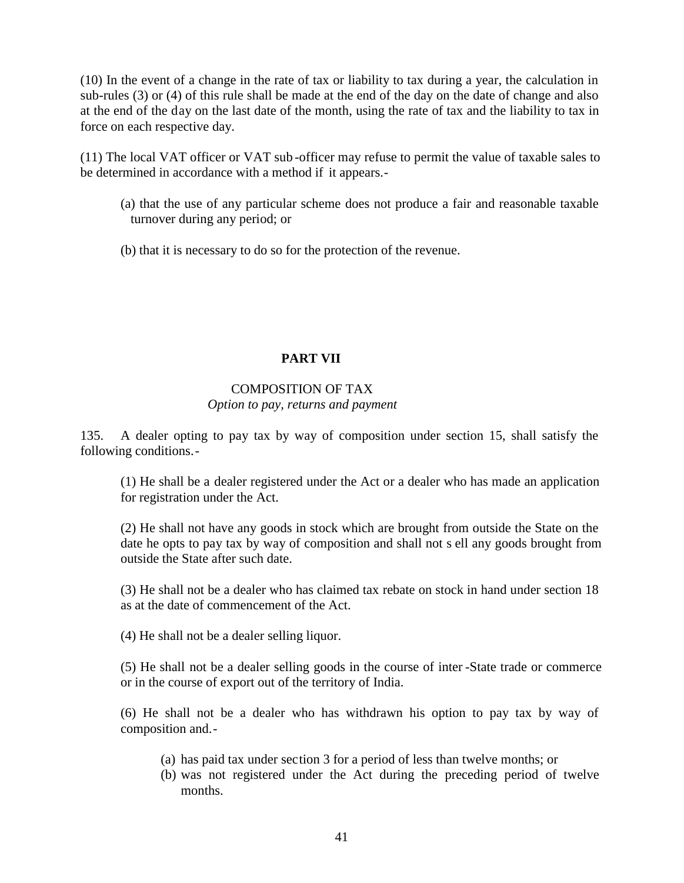(10) In the event of a change in the rate of tax or liability to tax during a year, the calculation in sub-rules (3) or (4) of this rule shall be made at the end of the day on the date of change and also at the end of the day on the last date of the month, using the rate of tax and the liability to tax in force on each respective day.

(11) The local VAT officer or VAT sub -officer may refuse to permit the value of taxable sales to be determined in accordance with a method if it appears.-

- (a) that the use of any particular scheme does not produce a fair and reasonable taxable turnover during any period; or
- (b) that it is necessary to do so for the protection of the revenue.

# **PART VII**

#### COMPOSITION OF TAX *Option to pay, returns and payment*

135. A dealer opting to pay tax by way of composition under section 15, shall satisfy the following conditions.-

(1) He shall be a dealer registered under the Act or a dealer who has made an application for registration under the Act.

(2) He shall not have any goods in stock which are brought from outside the State on the date he opts to pay tax by way of composition and shall not s ell any goods brought from outside the State after such date.

(3) He shall not be a dealer who has claimed tax rebate on stock in hand under section 18 as at the date of commencement of the Act.

(4) He shall not be a dealer selling liquor.

(5) He shall not be a dealer selling goods in the course of inter -State trade or commerce or in the course of export out of the territory of India.

(6) He shall not be a dealer who has withdrawn his option to pay tax by way of composition and.-

- (a) has paid tax under section 3 for a period of less than twelve months; or
- (b) was not registered under the Act during the preceding period of twelve months.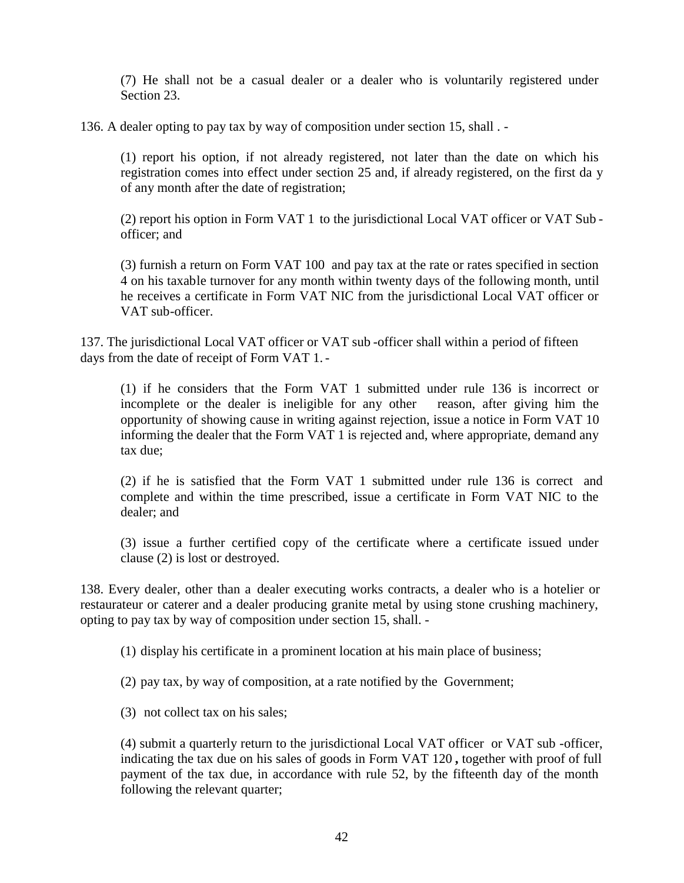(7) He shall not be a casual dealer or a dealer who is voluntarily registered under Section 23.

136. A dealer opting to pay tax by way of composition under section 15, shall . -

(1) report his option, if not already registered, not later than the date on which his registration comes into effect under section 25 and, if already registered, on the first da y of any month after the date of registration;

(2) report his option in Form VAT 1 to the jurisdictional Local VAT officer or VAT Sub officer; and

(3) furnish a return on Form VAT 100 and pay tax at the rate or rates specified in section 4 on his taxable turnover for any month within twenty days of the following month, until he receives a certificate in Form VAT NIC from the jurisdictional Local VAT officer or VAT sub-officer.

137. The jurisdictional Local VAT officer or VAT sub -officer shall within a period of fifteen days from the date of receipt of Form VAT 1.-

(1) if he considers that the Form VAT 1 submitted under rule 136 is incorrect or incomplete or the dealer is ineligible for any other reason, after giving him the opportunity of showing cause in writing against rejection, issue a notice in Form VAT 10 informing the dealer that the Form VAT 1 is rejected and, where appropriate, demand any tax due;

(2) if he is satisfied that the Form VAT 1 submitted under rule 136 is correct and complete and within the time prescribed, issue a certificate in Form VAT NIC to the dealer; and

(3) issue a further certified copy of the certificate where a certificate issued under clause (2) is lost or destroyed.

138. Every dealer, other than a dealer executing works contracts, a dealer who is a hotelier or restaurateur or caterer and a dealer producing granite metal by using stone crushing machinery, opting to pay tax by way of composition under section 15, shall. -

(1) display his certificate in a prominent location at his main place of business;

- (2) pay tax, by way of composition, at a rate notified by the Government;
- (3) not collect tax on his sales;

(4) submit a quarterly return to the jurisdictional Local VAT officer or VAT sub -officer, indicating the tax due on his sales of goods in Form VAT 120 **,** together with proof of full payment of the tax due, in accordance with rule 52, by the fifteenth day of the month following the relevant quarter;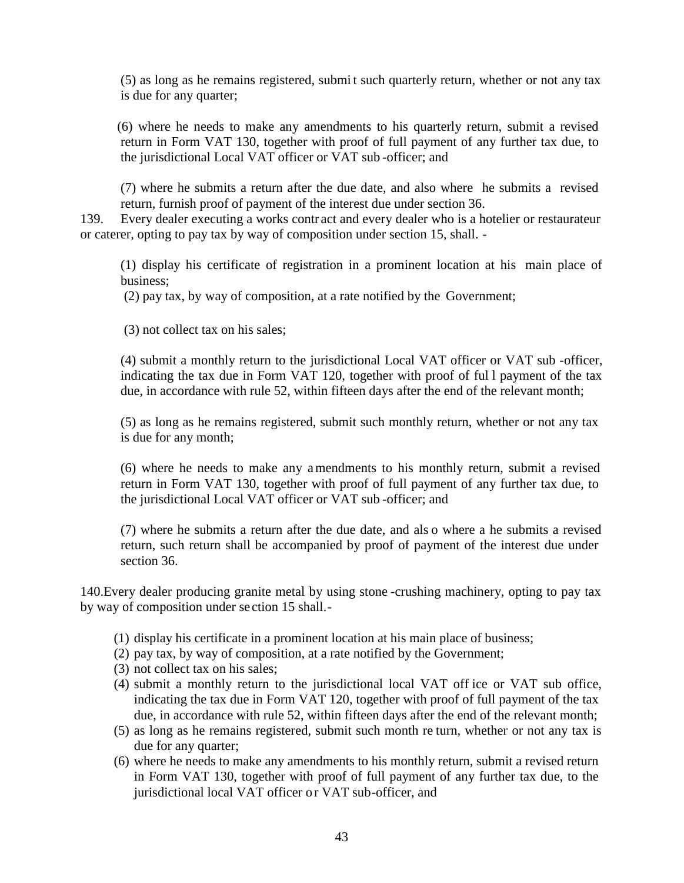(5) as long as he remains registered, submi t such quarterly return, whether or not any tax is due for any quarter;

(6) where he needs to make any amendments to his quarterly return, submit a revised return in Form VAT 130, together with proof of full payment of any further tax due, to the jurisdictional Local VAT officer or VAT sub -officer; and

(7) where he submits a return after the due date, and also where he submits a revised return, furnish proof of payment of the interest due under section 36.

139. Every dealer executing a works contr act and every dealer who is a hotelier or restaurateur or caterer, opting to pay tax by way of composition under section 15, shall. -

(1) display his certificate of registration in a prominent location at his main place of business;

(2) pay tax, by way of composition, at a rate notified by the Government;

(3) not collect tax on his sales;

(4) submit a monthly return to the jurisdictional Local VAT officer or VAT sub -officer, indicating the tax due in Form VAT 120, together with proof of ful l payment of the tax due, in accordance with rule 52, within fifteen days after the end of the relevant month;

(5) as long as he remains registered, submit such monthly return, whether or not any tax is due for any month;

(6) where he needs to make any amendments to his monthly return, submit a revised return in Form VAT 130, together with proof of full payment of any further tax due, to the jurisdictional Local VAT officer or VAT sub -officer; and

(7) where he submits a return after the due date, and als o where a he submits a revised return, such return shall be accompanied by proof of payment of the interest due under section 36.

140.Every dealer producing granite metal by using stone -crushing machinery, opting to pay tax by way of composition under se ction 15 shall.-

- (1) display his certificate in a prominent location at his main place of business;
- (2) pay tax, by way of composition, at a rate notified by the Government;
- (3) not collect tax on his sales;
- (4) submit a monthly return to the jurisdictional local VAT off ice or VAT sub office, indicating the tax due in Form VAT 120, together with proof of full payment of the tax due, in accordance with rule 52, within fifteen days after the end of the relevant month;
- (5) as long as he remains registered, submit such month re turn, whether or not any tax is due for any quarter;
- (6) where he needs to make any amendments to his monthly return, submit a revised return in Form VAT 130, together with proof of full payment of any further tax due, to the jurisdictional local VAT officer or VAT sub-officer, and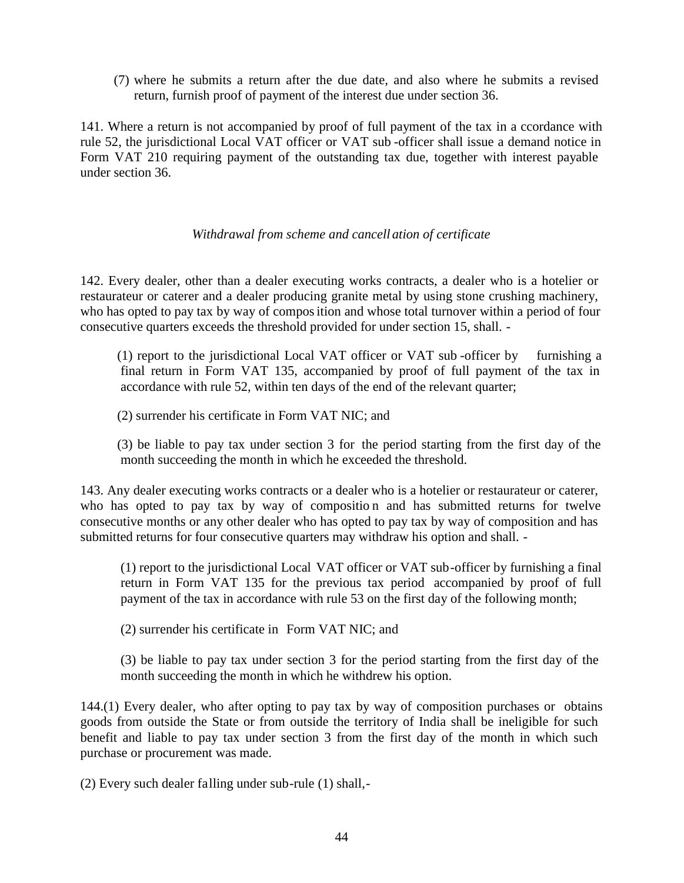(7) where he submits a return after the due date, and also where he submits a revised return, furnish proof of payment of the interest due under section 36.

141. Where a return is not accompanied by proof of full payment of the tax in a ccordance with rule 52, the jurisdictional Local VAT officer or VAT sub -officer shall issue a demand notice in Form VAT 210 requiring payment of the outstanding tax due, together with interest payable under section 36.

#### *Withdrawal from scheme and cancell ation of certificate*

142. Every dealer, other than a dealer executing works contracts, a dealer who is a hotelier or restaurateur or caterer and a dealer producing granite metal by using stone crushing machinery, who has opted to pay tax by way of composition and whose total turnover within a period of four consecutive quarters exceeds the threshold provided for under section 15, shall. -

(1) report to the jurisdictional Local VAT officer or VAT sub -officer by furnishing a final return in Form VAT 135, accompanied by proof of full payment of the tax in accordance with rule 52, within ten days of the end of the relevant quarter;

(2) surrender his certificate in Form VAT NIC; and

(3) be liable to pay tax under section 3 for the period starting from the first day of the month succeeding the month in which he exceeded the threshold.

143. Any dealer executing works contracts or a dealer who is a hotelier or restaurateur or caterer, who has opted to pay tax by way of composition and has submitted returns for twelve consecutive months or any other dealer who has opted to pay tax by way of composition and has submitted returns for four consecutive quarters may withdraw his option and shall. -

(1) report to the jurisdictional Local VAT officer or VAT sub-officer by furnishing a final return in Form VAT 135 for the previous tax period accompanied by proof of full payment of the tax in accordance with rule 53 on the first day of the following month;

(2) surrender his certificate in Form VAT NIC; and

(3) be liable to pay tax under section 3 for the period starting from the first day of the month succeeding the month in which he withdrew his option.

144.(1) Every dealer, who after opting to pay tax by way of composition purchases or obtains goods from outside the State or from outside the territory of India shall be ineligible for such benefit and liable to pay tax under section 3 from the first day of the month in which such purchase or procurement was made.

(2) Every such dealer falling under sub-rule (1) shall,-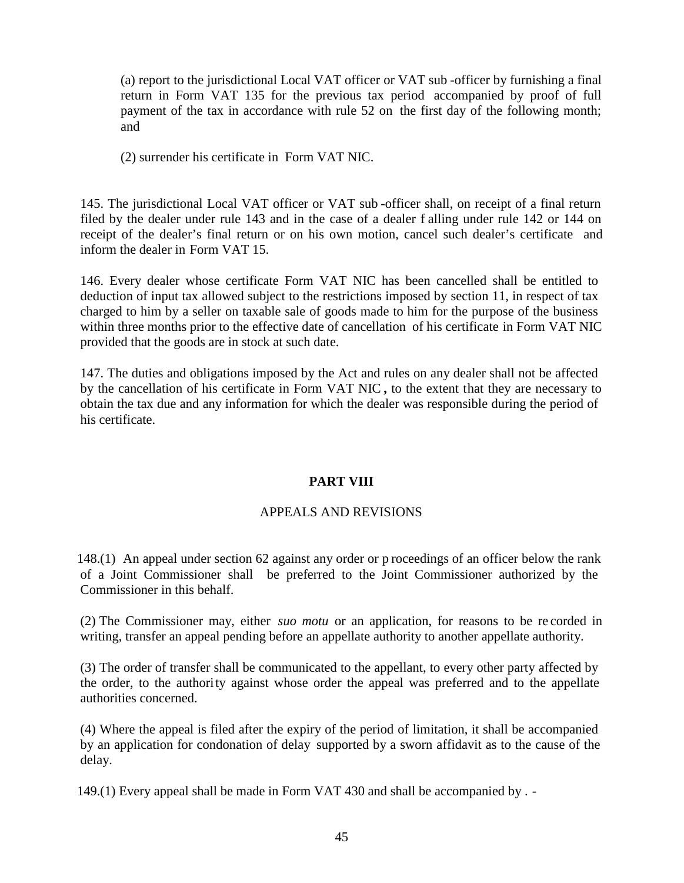(a) report to the jurisdictional Local VAT officer or VAT sub -officer by furnishing a final return in Form VAT 135 for the previous tax period accompanied by proof of full payment of the tax in accordance with rule 52 on the first day of the following month; and

(2) surrender his certificate in Form VAT NIC.

145. The jurisdictional Local VAT officer or VAT sub -officer shall, on receipt of a final return filed by the dealer under rule 143 and in the case of a dealer f alling under rule 142 or 144 on receipt of the dealer's final return or on his own motion, cancel such dealer's certificate and inform the dealer in Form VAT 15.

146. Every dealer whose certificate Form VAT NIC has been cancelled shall be entitled to deduction of input tax allowed subject to the restrictions imposed by section 11, in respect of tax charged to him by a seller on taxable sale of goods made to him for the purpose of the business within three months prior to the effective date of cancellation of his certificate in Form VAT NIC provided that the goods are in stock at such date.

147. The duties and obligations imposed by the Act and rules on any dealer shall not be affected by the cancellation of his certificate in Form VAT NIC **,** to the extent that they are necessary to obtain the tax due and any information for which the dealer was responsible during the period of his certificate.

# **PART VIII**

## APPEALS AND REVISIONS

148.(1) An appeal under section 62 against any order or p roceedings of an officer below the rank of a Joint Commissioner shall be preferred to the Joint Commissioner authorized by the Commissioner in this behalf.

(2) The Commissioner may, either *suo motu* or an application, for reasons to be re corded in writing, transfer an appeal pending before an appellate authority to another appellate authority.

(3) The order of transfer shall be communicated to the appellant, to every other party affected by the order, to the authority against whose order the appeal was preferred and to the appellate authorities concerned.

(4) Where the appeal is filed after the expiry of the period of limitation, it shall be accompanied by an application for condonation of delay supported by a sworn affidavit as to the cause of the delay.

149.(1) Every appeal shall be made in Form VAT 430 and shall be accompanied by . -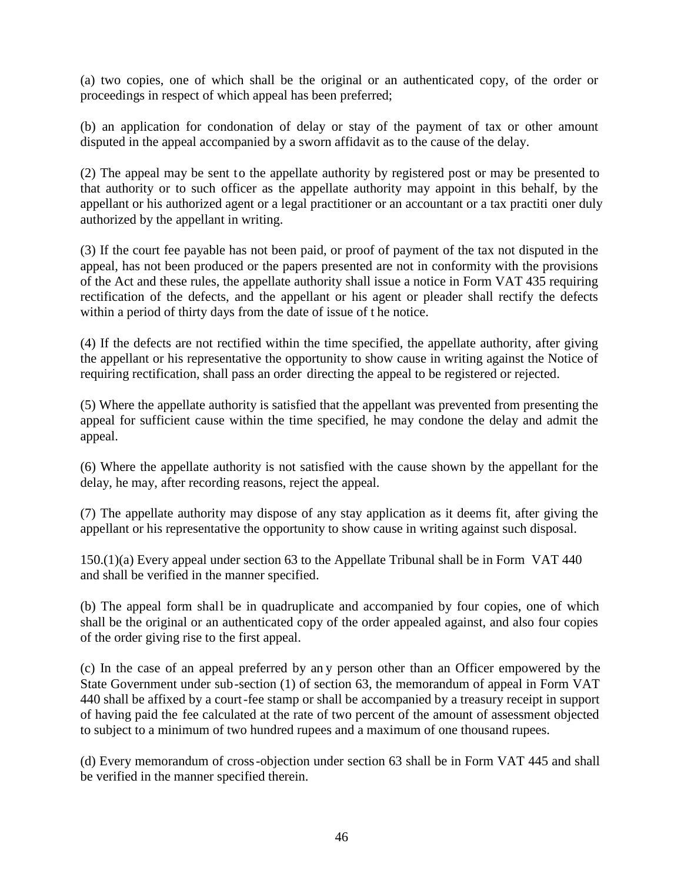(a) two copies, one of which shall be the original or an authenticated copy, of the order or proceedings in respect of which appeal has been preferred;

(b) an application for condonation of delay or stay of the payment of tax or other amount disputed in the appeal accompanied by a sworn affidavit as to the cause of the delay.

(2) The appeal may be sent to the appellate authority by registered post or may be presented to that authority or to such officer as the appellate authority may appoint in this behalf, by the appellant or his authorized agent or a legal practitioner or an accountant or a tax practiti oner duly authorized by the appellant in writing.

(3) If the court fee payable has not been paid, or proof of payment of the tax not disputed in the appeal, has not been produced or the papers presented are not in conformity with the provisions of the Act and these rules, the appellate authority shall issue a notice in Form VAT 435 requiring rectification of the defects, and the appellant or his agent or pleader shall rectify the defects within a period of thirty days from the date of issue of t he notice.

(4) If the defects are not rectified within the time specified, the appellate authority, after giving the appellant or his representative the opportunity to show cause in writing against the Notice of requiring rectification, shall pass an order directing the appeal to be registered or rejected.

(5) Where the appellate authority is satisfied that the appellant was prevented from presenting the appeal for sufficient cause within the time specified, he may condone the delay and admit the appeal.

(6) Where the appellate authority is not satisfied with the cause shown by the appellant for the delay, he may, after recording reasons, reject the appeal.

(7) The appellate authority may dispose of any stay application as it deems fit, after giving the appellant or his representative the opportunity to show cause in writing against such disposal.

150.(1)(a) Every appeal under section 63 to the Appellate Tribunal shall be in Form VAT 440 and shall be verified in the manner specified.

(b) The appeal form shall be in quadruplicate and accompanied by four copies, one of which shall be the original or an authenticated copy of the order appealed against, and also four copies of the order giving rise to the first appeal.

(c) In the case of an appeal preferred by an y person other than an Officer empowered by the State Government under sub-section (1) of section 63, the memorandum of appeal in Form VAT 440 shall be affixed by a court-fee stamp or shall be accompanied by a treasury receipt in support of having paid the fee calculated at the rate of two percent of the amount of assessment objected to subject to a minimum of two hundred rupees and a maximum of one thousand rupees.

(d) Every memorandum of cross-objection under section 63 shall be in Form VAT 445 and shall be verified in the manner specified therein.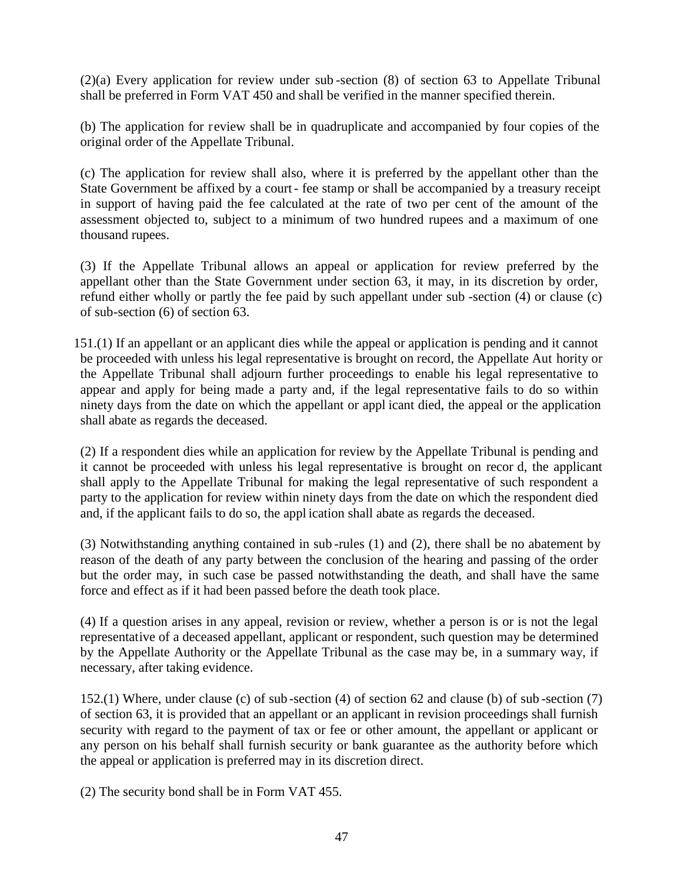(2)(a) Every application for review under sub -section (8) of section 63 to Appellate Tribunal shall be preferred in Form VAT 450 and shall be verified in the manner specified therein.

(b) The application for review shall be in quadruplicate and accompanied by four copies of the original order of the Appellate Tribunal.

(c) The application for review shall also, where it is preferred by the appellant other than the State Government be affixed by a court- fee stamp or shall be accompanied by a treasury receipt in support of having paid the fee calculated at the rate of two per cent of the amount of the assessment objected to, subject to a minimum of two hundred rupees and a maximum of one thousand rupees.

(3) If the Appellate Tribunal allows an appeal or application for review preferred by the appellant other than the State Government under section 63, it may, in its discretion by order, refund either wholly or partly the fee paid by such appellant under sub -section (4) or clause (c) of sub-section (6) of section 63.

151.(1) If an appellant or an applicant dies while the appeal or application is pending and it cannot be proceeded with unless his legal representative is brought on record, the Appellate Aut hority or the Appellate Tribunal shall adjourn further proceedings to enable his legal representative to appear and apply for being made a party and, if the legal representative fails to do so within ninety days from the date on which the appellant or appl icant died, the appeal or the application shall abate as regards the deceased.

(2) If a respondent dies while an application for review by the Appellate Tribunal is pending and it cannot be proceeded with unless his legal representative is brought on recor d, the applicant shall apply to the Appellate Tribunal for making the legal representative of such respondent a party to the application for review within ninety days from the date on which the respondent died and, if the applicant fails to do so, the appl ication shall abate as regards the deceased.

(3) Notwithstanding anything contained in sub -rules (1) and (2), there shall be no abatement by reason of the death of any party between the conclusion of the hearing and passing of the order but the order may, in such case be passed notwithstanding the death, and shall have the same force and effect as if it had been passed before the death took place.

(4) If a question arises in any appeal, revision or review, whether a person is or is not the legal representative of a deceased appellant, applicant or respondent, such question may be determined by the Appellate Authority or the Appellate Tribunal as the case may be, in a summary way, if necessary, after taking evidence.

152.(1) Where, under clause (c) of sub -section (4) of section 62 and clause (b) of sub -section (7) of section 63, it is provided that an appellant or an applicant in revision proceedings shall furnish security with regard to the payment of tax or fee or other amount, the appellant or applicant or any person on his behalf shall furnish security or bank guarantee as the authority before which the appeal or application is preferred may in its discretion direct.

(2) The security bond shall be in Form VAT 455.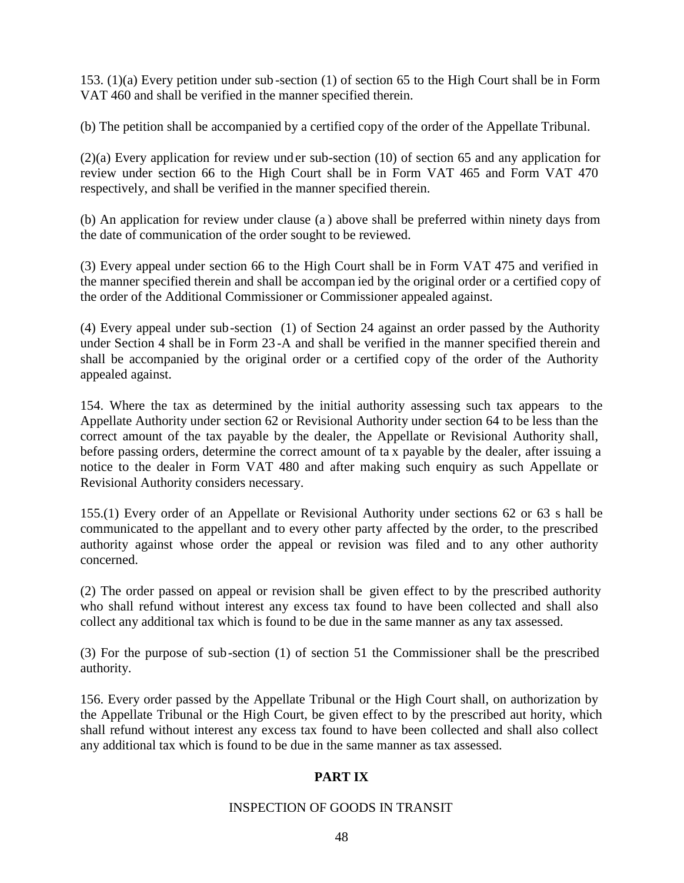153. (1)(a) Every petition under sub -section (1) of section 65 to the High Court shall be in Form VAT 460 and shall be verified in the manner specified therein.

(b) The petition shall be accompanied by a certified copy of the order of the Appellate Tribunal.

(2)(a) Every application for review und er sub-section (10) of section 65 and any application for review under section 66 to the High Court shall be in Form VAT 465 and Form VAT 470 respectively, and shall be verified in the manner specified therein.

(b) An application for review under clause (a ) above shall be preferred within ninety days from the date of communication of the order sought to be reviewed.

(3) Every appeal under section 66 to the High Court shall be in Form VAT 475 and verified in the manner specified therein and shall be accompan ied by the original order or a certified copy of the order of the Additional Commissioner or Commissioner appealed against.

(4) Every appeal under sub-section (1) of Section 24 against an order passed by the Authority under Section 4 shall be in Form 23 -A and shall be verified in the manner specified therein and shall be accompanied by the original order or a certified copy of the order of the Authority appealed against.

154. Where the tax as determined by the initial authority assessing such tax appears to the Appellate Authority under section 62 or Revisional Authority under section 64 to be less than the correct amount of the tax payable by the dealer, the Appellate or Revisional Authority shall, before passing orders, determine the correct amount of ta x payable by the dealer, after issuing a notice to the dealer in Form VAT 480 and after making such enquiry as such Appellate or Revisional Authority considers necessary.

155.(1) Every order of an Appellate or Revisional Authority under sections 62 or 63 s hall be communicated to the appellant and to every other party affected by the order, to the prescribed authority against whose order the appeal or revision was filed and to any other authority concerned.

(2) The order passed on appeal or revision shall be given effect to by the prescribed authority who shall refund without interest any excess tax found to have been collected and shall also collect any additional tax which is found to be due in the same manner as any tax assessed.

(3) For the purpose of sub-section (1) of section 51 the Commissioner shall be the prescribed authority.

156. Every order passed by the Appellate Tribunal or the High Court shall, on authorization by the Appellate Tribunal or the High Court, be given effect to by the prescribed aut hority, which shall refund without interest any excess tax found to have been collected and shall also collect any additional tax which is found to be due in the same manner as tax assessed.

## **PART IX**

#### INSPECTION OF GOODS IN TRANSIT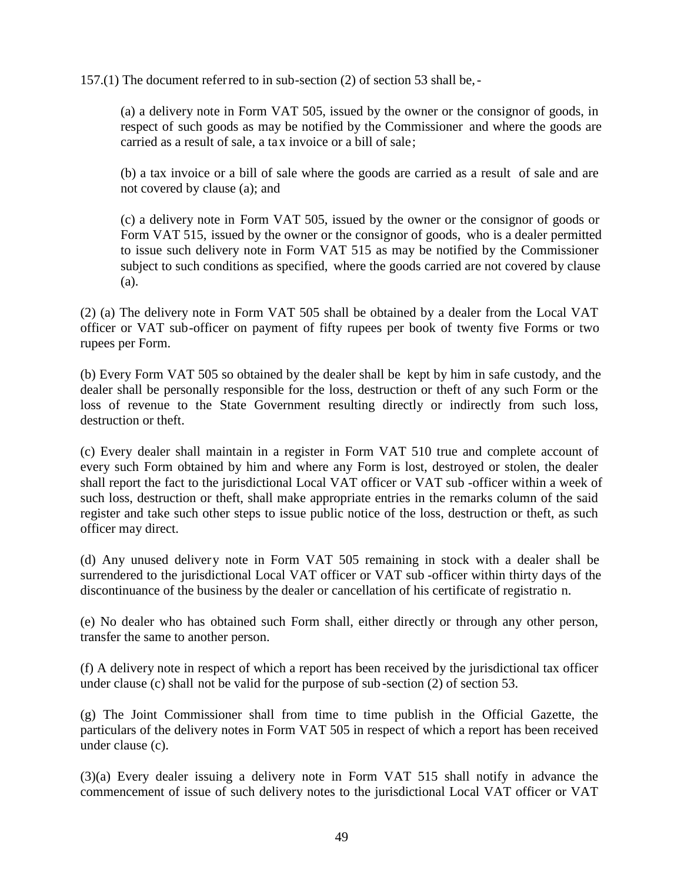157.(1) The document referred to in sub-section (2) of section 53 shall be,-

(a) a delivery note in Form VAT 505, issued by the owner or the consignor of goods, in respect of such goods as may be notified by the Commissioner and where the goods are carried as a result of sale, a tax invoice or a bill of sale;

(b) a tax invoice or a bill of sale where the goods are carried as a result of sale and are not covered by clause (a); and

(c) a delivery note in Form VAT 505, issued by the owner or the consignor of goods or Form VAT 515, issued by the owner or the consignor of goods, who is a dealer permitted to issue such delivery note in Form VAT 515 as may be notified by the Commissioner subject to such conditions as specified, where the goods carried are not covered by clause (a).

(2) (a) The delivery note in Form VAT 505 shall be obtained by a dealer from the Local VAT officer or VAT sub-officer on payment of fifty rupees per book of twenty five Forms or two rupees per Form.

(b) Every Form VAT 505 so obtained by the dealer shall be kept by him in safe custody, and the dealer shall be personally responsible for the loss, destruction or theft of any such Form or the loss of revenue to the State Government resulting directly or indirectly from such loss, destruction or theft.

(c) Every dealer shall maintain in a register in Form VAT 510 true and complete account of every such Form obtained by him and where any Form is lost, destroyed or stolen, the dealer shall report the fact to the jurisdictional Local VAT officer or VAT sub -officer within a week of such loss, destruction or theft, shall make appropriate entries in the remarks column of the said register and take such other steps to issue public notice of the loss, destruction or theft, as such officer may direct.

(d) Any unused delivery note in Form VAT 505 remaining in stock with a dealer shall be surrendered to the jurisdictional Local VAT officer or VAT sub -officer within thirty days of the discontinuance of the business by the dealer or cancellation of his certificate of registratio n.

(e) No dealer who has obtained such Form shall, either directly or through any other person, transfer the same to another person.

(f) A delivery note in respect of which a report has been received by the jurisdictional tax officer under clause (c) shall not be valid for the purpose of sub -section (2) of section 53.

(g) The Joint Commissioner shall from time to time publish in the Official Gazette, the particulars of the delivery notes in Form VAT 505 in respect of which a report has been received under clause (c).

(3)(a) Every dealer issuing a delivery note in Form VAT 515 shall notify in advance the commencement of issue of such delivery notes to the jurisdictional Local VAT officer or VAT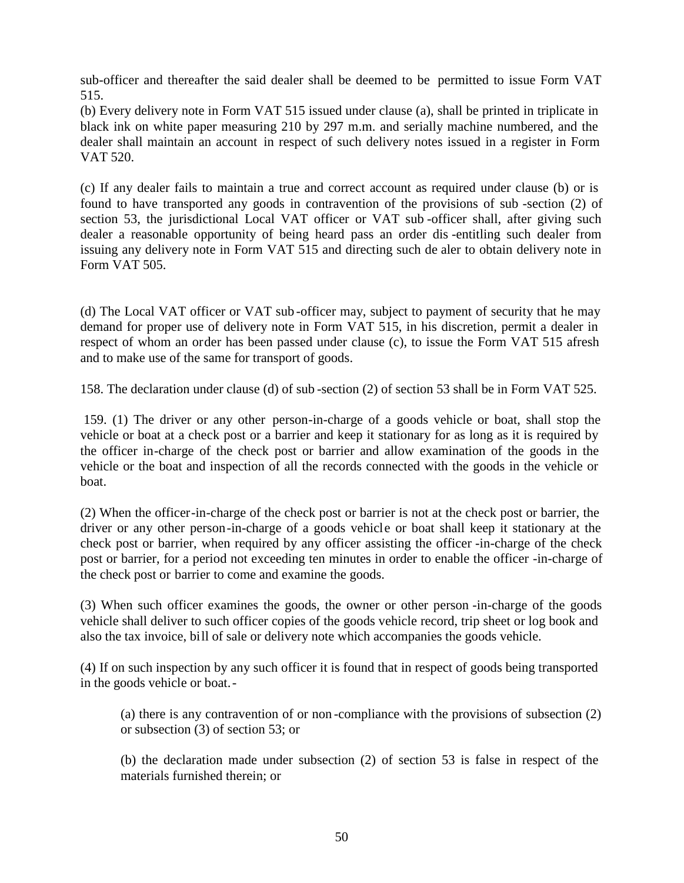sub-officer and thereafter the said dealer shall be deemed to be permitted to issue Form VAT 515.

(b) Every delivery note in Form VAT 515 issued under clause (a), shall be printed in triplicate in black ink on white paper measuring 210 by 297 m.m. and serially machine numbered, and the dealer shall maintain an account in respect of such delivery notes issued in a register in Form VAT 520.

(c) If any dealer fails to maintain a true and correct account as required under clause (b) or is found to have transported any goods in contravention of the provisions of sub -section (2) of section 53, the jurisdictional Local VAT officer or VAT sub-officer shall, after giving such dealer a reasonable opportunity of being heard pass an order dis -entitling such dealer from issuing any delivery note in Form VAT 515 and directing such de aler to obtain delivery note in Form VAT 505.

(d) The Local VAT officer or VAT sub -officer may, subject to payment of security that he may demand for proper use of delivery note in Form VAT 515, in his discretion, permit a dealer in respect of whom an order has been passed under clause (c), to issue the Form VAT 515 afresh and to make use of the same for transport of goods.

158. The declaration under clause (d) of sub -section (2) of section 53 shall be in Form VAT 525.

159. (1) The driver or any other person-in-charge of a goods vehicle or boat, shall stop the vehicle or boat at a check post or a barrier and keep it stationary for as long as it is required by the officer in-charge of the check post or barrier and allow examination of the goods in the vehicle or the boat and inspection of all the records connected with the goods in the vehicle or boat.

(2) When the officer-in-charge of the check post or barrier is not at the check post or barrier, the driver or any other person-in-charge of a goods vehicle or boat shall keep it stationary at the check post or barrier, when required by any officer assisting the officer -in-charge of the check post or barrier, for a period not exceeding ten minutes in order to enable the officer -in-charge of the check post or barrier to come and examine the goods.

(3) When such officer examines the goods, the owner or other person -in-charge of the goods vehicle shall deliver to such officer copies of the goods vehicle record, trip sheet or log book and also the tax invoice, bill of sale or delivery note which accompanies the goods vehicle.

(4) If on such inspection by any such officer it is found that in respect of goods being transported in the goods vehicle or boat.-

(a) there is any contravention of or non -compliance with the provisions of subsection (2) or subsection (3) of section 53; or

(b) the declaration made under subsection (2) of section 53 is false in respect of the materials furnished therein; or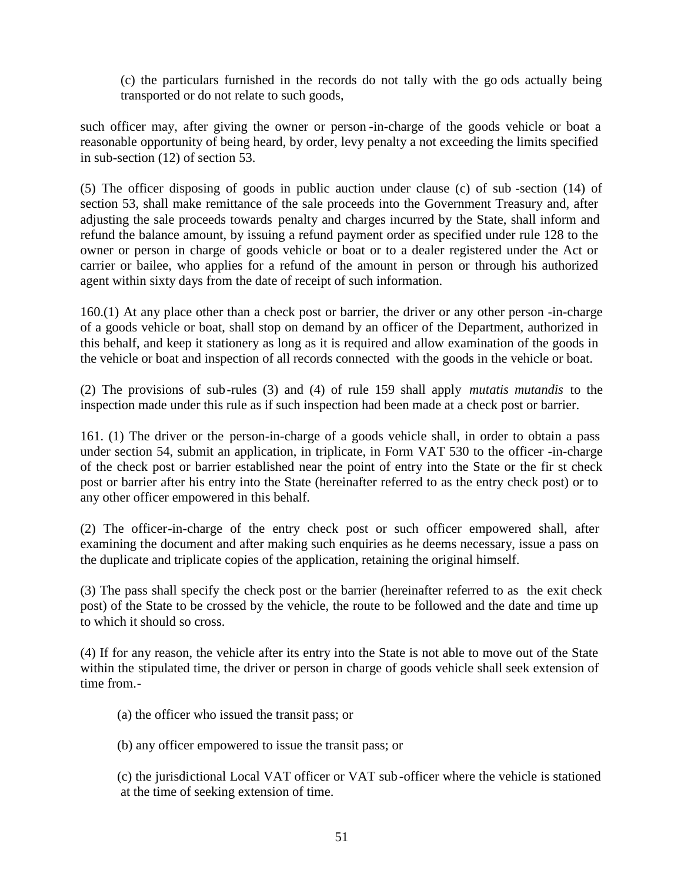(c) the particulars furnished in the records do not tally with the go ods actually being transported or do not relate to such goods,

such officer may, after giving the owner or person -in-charge of the goods vehicle or boat a reasonable opportunity of being heard, by order, levy penalty a not exceeding the limits specified in sub-section (12) of section 53.

(5) The officer disposing of goods in public auction under clause (c) of sub -section (14) of section 53, shall make remittance of the sale proceeds into the Government Treasury and, after adjusting the sale proceeds towards penalty and charges incurred by the State, shall inform and refund the balance amount, by issuing a refund payment order as specified under rule 128 to the owner or person in charge of goods vehicle or boat or to a dealer registered under the Act or carrier or bailee, who applies for a refund of the amount in person or through his authorized agent within sixty days from the date of receipt of such information.

160.(1) At any place other than a check post or barrier, the driver or any other person -in-charge of a goods vehicle or boat, shall stop on demand by an officer of the Department, authorized in this behalf, and keep it stationery as long as it is required and allow examination of the goods in the vehicle or boat and inspection of all records connected with the goods in the vehicle or boat.

(2) The provisions of sub-rules (3) and (4) of rule 159 shall apply *mutatis mutandis* to the inspection made under this rule as if such inspection had been made at a check post or barrier.

161. (1) The driver or the person-in-charge of a goods vehicle shall, in order to obtain a pass under section 54, submit an application, in triplicate, in Form VAT 530 to the officer -in-charge of the check post or barrier established near the point of entry into the State or the fir st check post or barrier after his entry into the State (hereinafter referred to as the entry check post) or to any other officer empowered in this behalf.

(2) The officer-in-charge of the entry check post or such officer empowered shall, after examining the document and after making such enquiries as he deems necessary, issue a pass on the duplicate and triplicate copies of the application, retaining the original himself.

(3) The pass shall specify the check post or the barrier (hereinafter referred to as the exit check post) of the State to be crossed by the vehicle, the route to be followed and the date and time up to which it should so cross.

(4) If for any reason, the vehicle after its entry into the State is not able to move out of the State within the stipulated time, the driver or person in charge of goods vehicle shall seek extension of time from.-

(a) the officer who issued the transit pass; or

(b) any officer empowered to issue the transit pass; or

(c) the jurisdictional Local VAT officer or VAT sub -officer where the vehicle is stationed at the time of seeking extension of time.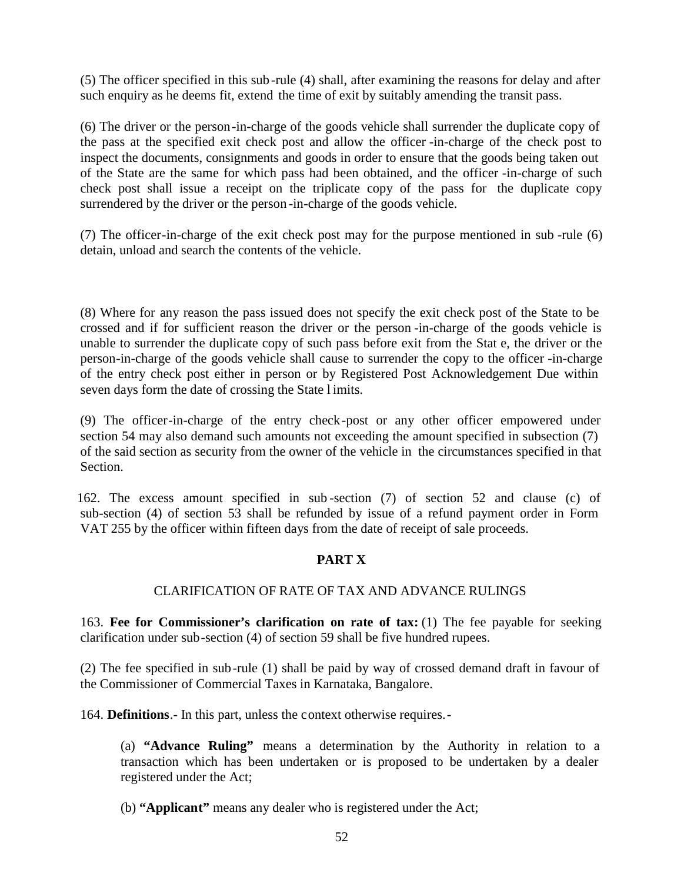(5) The officer specified in this sub -rule (4) shall, after examining the reasons for delay and after such enquiry as he deems fit, extend the time of exit by suitably amending the transit pass.

(6) The driver or the person-in-charge of the goods vehicle shall surrender the duplicate copy of the pass at the specified exit check post and allow the officer -in-charge of the check post to inspect the documents, consignments and goods in order to ensure that the goods being taken out of the State are the same for which pass had been obtained, and the officer -in-charge of such check post shall issue a receipt on the triplicate copy of the pass for the duplicate copy surrendered by the driver or the person -in-charge of the goods vehicle.

(7) The officer-in-charge of the exit check post may for the purpose mentioned in sub -rule (6) detain, unload and search the contents of the vehicle.

(8) Where for any reason the pass issued does not specify the exit check post of the State to be crossed and if for sufficient reason the driver or the person -in-charge of the goods vehicle is unable to surrender the duplicate copy of such pass before exit from the Stat e, the driver or the person-in-charge of the goods vehicle shall cause to surrender the copy to the officer -in-charge of the entry check post either in person or by Registered Post Acknowledgement Due within seven days form the date of crossing the State l imits.

(9) The officer-in-charge of the entry check-post or any other officer empowered under section 54 may also demand such amounts not exceeding the amount specified in subsection (7) of the said section as security from the owner of the vehicle in the circumstances specified in that Section.

162. The excess amount specified in sub -section (7) of section 52 and clause (c) of sub-section (4) of section 53 shall be refunded by issue of a refund payment order in Form VAT 255 by the officer within fifteen days from the date of receipt of sale proceeds.

## **PART X**

## CLARIFICATION OF RATE OF TAX AND ADVANCE RULINGS

163. **Fee for Commissioner's clarification on rate of tax:** (1) The fee payable for seeking clarification under sub-section (4) of section 59 shall be five hundred rupees.

(2) The fee specified in sub-rule (1) shall be paid by way of crossed demand draft in favour of the Commissioner of Commercial Taxes in Karnataka, Bangalore.

164. **Definitions**.- In this part, unless the context otherwise requires.-

(a) **"Advance Ruling"** means a determination by the Authority in relation to a transaction which has been undertaken or is proposed to be undertaken by a dealer registered under the Act;

(b) **"Applicant"** means any dealer who is registered under the Act;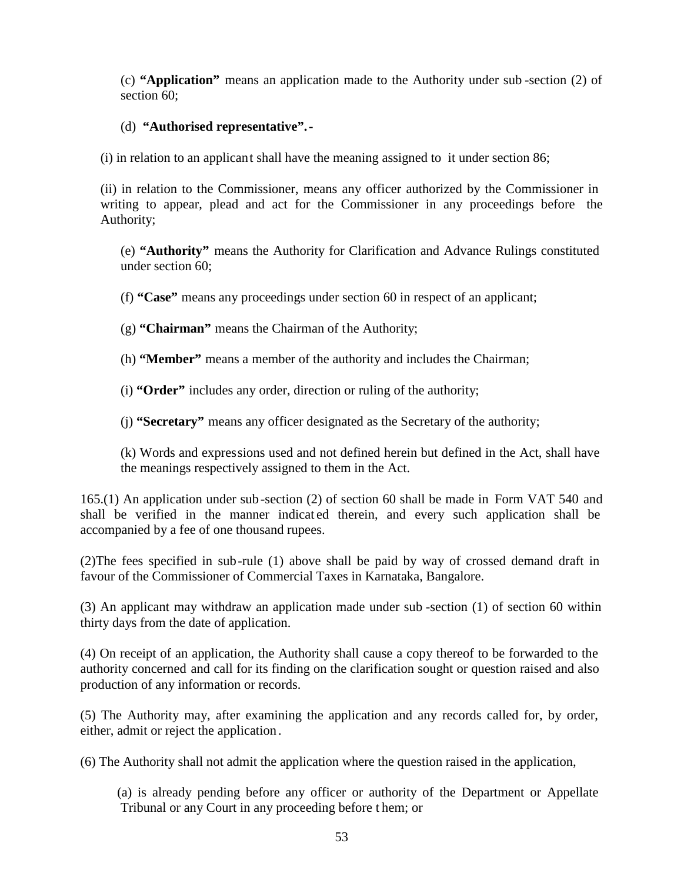(c) **"Application"** means an application made to the Authority under sub -section (2) of section 60:

#### (d) **"Authorised representative".-**

(i) in relation to an applicant shall have the meaning assigned to it under section 86;

(ii) in relation to the Commissioner, means any officer authorized by the Commissioner in writing to appear, plead and act for the Commissioner in any proceedings before the Authority;

(e) **"Authority"** means the Authority for Clarification and Advance Rulings constituted under section 60;

(f) **"Case"** means any proceedings under section 60 in respect of an applicant;

(g) **"Chairman"** means the Chairman of the Authority;

(h) **"Member"** means a member of the authority and includes the Chairman;

(i) **"Order"** includes any order, direction or ruling of the authority;

(j) **"Secretary"** means any officer designated as the Secretary of the authority;

(k) Words and expressions used and not defined herein but defined in the Act, shall have the meanings respectively assigned to them in the Act.

165.(1) An application under sub -section (2) of section 60 shall be made in Form VAT 540 and shall be verified in the manner indicat ed therein, and every such application shall be accompanied by a fee of one thousand rupees.

(2)The fees specified in sub-rule (1) above shall be paid by way of crossed demand draft in favour of the Commissioner of Commercial Taxes in Karnataka, Bangalore.

(3) An applicant may withdraw an application made under sub -section (1) of section 60 within thirty days from the date of application.

(4) On receipt of an application, the Authority shall cause a copy thereof to be forwarded to the authority concerned and call for its finding on the clarification sought or question raised and also production of any information or records.

(5) The Authority may, after examining the application and any records called for, by order, either, admit or reject the application .

(6) The Authority shall not admit the application where the question raised in the application,

(a) is already pending before any officer or authority of the Department or Appellate Tribunal or any Court in any proceeding before t hem; or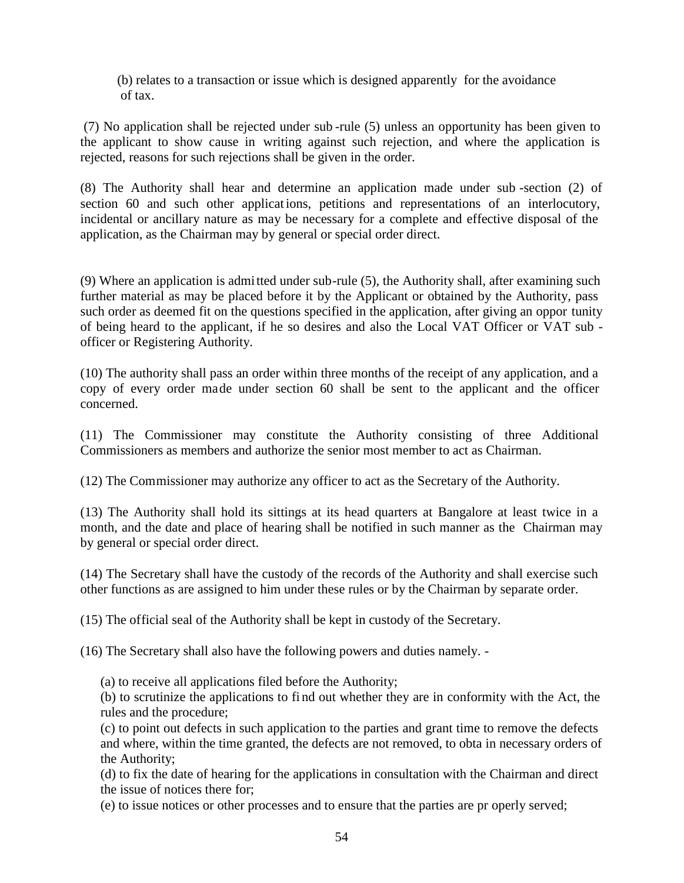(b) relates to a transaction or issue which is designed apparently for the avoidance of tax.

(7) No application shall be rejected under sub -rule (5) unless an opportunity has been given to the applicant to show cause in writing against such rejection, and where the application is rejected, reasons for such rejections shall be given in the order.

(8) The Authority shall hear and determine an application made under sub -section (2) of section 60 and such other applicat ions, petitions and representations of an interlocutory, incidental or ancillary nature as may be necessary for a complete and effective disposal of the application, as the Chairman may by general or special order direct.

(9) Where an application is admitted under sub-rule (5), the Authority shall, after examining such further material as may be placed before it by the Applicant or obtained by the Authority, pass such order as deemed fit on the questions specified in the application, after giving an oppor tunity of being heard to the applicant, if he so desires and also the Local VAT Officer or VAT sub officer or Registering Authority.

(10) The authority shall pass an order within three months of the receipt of any application, and a copy of every order made under section 60 shall be sent to the applicant and the officer concerned.

(11) The Commissioner may constitute the Authority consisting of three Additional Commissioners as members and authorize the senior most member to act as Chairman.

(12) The Commissioner may authorize any officer to act as the Secretary of the Authority.

(13) The Authority shall hold its sittings at its head quarters at Bangalore at least twice in a month, and the date and place of hearing shall be notified in such manner as the Chairman may by general or special order direct.

(14) The Secretary shall have the custody of the records of the Authority and shall exercise such other functions as are assigned to him under these rules or by the Chairman by separate order.

(15) The official seal of the Authority shall be kept in custody of the Secretary.

(16) The Secretary shall also have the following powers and duties namely. -

(a) to receive all applications filed before the Authority;

(b) to scrutinize the applications to fi nd out whether they are in conformity with the Act, the rules and the procedure;

(c) to point out defects in such application to the parties and grant time to remove the defects and where, within the time granted, the defects are not removed, to obta in necessary orders of the Authority;

(d) to fix the date of hearing for the applications in consultation with the Chairman and direct the issue of notices there for;

(e) to issue notices or other processes and to ensure that the parties are pr operly served;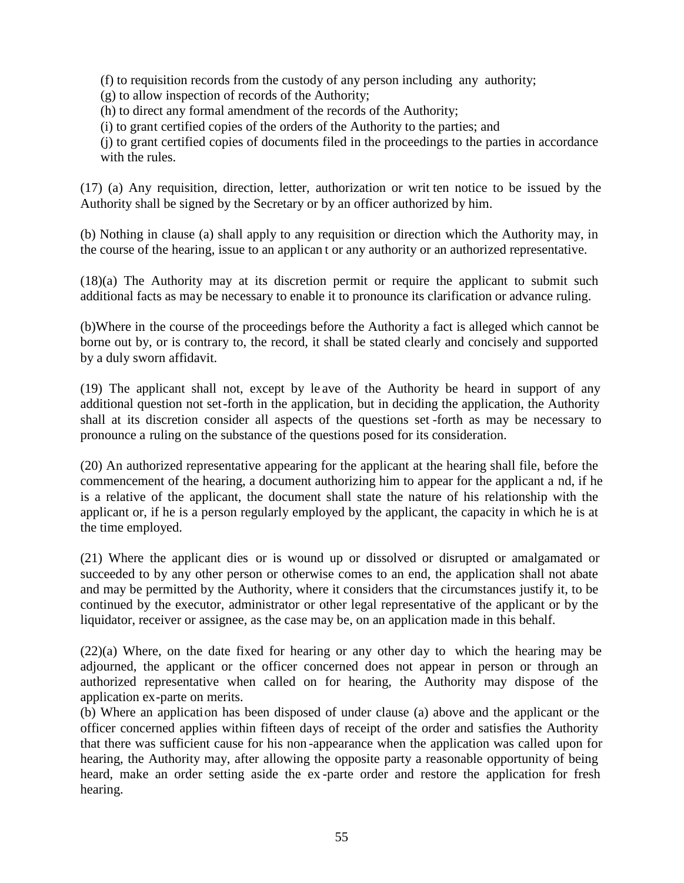(f) to requisition records from the custody of any person including any authority;

(g) to allow inspection of records of the Authority;

(h) to direct any formal amendment of the records of the Authority;

(i) to grant certified copies of the orders of the Authority to the parties; and

(j) to grant certified copies of documents filed in the proceedings to the parties in accordance with the rules.

(17) (a) Any requisition, direction, letter, authorization or writ ten notice to be issued by the Authority shall be signed by the Secretary or by an officer authorized by him.

(b) Nothing in clause (a) shall apply to any requisition or direction which the Authority may, in the course of the hearing, issue to an applican t or any authority or an authorized representative.

(18)(a) The Authority may at its discretion permit or require the applicant to submit such additional facts as may be necessary to enable it to pronounce its clarification or advance ruling.

(b)Where in the course of the proceedings before the Authority a fact is alleged which cannot be borne out by, or is contrary to, the record, it shall be stated clearly and concisely and supported by a duly sworn affidavit.

(19) The applicant shall not, except by le ave of the Authority be heard in support of any additional question not set-forth in the application, but in deciding the application, the Authority shall at its discretion consider all aspects of the questions set -forth as may be necessary to pronounce a ruling on the substance of the questions posed for its consideration.

(20) An authorized representative appearing for the applicant at the hearing shall file, before the commencement of the hearing, a document authorizing him to appear for the applicant a nd, if he is a relative of the applicant, the document shall state the nature of his relationship with the applicant or, if he is a person regularly employed by the applicant, the capacity in which he is at the time employed.

(21) Where the applicant dies or is wound up or dissolved or disrupted or amalgamated or succeeded to by any other person or otherwise comes to an end, the application shall not abate and may be permitted by the Authority, where it considers that the circumstances justify it, to be continued by the executor, administrator or other legal representative of the applicant or by the liquidator, receiver or assignee, as the case may be, on an application made in this behalf.

(22)(a) Where, on the date fixed for hearing or any other day to which the hearing may be adjourned, the applicant or the officer concerned does not appear in person or through an authorized representative when called on for hearing, the Authority may dispose of the application ex-parte on merits.

(b) Where an application has been disposed of under clause (a) above and the applicant or the officer concerned applies within fifteen days of receipt of the order and satisfies the Authority that there was sufficient cause for his non -appearance when the application was called upon for hearing, the Authority may, after allowing the opposite party a reasonable opportunity of being heard, make an order setting aside the ex -parte order and restore the application for fresh hearing.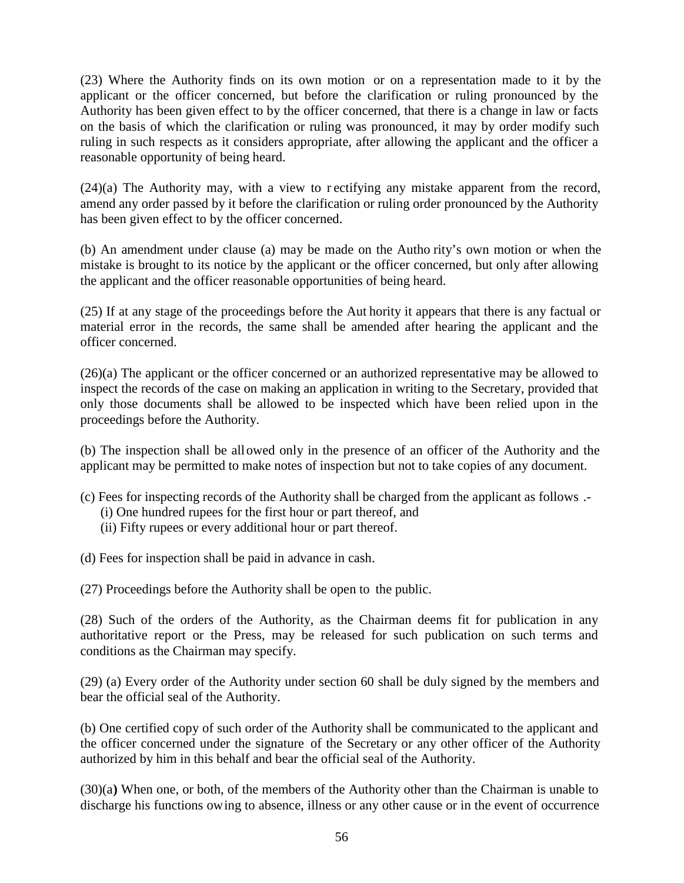(23) Where the Authority finds on its own motion or on a representation made to it by the applicant or the officer concerned, but before the clarification or ruling pronounced by the Authority has been given effect to by the officer concerned, that there is a change in law or facts on the basis of which the clarification or ruling was pronounced, it may by order modify such ruling in such respects as it considers appropriate, after allowing the applicant and the officer a reasonable opportunity of being heard.

(24)(a) The Authority may, with a view to r ectifying any mistake apparent from the record, amend any order passed by it before the clarification or ruling order pronounced by the Authority has been given effect to by the officer concerned.

(b) An amendment under clause (a) may be made on the Autho rity's own motion or when the mistake is brought to its notice by the applicant or the officer concerned, but only after allowing the applicant and the officer reasonable opportunities of being heard.

(25) If at any stage of the proceedings before the Aut hority it appears that there is any factual or material error in the records, the same shall be amended after hearing the applicant and the officer concerned.

(26)(a) The applicant or the officer concerned or an authorized representative may be allowed to inspect the records of the case on making an application in writing to the Secretary, provided that only those documents shall be allowed to be inspected which have been relied upon in the proceedings before the Authority.

(b) The inspection shall be allowed only in the presence of an officer of the Authority and the applicant may be permitted to make notes of inspection but not to take copies of any document.

- (c) Fees for inspecting records of the Authority shall be charged from the applicant as follows .-
	- (i) One hundred rupees for the first hour or part thereof, and
	- (ii) Fifty rupees or every additional hour or part thereof.

(d) Fees for inspection shall be paid in advance in cash.

(27) Proceedings before the Authority shall be open to the public.

(28) Such of the orders of the Authority, as the Chairman deems fit for publication in any authoritative report or the Press, may be released for such publication on such terms and conditions as the Chairman may specify.

(29) (a) Every order of the Authority under section 60 shall be duly signed by the members and bear the official seal of the Authority.

(b) One certified copy of such order of the Authority shall be communicated to the applicant and the officer concerned under the signature of the Secretary or any other officer of the Authority authorized by him in this behalf and bear the official seal of the Authority.

(30)(a**)** When one, or both, of the members of the Authority other than the Chairman is unable to discharge his functions owing to absence, illness or any other cause or in the event of occurrence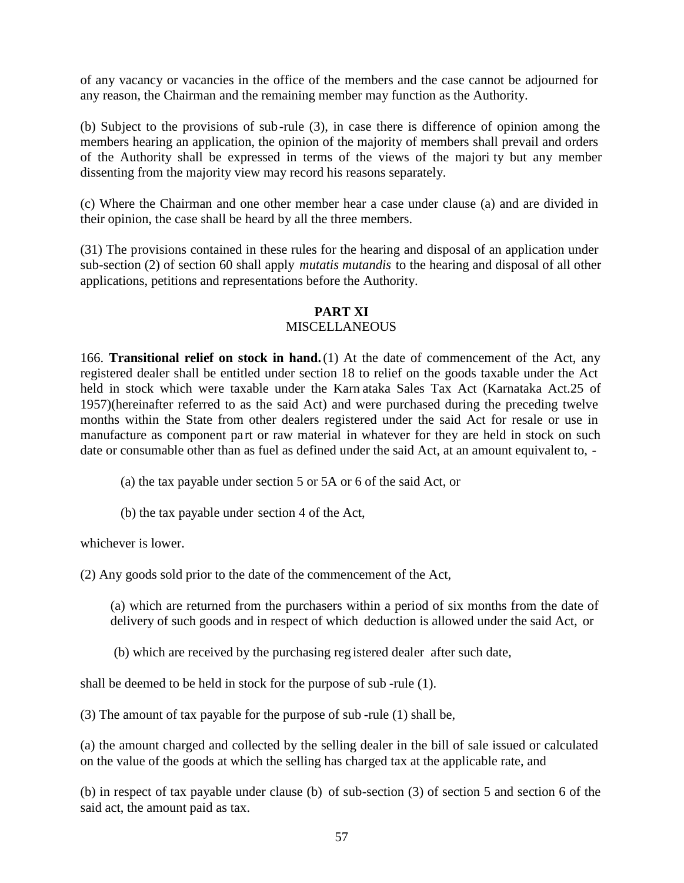of any vacancy or vacancies in the office of the members and the case cannot be adjourned for any reason, the Chairman and the remaining member may function as the Authority.

(b) Subject to the provisions of sub-rule (3), in case there is difference of opinion among the members hearing an application, the opinion of the majority of members shall prevail and orders of the Authority shall be expressed in terms of the views of the majori ty but any member dissenting from the majority view may record his reasons separately.

(c) Where the Chairman and one other member hear a case under clause (a) and are divided in their opinion, the case shall be heard by all the three members.

(31) The provisions contained in these rules for the hearing and disposal of an application under sub-section (2) of section 60 shall apply *mutatis mutandis* to the hearing and disposal of all other applications, petitions and representations before the Authority.

## **PART XI**

#### **MISCELLANEOUS**

166. **Transitional relief on stock in hand.**(1) At the date of commencement of the Act, any registered dealer shall be entitled under section 18 to relief on the goods taxable under the Act held in stock which were taxable under the Karn ataka Sales Tax Act (Karnataka Act.25 of 1957)(hereinafter referred to as the said Act) and were purchased during the preceding twelve months within the State from other dealers registered under the said Act for resale or use in manufacture as component part or raw material in whatever for they are held in stock on such date or consumable other than as fuel as defined under the said Act, at an amount equivalent to, -

- (a) the tax payable under section 5 or 5A or 6 of the said Act, or
- (b) the tax payable under section 4 of the Act,

whichever is lower.

(2) Any goods sold prior to the date of the commencement of the Act,

(a) which are returned from the purchasers within a period of six months from the date of delivery of such goods and in respect of which deduction is allowed under the said Act, or

(b) which are received by the purchasing reg istered dealer after such date,

shall be deemed to be held in stock for the purpose of sub -rule (1).

(3) The amount of tax payable for the purpose of sub -rule (1) shall be,

(a) the amount charged and collected by the selling dealer in the bill of sale issued or calculated on the value of the goods at which the selling has charged tax at the applicable rate, and

(b) in respect of tax payable under clause (b) of sub-section (3) of section 5 and section 6 of the said act, the amount paid as tax.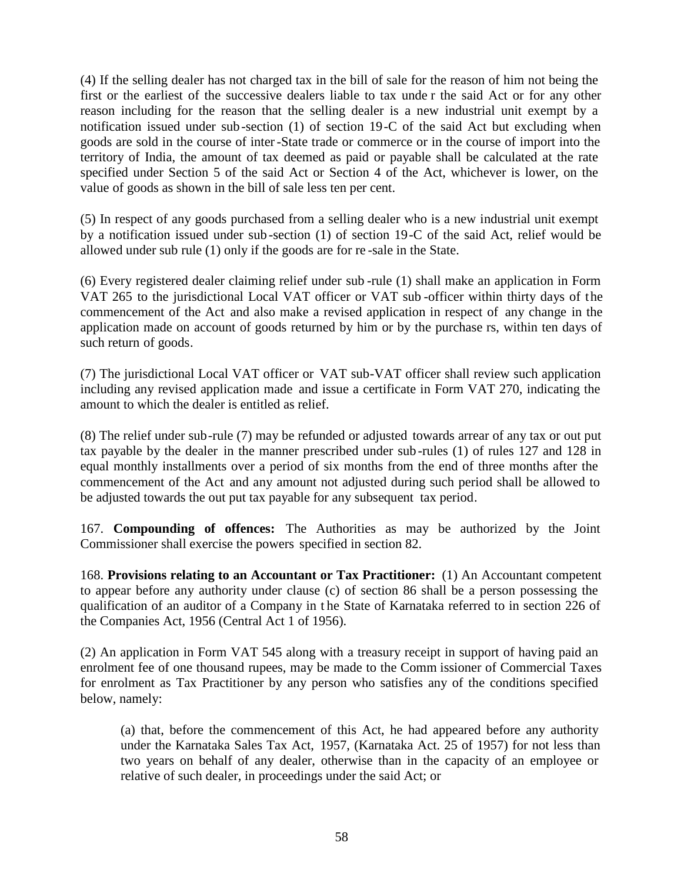(4) If the selling dealer has not charged tax in the bill of sale for the reason of him not being the first or the earliest of the successive dealers liable to tax unde r the said Act or for any other reason including for the reason that the selling dealer is a new industrial unit exempt by a notification issued under sub-section (1) of section 19-C of the said Act but excluding when goods are sold in the course of inter-State trade or commerce or in the course of import into the territory of India, the amount of tax deemed as paid or payable shall be calculated at the rate specified under Section 5 of the said Act or Section 4 of the Act, whichever is lower, on the value of goods as shown in the bill of sale less ten per cent.

(5) In respect of any goods purchased from a selling dealer who is a new industrial unit exempt by a notification issued under sub -section (1) of section 19-C of the said Act, relief would be allowed under sub rule (1) only if the goods are for re -sale in the State.

(6) Every registered dealer claiming relief under sub -rule (1) shall make an application in Form VAT 265 to the jurisdictional Local VAT officer or VAT sub -officer within thirty days of the commencement of the Act and also make a revised application in respect of any change in the application made on account of goods returned by him or by the purchase rs, within ten days of such return of goods.

(7) The jurisdictional Local VAT officer or VAT sub-VAT officer shall review such application including any revised application made and issue a certificate in Form VAT 270, indicating the amount to which the dealer is entitled as relief.

(8) The relief under sub-rule (7) may be refunded or adjusted towards arrear of any tax or out put tax payable by the dealer in the manner prescribed under sub -rules (1) of rules 127 and 128 in equal monthly installments over a period of six months from the end of three months after the commencement of the Act and any amount not adjusted during such period shall be allowed to be adjusted towards the out put tax payable for any subsequent tax period.

167. **Compounding of offences:** The Authorities as may be authorized by the Joint Commissioner shall exercise the powers specified in section 82.

168. **Provisions relating to an Accountant or Tax Practitioner:** (1) An Accountant competent to appear before any authority under clause (c) of section 86 shall be a person possessing the qualification of an auditor of a Company in t he State of Karnataka referred to in section 226 of the Companies Act, 1956 (Central Act 1 of 1956).

(2) An application in Form VAT 545 along with a treasury receipt in support of having paid an enrolment fee of one thousand rupees, may be made to the Comm issioner of Commercial Taxes for enrolment as Tax Practitioner by any person who satisfies any of the conditions specified below, namely:

(a) that, before the commencement of this Act, he had appeared before any authority under the Karnataka Sales Tax Act, 1957, (Karnataka Act. 25 of 1957) for not less than two years on behalf of any dealer, otherwise than in the capacity of an employee or relative of such dealer, in proceedings under the said Act; or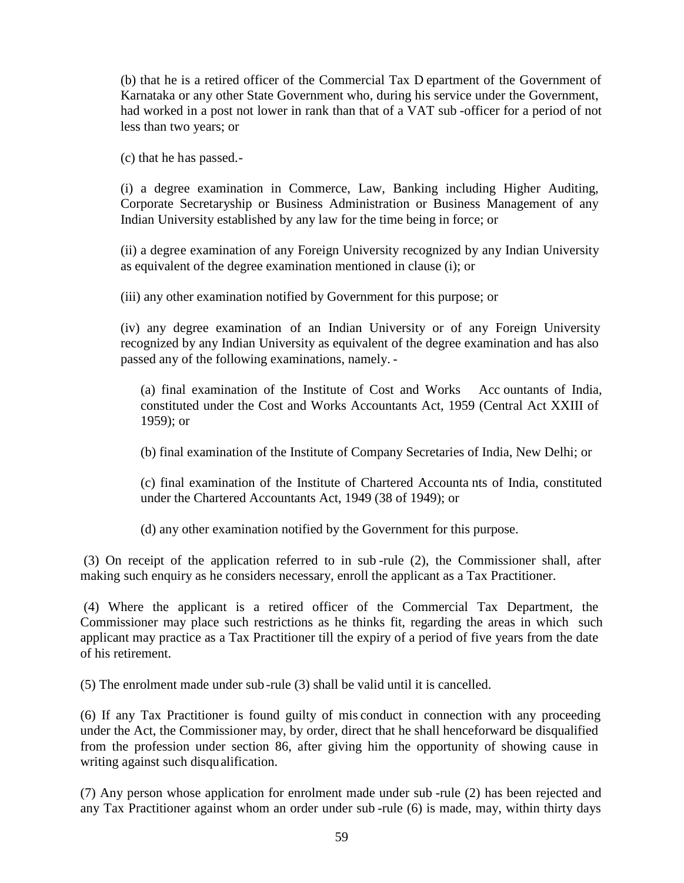(b) that he is a retired officer of the Commercial Tax D epartment of the Government of Karnataka or any other State Government who, during his service under the Government, had worked in a post not lower in rank than that of a VAT sub -officer for a period of not less than two years; or

(c) that he has passed.-

(i) a degree examination in Commerce, Law, Banking including Higher Auditing, Corporate Secretaryship or Business Administration or Business Management of any Indian University established by any law for the time being in force; or

(ii) a degree examination of any Foreign University recognized by any Indian University as equivalent of the degree examination mentioned in clause (i); or

(iii) any other examination notified by Government for this purpose; or

(iv) any degree examination of an Indian University or of any Foreign University recognized by any Indian University as equivalent of the degree examination and has also passed any of the following examinations, namely. -

(a) final examination of the Institute of Cost and Works Acc ountants of India, constituted under the Cost and Works Accountants Act, 1959 (Central Act XXIII of 1959); or

(b) final examination of the Institute of Company Secretaries of India, New Delhi; or

(c) final examination of the Institute of Chartered Accounta nts of India, constituted under the Chartered Accountants Act, 1949 (38 of 1949); or

(d) any other examination notified by the Government for this purpose.

(3) On receipt of the application referred to in sub -rule (2), the Commissioner shall, after making such enquiry as he considers necessary, enroll the applicant as a Tax Practitioner.

(4) Where the applicant is a retired officer of the Commercial Tax Department, the Commissioner may place such restrictions as he thinks fit, regarding the areas in which such applicant may practice as a Tax Practitioner till the expiry of a period of five years from the date of his retirement.

(5) The enrolment made under sub -rule (3) shall be valid until it is cancelled.

(6) If any Tax Practitioner is found guilty of mis conduct in connection with any proceeding under the Act, the Commissioner may, by order, direct that he shall henceforward be disqualified from the profession under section 86, after giving him the opportunity of showing cause in writing against such disqualification.

(7) Any person whose application for enrolment made under sub -rule (2) has been rejected and any Tax Practitioner against whom an order under sub -rule (6) is made, may, within thirty days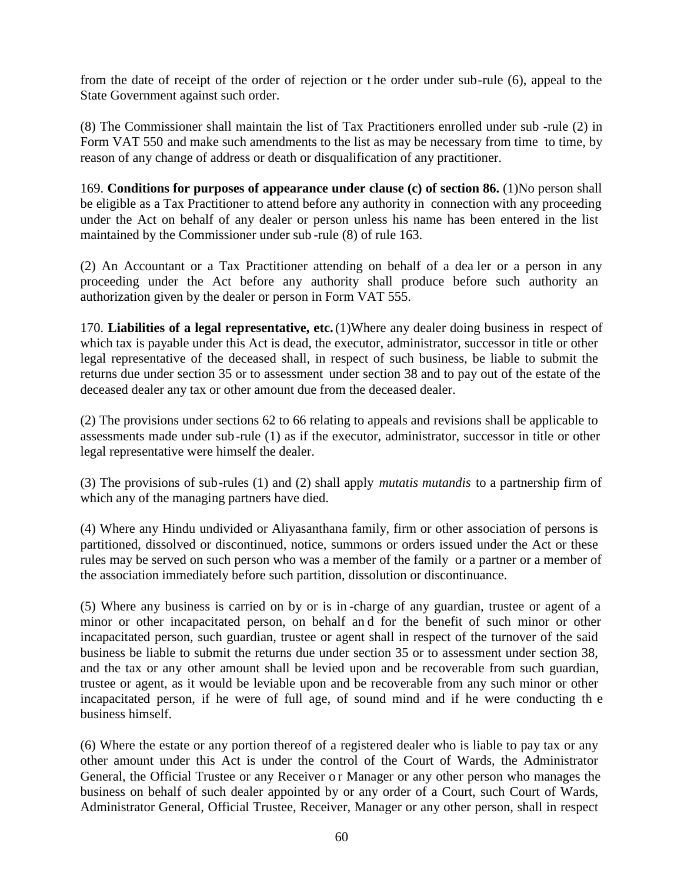from the date of receipt of the order of rejection or t he order under sub-rule (6), appeal to the State Government against such order.

(8) The Commissioner shall maintain the list of Tax Practitioners enrolled under sub -rule (2) in Form VAT 550 and make such amendments to the list as may be necessary from time to time, by reason of any change of address or death or disqualification of any practitioner.

169. **Conditions for purposes of appearance under clause (c) of section 86.** (1)No person shall be eligible as a Tax Practitioner to attend before any authority in connection with any proceeding under the Act on behalf of any dealer or person unless his name has been entered in the list maintained by the Commissioner under sub -rule (8) of rule 163.

(2) An Accountant or a Tax Practitioner attending on behalf of a dea ler or a person in any proceeding under the Act before any authority shall produce before such authority an authorization given by the dealer or person in Form VAT 555.

170. **Liabilities of a legal representative, etc.**(1)Where any dealer doing business in respect of which tax is payable under this Act is dead, the executor, administrator, successor in title or other legal representative of the deceased shall, in respect of such business, be liable to submit the returns due under section 35 or to assessment under section 38 and to pay out of the estate of the deceased dealer any tax or other amount due from the deceased dealer.

(2) The provisions under sections 62 to 66 relating to appeals and revisions shall be applicable to assessments made under sub-rule (1) as if the executor, administrator, successor in title or other legal representative were himself the dealer.

(3) The provisions of sub-rules (1) and (2) shall apply *mutatis mutandis* to a partnership firm of which any of the managing partners have died.

(4) Where any Hindu undivided or Aliyasanthana family, firm or other association of persons is partitioned, dissolved or discontinued, notice, summons or orders issued under the Act or these rules may be served on such person who was a member of the family or a partner or a member of the association immediately before such partition, dissolution or discontinuance.

(5) Where any business is carried on by or is in -charge of any guardian, trustee or agent of a minor or other incapacitated person, on behalf an d for the benefit of such minor or other incapacitated person, such guardian, trustee or agent shall in respect of the turnover of the said business be liable to submit the returns due under section 35 or to assessment under section 38, and the tax or any other amount shall be levied upon and be recoverable from such guardian, trustee or agent, as it would be leviable upon and be recoverable from any such minor or other incapacitated person, if he were of full age, of sound mind and if he were conducting th e business himself.

(6) Where the estate or any portion thereof of a registered dealer who is liable to pay tax or any other amount under this Act is under the control of the Court of Wards, the Administrator General, the Official Trustee or any Receiver or Manager or any other person who manages the business on behalf of such dealer appointed by or any order of a Court, such Court of Wards, Administrator General, Official Trustee, Receiver, Manager or any other person, shall in respect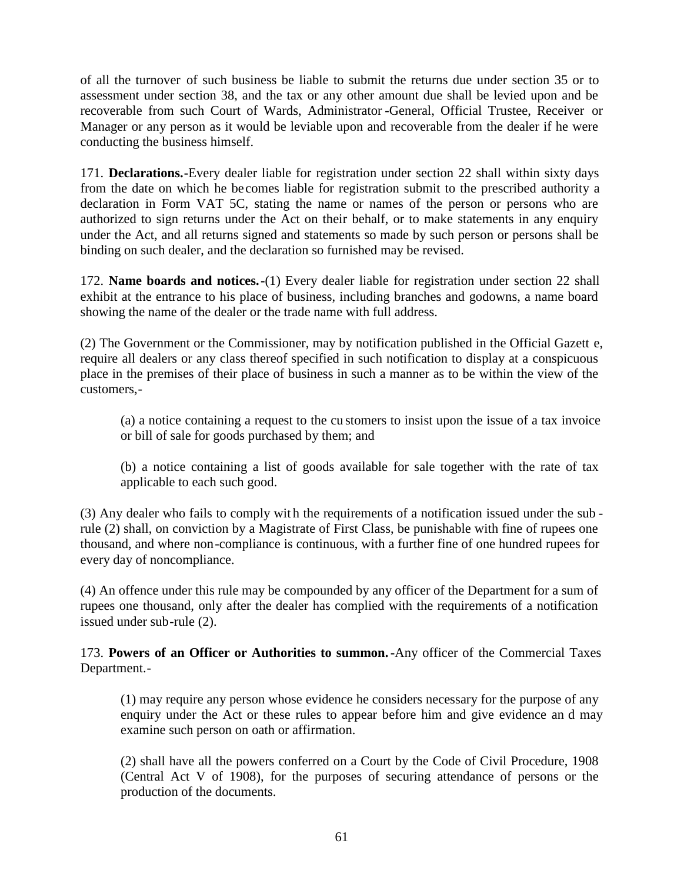of all the turnover of such business be liable to submit the returns due under section 35 or to assessment under section 38, and the tax or any other amount due shall be levied upon and be recoverable from such Court of Wards, Administrator -General, Official Trustee, Receiver or Manager or any person as it would be leviable upon and recoverable from the dealer if he were conducting the business himself.

171. **Declarations.-**Every dealer liable for registration under section 22 shall within sixty days from the date on which he becomes liable for registration submit to the prescribed authority a declaration in Form VAT 5C, stating the name or names of the person or persons who are authorized to sign returns under the Act on their behalf, or to make statements in any enquiry under the Act, and all returns signed and statements so made by such person or persons shall be binding on such dealer, and the declaration so furnished may be revised.

172. **Name boards and notices.-**(1) Every dealer liable for registration under section 22 shall exhibit at the entrance to his place of business, including branches and godowns, a name board showing the name of the dealer or the trade name with full address.

(2) The Government or the Commissioner, may by notification published in the Official Gazett e, require all dealers or any class thereof specified in such notification to display at a conspicuous place in the premises of their place of business in such a manner as to be within the view of the customers,-

(a) a notice containing a request to the cu stomers to insist upon the issue of a tax invoice or bill of sale for goods purchased by them; and

(b) a notice containing a list of goods available for sale together with the rate of tax applicable to each such good.

(3) Any dealer who fails to comply wit h the requirements of a notification issued under the sub rule (2) shall, on conviction by a Magistrate of First Class, be punishable with fine of rupees one thousand, and where non-compliance is continuous, with a further fine of one hundred rupees for every day of noncompliance.

(4) An offence under this rule may be compounded by any officer of the Department for a sum of rupees one thousand, only after the dealer has complied with the requirements of a notification issued under sub-rule (2).

173. **Powers of an Officer or Authorities to summon.-**Any officer of the Commercial Taxes Department.-

(1) may require any person whose evidence he considers necessary for the purpose of any enquiry under the Act or these rules to appear before him and give evidence an d may examine such person on oath or affirmation.

(2) shall have all the powers conferred on a Court by the Code of Civil Procedure, 1908 (Central Act V of 1908), for the purposes of securing attendance of persons or the production of the documents.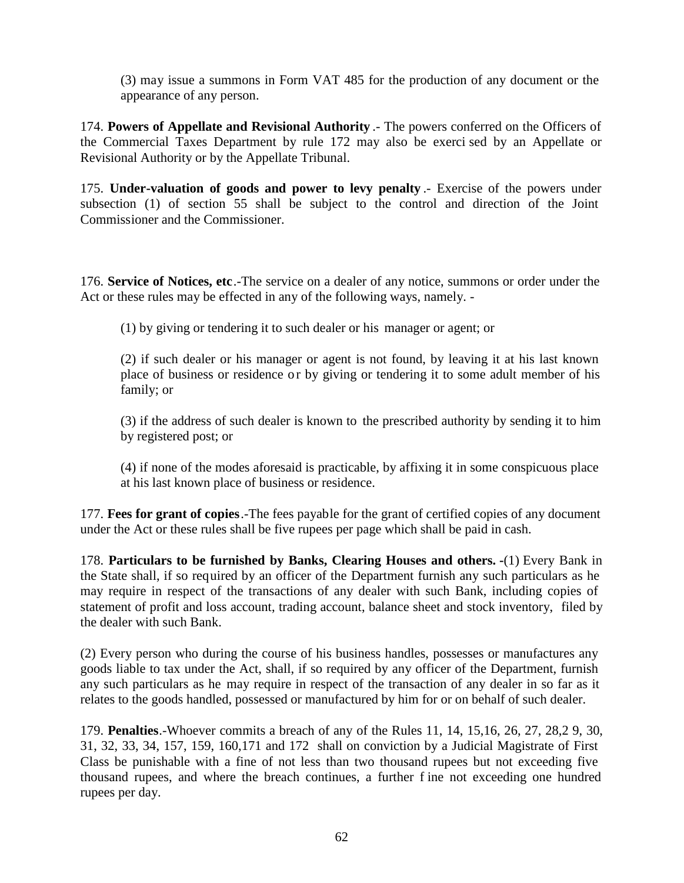(3) may issue a summons in Form VAT 485 for the production of any document or the appearance of any person.

174. **Powers of Appellate and Revisional Authority** .- The powers conferred on the Officers of the Commercial Taxes Department by rule 172 may also be exerci sed by an Appellate or Revisional Authority or by the Appellate Tribunal.

175. **Under-valuation of goods and power to levy penalty** .- Exercise of the powers under subsection (1) of section 55 shall be subject to the control and direction of the Joint Commissioner and the Commissioner.

176. **Service of Notices, etc**.-The service on a dealer of any notice, summons or order under the Act or these rules may be effected in any of the following ways, namely. -

(1) by giving or tendering it to such dealer or his manager or agent; or

(2) if such dealer or his manager or agent is not found, by leaving it at his last known place of business or residence or by giving or tendering it to some adult member of his family; or

(3) if the address of such dealer is known to the prescribed authority by sending it to him by registered post; or

(4) if none of the modes aforesaid is practicable, by affixing it in some conspicuous place at his last known place of business or residence.

177. **Fees for grant of copies**.-The fees payable for the grant of certified copies of any document under the Act or these rules shall be five rupees per page which shall be paid in cash.

178. **Particulars to be furnished by Banks, Clearing Houses and others. -**(1) Every Bank in the State shall, if so required by an officer of the Department furnish any such particulars as he may require in respect of the transactions of any dealer with such Bank, including copies of statement of profit and loss account, trading account, balance sheet and stock inventory, filed by the dealer with such Bank.

(2) Every person who during the course of his business handles, possesses or manufactures any goods liable to tax under the Act, shall, if so required by any officer of the Department, furnish any such particulars as he may require in respect of the transaction of any dealer in so far as it relates to the goods handled, possessed or manufactured by him for or on behalf of such dealer.

179. **Penalties**.-Whoever commits a breach of any of the Rules 11, 14, 15,16, 26, 27, 28,2 9, 30, 31, 32, 33, 34, 157, 159, 160,171 and 172 shall on conviction by a Judicial Magistrate of First Class be punishable with a fine of not less than two thousand rupees but not exceeding five thousand rupees, and where the breach continues, a further f ine not exceeding one hundred rupees per day.